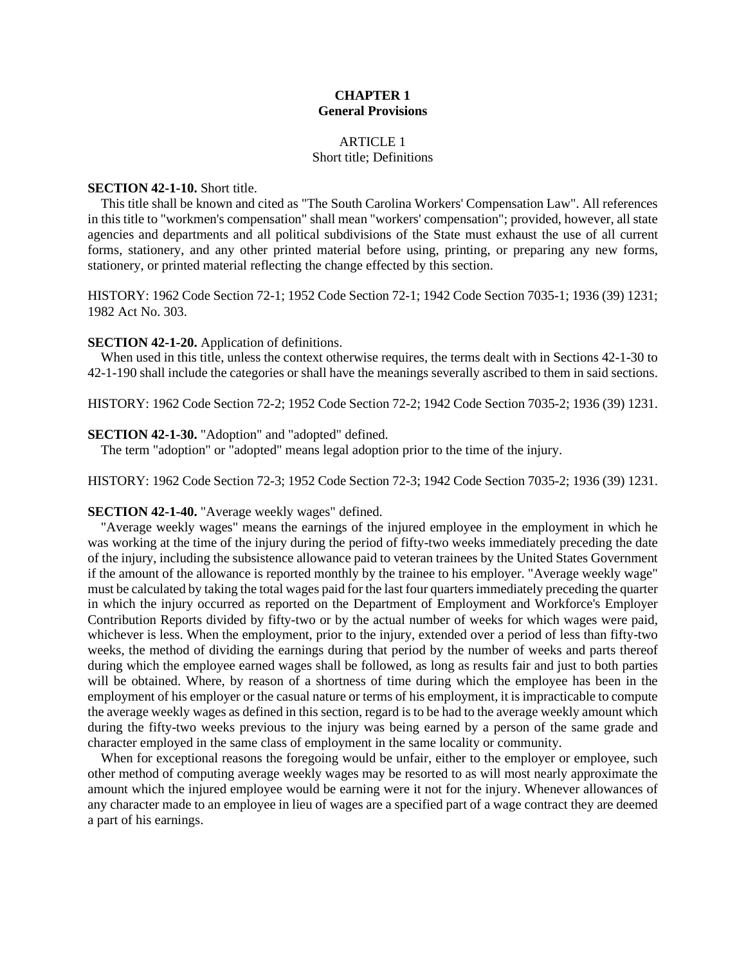# **CHAPTER 1 General Provisions**

# ARTICLE 1

# Short title; Definitions

# **SECTION 42-1-10.** Short title.

This title shall be known and cited as "The South Carolina Workers' Compensation Law". All references in this title to "workmen's compensation" shall mean "workers' compensation"; provided, however, all state agencies and departments and all political subdivisions of the State must exhaust the use of all current forms, stationery, and any other printed material before using, printing, or preparing any new forms, stationery, or printed material reflecting the change effected by this section.

HISTORY: 1962 Code Section 72-1; 1952 Code Section 72-1; 1942 Code Section 7035-1; 1936 (39) 1231; 1982 Act No. 303.

# **SECTION 42-1-20.** Application of definitions.

When used in this title, unless the context otherwise requires, the terms dealt with in Sections 42-1-30 to 42-1-190 shall include the categories or shall have the meanings severally ascribed to them in said sections.

HISTORY: 1962 Code Section 72-2; 1952 Code Section 72-2; 1942 Code Section 7035-2; 1936 (39) 1231.

# **SECTION 42-1-30.** "Adoption" and "adopted" defined.

The term "adoption" or "adopted" means legal adoption prior to the time of the injury.

HISTORY: 1962 Code Section 72-3; 1952 Code Section 72-3; 1942 Code Section 7035-2; 1936 (39) 1231.

### **SECTION 42-1-40.** "Average weekly wages" defined.

"Average weekly wages" means the earnings of the injured employee in the employment in which he was working at the time of the injury during the period of fifty-two weeks immediately preceding the date of the injury, including the subsistence allowance paid to veteran trainees by the United States Government if the amount of the allowance is reported monthly by the trainee to his employer. "Average weekly wage" must be calculated by taking the total wages paid for the last four quarters immediately preceding the quarter in which the injury occurred as reported on the Department of Employment and Workforce's Employer Contribution Reports divided by fifty-two or by the actual number of weeks for which wages were paid, whichever is less. When the employment, prior to the injury, extended over a period of less than fifty-two weeks, the method of dividing the earnings during that period by the number of weeks and parts thereof during which the employee earned wages shall be followed, as long as results fair and just to both parties will be obtained. Where, by reason of a shortness of time during which the employee has been in the employment of his employer or the casual nature or terms of his employment, it is impracticable to compute the average weekly wages as defined in this section, regard is to be had to the average weekly amount which during the fifty-two weeks previous to the injury was being earned by a person of the same grade and character employed in the same class of employment in the same locality or community.

When for exceptional reasons the foregoing would be unfair, either to the employer or employee, such other method of computing average weekly wages may be resorted to as will most nearly approximate the amount which the injured employee would be earning were it not for the injury. Whenever allowances of any character made to an employee in lieu of wages are a specified part of a wage contract they are deemed a part of his earnings.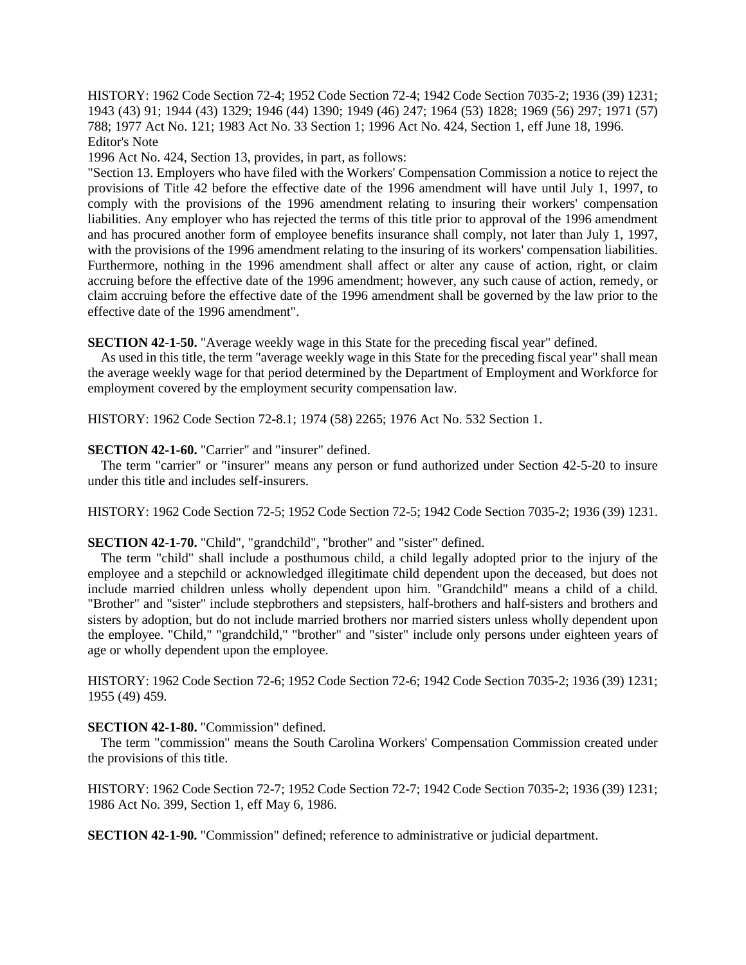HISTORY: 1962 Code Section 72-4; 1952 Code Section 72-4; 1942 Code Section 7035-2; 1936 (39) 1231; 1943 (43) 91; 1944 (43) 1329; 1946 (44) 1390; 1949 (46) 247; 1964 (53) 1828; 1969 (56) 297; 1971 (57) 788; 1977 Act No. 121; 1983 Act No. 33 Section 1; 1996 Act No. 424, Section 1, eff June 18, 1996. Editor's Note

1996 Act No. 424, Section 13, provides, in part, as follows:

"Section 13. Employers who have filed with the Workers' Compensation Commission a notice to reject the provisions of Title 42 before the effective date of the 1996 amendment will have until July 1, 1997, to comply with the provisions of the 1996 amendment relating to insuring their workers' compensation liabilities. Any employer who has rejected the terms of this title prior to approval of the 1996 amendment and has procured another form of employee benefits insurance shall comply, not later than July 1, 1997, with the provisions of the 1996 amendment relating to the insuring of its workers' compensation liabilities. Furthermore, nothing in the 1996 amendment shall affect or alter any cause of action, right, or claim accruing before the effective date of the 1996 amendment; however, any such cause of action, remedy, or claim accruing before the effective date of the 1996 amendment shall be governed by the law prior to the effective date of the 1996 amendment".

**SECTION 42-1-50.** "Average weekly wage in this State for the preceding fiscal year" defined.

As used in this title, the term "average weekly wage in this State for the preceding fiscal year" shall mean the average weekly wage for that period determined by the Department of Employment and Workforce for employment covered by the employment security compensation law.

HISTORY: 1962 Code Section 72-8.1; 1974 (58) 2265; 1976 Act No. 532 Section 1.

# **SECTION 42-1-60.** "Carrier" and "insurer" defined.

The term "carrier" or "insurer" means any person or fund authorized under Section 42-5-20 to insure under this title and includes self-insurers.

HISTORY: 1962 Code Section 72-5; 1952 Code Section 72-5; 1942 Code Section 7035-2; 1936 (39) 1231.

# **SECTION 42-1-70.** "Child", "grandchild", "brother" and "sister" defined.

The term "child" shall include a posthumous child, a child legally adopted prior to the injury of the employee and a stepchild or acknowledged illegitimate child dependent upon the deceased, but does not include married children unless wholly dependent upon him. "Grandchild" means a child of a child. "Brother" and "sister" include stepbrothers and stepsisters, half-brothers and half-sisters and brothers and sisters by adoption, but do not include married brothers nor married sisters unless wholly dependent upon the employee. "Child," "grandchild," "brother" and "sister" include only persons under eighteen years of age or wholly dependent upon the employee.

HISTORY: 1962 Code Section 72-6; 1952 Code Section 72-6; 1942 Code Section 7035-2; 1936 (39) 1231; 1955 (49) 459.

# **SECTION 42-1-80.** "Commission" defined.

The term "commission" means the South Carolina Workers' Compensation Commission created under the provisions of this title.

HISTORY: 1962 Code Section 72-7; 1952 Code Section 72-7; 1942 Code Section 7035-2; 1936 (39) 1231; 1986 Act No. 399, Section 1, eff May 6, 1986.

**SECTION 42-1-90.** "Commission" defined; reference to administrative or judicial department.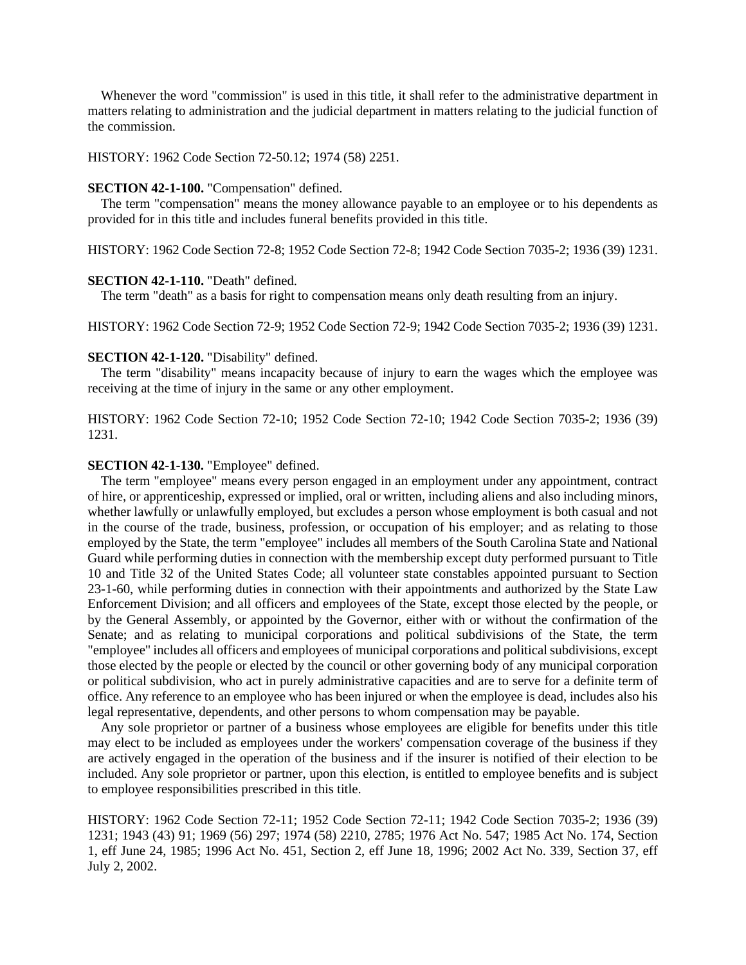Whenever the word "commission" is used in this title, it shall refer to the administrative department in matters relating to administration and the judicial department in matters relating to the judicial function of the commission.

HISTORY: 1962 Code Section 72-50.12; 1974 (58) 2251.

# **SECTION 42-1-100.** "Compensation" defined.

The term "compensation" means the money allowance payable to an employee or to his dependents as provided for in this title and includes funeral benefits provided in this title.

HISTORY: 1962 Code Section 72-8; 1952 Code Section 72-8; 1942 Code Section 7035-2; 1936 (39) 1231.

# **SECTION 42-1-110.** "Death" defined.

The term "death" as a basis for right to compensation means only death resulting from an injury.

HISTORY: 1962 Code Section 72-9; 1952 Code Section 72-9; 1942 Code Section 7035-2; 1936 (39) 1231.

### **SECTION 42-1-120.** "Disability" defined.

The term "disability" means incapacity because of injury to earn the wages which the employee was receiving at the time of injury in the same or any other employment.

HISTORY: 1962 Code Section 72-10; 1952 Code Section 72-10; 1942 Code Section 7035-2; 1936 (39) 1231.

# **SECTION 42-1-130.** "Employee" defined.

The term "employee" means every person engaged in an employment under any appointment, contract of hire, or apprenticeship, expressed or implied, oral or written, including aliens and also including minors, whether lawfully or unlawfully employed, but excludes a person whose employment is both casual and not in the course of the trade, business, profession, or occupation of his employer; and as relating to those employed by the State, the term "employee" includes all members of the South Carolina State and National Guard while performing duties in connection with the membership except duty performed pursuant to Title 10 and Title 32 of the United States Code; all volunteer state constables appointed pursuant to Section 23-1-60, while performing duties in connection with their appointments and authorized by the State Law Enforcement Division; and all officers and employees of the State, except those elected by the people, or by the General Assembly, or appointed by the Governor, either with or without the confirmation of the Senate; and as relating to municipal corporations and political subdivisions of the State, the term "employee" includes all officers and employees of municipal corporations and political subdivisions, except those elected by the people or elected by the council or other governing body of any municipal corporation or political subdivision, who act in purely administrative capacities and are to serve for a definite term of office. Any reference to an employee who has been injured or when the employee is dead, includes also his legal representative, dependents, and other persons to whom compensation may be payable.

Any sole proprietor or partner of a business whose employees are eligible for benefits under this title may elect to be included as employees under the workers' compensation coverage of the business if they are actively engaged in the operation of the business and if the insurer is notified of their election to be included. Any sole proprietor or partner, upon this election, is entitled to employee benefits and is subject to employee responsibilities prescribed in this title.

HISTORY: 1962 Code Section 72-11; 1952 Code Section 72-11; 1942 Code Section 7035-2; 1936 (39) 1231; 1943 (43) 91; 1969 (56) 297; 1974 (58) 2210, 2785; 1976 Act No. 547; 1985 Act No. 174, Section 1, eff June 24, 1985; 1996 Act No. 451, Section 2, eff June 18, 1996; 2002 Act No. 339, Section 37, eff July 2, 2002.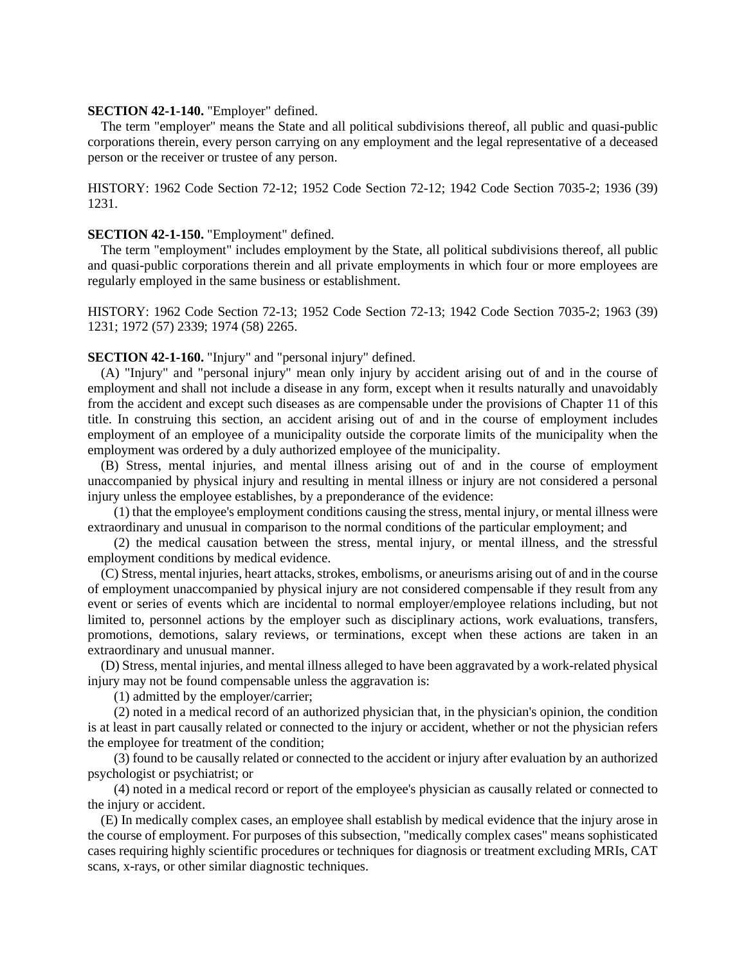### **SECTION 42-1-140.** "Employer" defined.

The term "employer" means the State and all political subdivisions thereof, all public and quasi-public corporations therein, every person carrying on any employment and the legal representative of a deceased person or the receiver or trustee of any person.

HISTORY: 1962 Code Section 72-12; 1952 Code Section 72-12; 1942 Code Section 7035-2; 1936 (39) 1231.

# **SECTION 42-1-150.** "Employment" defined.

The term "employment" includes employment by the State, all political subdivisions thereof, all public and quasi-public corporations therein and all private employments in which four or more employees are regularly employed in the same business or establishment.

HISTORY: 1962 Code Section 72-13; 1952 Code Section 72-13; 1942 Code Section 7035-2; 1963 (39) 1231; 1972 (57) 2339; 1974 (58) 2265.

### **SECTION 42-1-160.** "Injury" and "personal injury" defined.

(A) "Injury" and "personal injury" mean only injury by accident arising out of and in the course of employment and shall not include a disease in any form, except when it results naturally and unavoidably from the accident and except such diseases as are compensable under the provisions of Chapter 11 of this title. In construing this section, an accident arising out of and in the course of employment includes employment of an employee of a municipality outside the corporate limits of the municipality when the employment was ordered by a duly authorized employee of the municipality.

(B) Stress, mental injuries, and mental illness arising out of and in the course of employment unaccompanied by physical injury and resulting in mental illness or injury are not considered a personal injury unless the employee establishes, by a preponderance of the evidence:

(1) that the employee's employment conditions causing the stress, mental injury, or mental illness were extraordinary and unusual in comparison to the normal conditions of the particular employment; and

(2) the medical causation between the stress, mental injury, or mental illness, and the stressful employment conditions by medical evidence.

(C) Stress, mental injuries, heart attacks, strokes, embolisms, or aneurisms arising out of and in the course of employment unaccompanied by physical injury are not considered compensable if they result from any event or series of events which are incidental to normal employer/employee relations including, but not limited to, personnel actions by the employer such as disciplinary actions, work evaluations, transfers, promotions, demotions, salary reviews, or terminations, except when these actions are taken in an extraordinary and unusual manner.

(D) Stress, mental injuries, and mental illness alleged to have been aggravated by a work-related physical injury may not be found compensable unless the aggravation is:

(1) admitted by the employer/carrier;

(2) noted in a medical record of an authorized physician that, in the physician's opinion, the condition is at least in part causally related or connected to the injury or accident, whether or not the physician refers the employee for treatment of the condition;

(3) found to be causally related or connected to the accident or injury after evaluation by an authorized psychologist or psychiatrist; or

(4) noted in a medical record or report of the employee's physician as causally related or connected to the injury or accident.

(E) In medically complex cases, an employee shall establish by medical evidence that the injury arose in the course of employment. For purposes of this subsection, "medically complex cases" means sophisticated cases requiring highly scientific procedures or techniques for diagnosis or treatment excluding MRIs, CAT scans, x-rays, or other similar diagnostic techniques.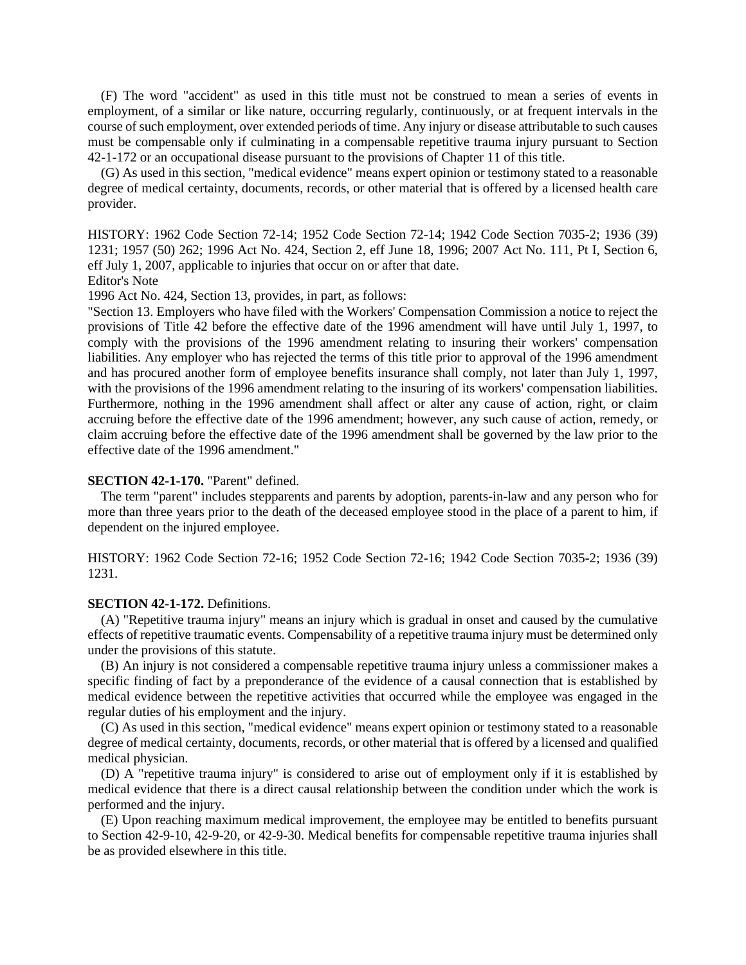(F) The word "accident" as used in this title must not be construed to mean a series of events in employment, of a similar or like nature, occurring regularly, continuously, or at frequent intervals in the course of such employment, over extended periods of time. Any injury or disease attributable to such causes must be compensable only if culminating in a compensable repetitive trauma injury pursuant to Section 42-1-172 or an occupational disease pursuant to the provisions of Chapter 11 of this title.

(G) As used in this section, "medical evidence" means expert opinion or testimony stated to a reasonable degree of medical certainty, documents, records, or other material that is offered by a licensed health care provider.

HISTORY: 1962 Code Section 72-14; 1952 Code Section 72-14; 1942 Code Section 7035-2; 1936 (39) 1231; 1957 (50) 262; 1996 Act No. 424, Section 2, eff June 18, 1996; 2007 Act No. 111, Pt I, Section 6, eff July 1, 2007, applicable to injuries that occur on or after that date.

# Editor's Note

1996 Act No. 424, Section 13, provides, in part, as follows:

"Section 13. Employers who have filed with the Workers' Compensation Commission a notice to reject the provisions of Title 42 before the effective date of the 1996 amendment will have until July 1, 1997, to comply with the provisions of the 1996 amendment relating to insuring their workers' compensation liabilities. Any employer who has rejected the terms of this title prior to approval of the 1996 amendment and has procured another form of employee benefits insurance shall comply, not later than July 1, 1997, with the provisions of the 1996 amendment relating to the insuring of its workers' compensation liabilities. Furthermore, nothing in the 1996 amendment shall affect or alter any cause of action, right, or claim accruing before the effective date of the 1996 amendment; however, any such cause of action, remedy, or claim accruing before the effective date of the 1996 amendment shall be governed by the law prior to the effective date of the 1996 amendment."

### **SECTION 42-1-170.** "Parent" defined.

The term "parent" includes stepparents and parents by adoption, parents-in-law and any person who for more than three years prior to the death of the deceased employee stood in the place of a parent to him, if dependent on the injured employee.

HISTORY: 1962 Code Section 72-16; 1952 Code Section 72-16; 1942 Code Section 7035-2; 1936 (39) 1231.

### **SECTION 42-1-172.** Definitions.

(A) "Repetitive trauma injury" means an injury which is gradual in onset and caused by the cumulative effects of repetitive traumatic events. Compensability of a repetitive trauma injury must be determined only under the provisions of this statute.

(B) An injury is not considered a compensable repetitive trauma injury unless a commissioner makes a specific finding of fact by a preponderance of the evidence of a causal connection that is established by medical evidence between the repetitive activities that occurred while the employee was engaged in the regular duties of his employment and the injury.

(C) As used in this section, "medical evidence" means expert opinion or testimony stated to a reasonable degree of medical certainty, documents, records, or other material that is offered by a licensed and qualified medical physician.

(D) A "repetitive trauma injury" is considered to arise out of employment only if it is established by medical evidence that there is a direct causal relationship between the condition under which the work is performed and the injury.

(E) Upon reaching maximum medical improvement, the employee may be entitled to benefits pursuant to Section 42-9-10, 42-9-20, or 42-9-30. Medical benefits for compensable repetitive trauma injuries shall be as provided elsewhere in this title.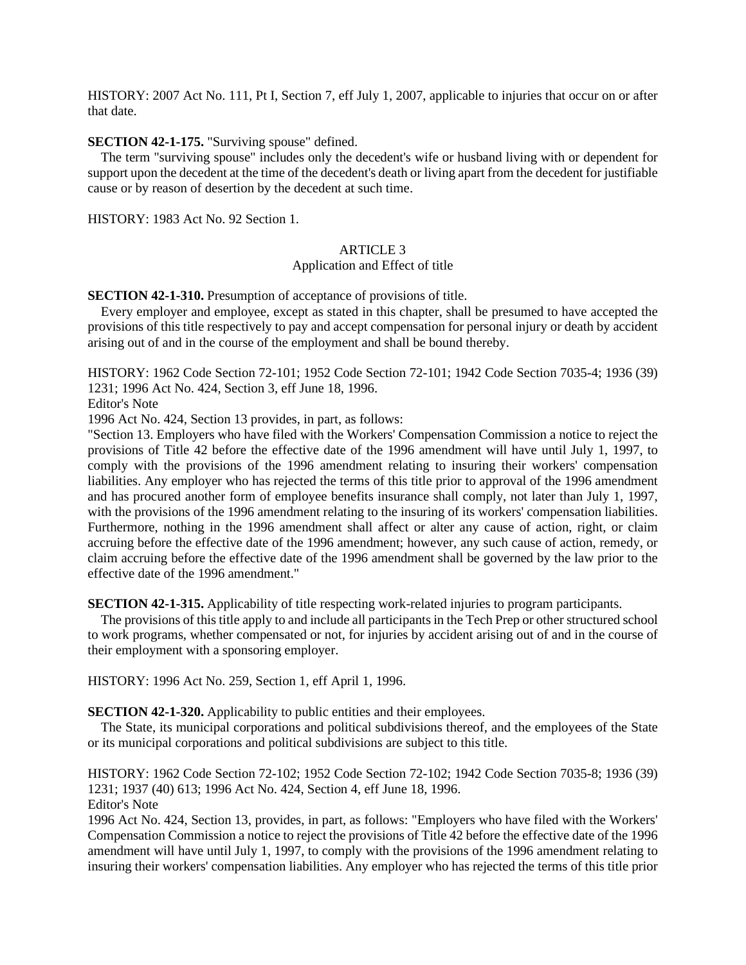HISTORY: 2007 Act No. 111, Pt I, Section 7, eff July 1, 2007, applicable to injuries that occur on or after that date.

### **SECTION 42-1-175.** "Surviving spouse" defined.

The term "surviving spouse" includes only the decedent's wife or husband living with or dependent for support upon the decedent at the time of the decedent's death or living apart from the decedent for justifiable cause or by reason of desertion by the decedent at such time.

HISTORY: 1983 Act No. 92 Section 1.

# ARTICLE 3

### Application and Effect of title

**SECTION 42-1-310.** Presumption of acceptance of provisions of title.

Every employer and employee, except as stated in this chapter, shall be presumed to have accepted the provisions of this title respectively to pay and accept compensation for personal injury or death by accident arising out of and in the course of the employment and shall be bound thereby.

HISTORY: 1962 Code Section 72-101; 1952 Code Section 72-101; 1942 Code Section 7035-4; 1936 (39) 1231; 1996 Act No. 424, Section 3, eff June 18, 1996.

Editor's Note

1996 Act No. 424, Section 13 provides, in part, as follows:

"Section 13. Employers who have filed with the Workers' Compensation Commission a notice to reject the provisions of Title 42 before the effective date of the 1996 amendment will have until July 1, 1997, to comply with the provisions of the 1996 amendment relating to insuring their workers' compensation liabilities. Any employer who has rejected the terms of this title prior to approval of the 1996 amendment and has procured another form of employee benefits insurance shall comply, not later than July 1, 1997, with the provisions of the 1996 amendment relating to the insuring of its workers' compensation liabilities. Furthermore, nothing in the 1996 amendment shall affect or alter any cause of action, right, or claim accruing before the effective date of the 1996 amendment; however, any such cause of action, remedy, or claim accruing before the effective date of the 1996 amendment shall be governed by the law prior to the effective date of the 1996 amendment."

**SECTION 42-1-315.** Applicability of title respecting work-related injuries to program participants.

The provisions of this title apply to and include all participants in the Tech Prep or other structured school to work programs, whether compensated or not, for injuries by accident arising out of and in the course of their employment with a sponsoring employer.

HISTORY: 1996 Act No. 259, Section 1, eff April 1, 1996.

**SECTION 42-1-320.** Applicability to public entities and their employees.

The State, its municipal corporations and political subdivisions thereof, and the employees of the State or its municipal corporations and political subdivisions are subject to this title.

HISTORY: 1962 Code Section 72-102; 1952 Code Section 72-102; 1942 Code Section 7035-8; 1936 (39) 1231; 1937 (40) 613; 1996 Act No. 424, Section 4, eff June 18, 1996. Editor's Note

1996 Act No. 424, Section 13, provides, in part, as follows: "Employers who have filed with the Workers' Compensation Commission a notice to reject the provisions of Title 42 before the effective date of the 1996 amendment will have until July 1, 1997, to comply with the provisions of the 1996 amendment relating to insuring their workers' compensation liabilities. Any employer who has rejected the terms of this title prior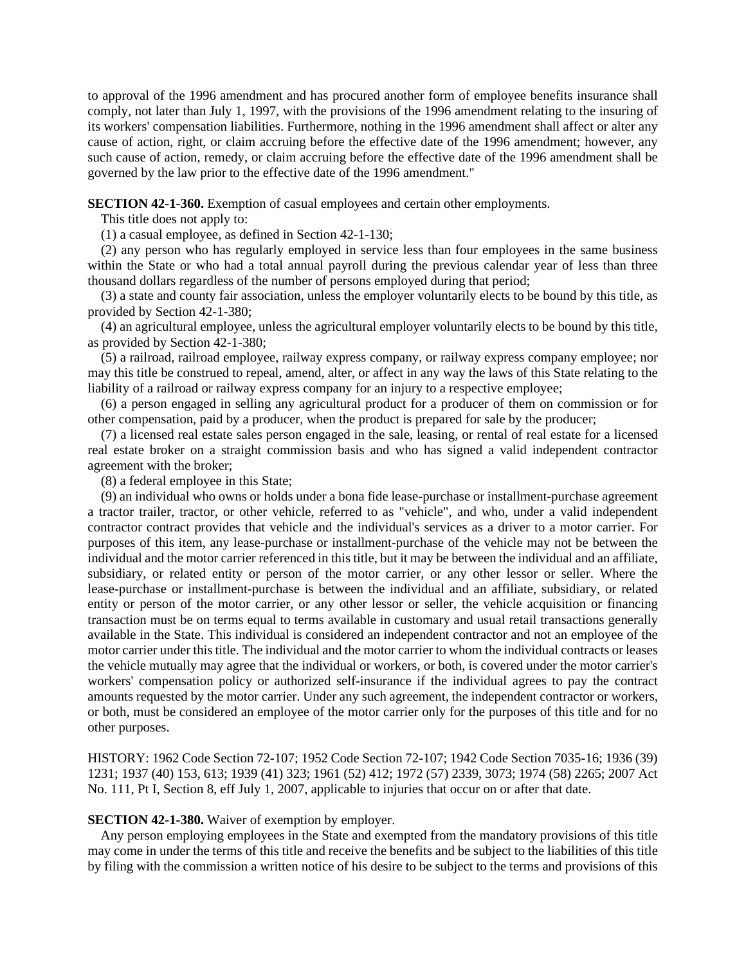to approval of the 1996 amendment and has procured another form of employee benefits insurance shall comply, not later than July 1, 1997, with the provisions of the 1996 amendment relating to the insuring of its workers' compensation liabilities. Furthermore, nothing in the 1996 amendment shall affect or alter any cause of action, right, or claim accruing before the effective date of the 1996 amendment; however, any such cause of action, remedy, or claim accruing before the effective date of the 1996 amendment shall be governed by the law prior to the effective date of the 1996 amendment."

**SECTION 42-1-360.** Exemption of casual employees and certain other employments.

This title does not apply to:

(1) a casual employee, as defined in Section 42-1-130;

(2) any person who has regularly employed in service less than four employees in the same business within the State or who had a total annual payroll during the previous calendar year of less than three thousand dollars regardless of the number of persons employed during that period;

(3) a state and county fair association, unless the employer voluntarily elects to be bound by this title, as provided by Section 42-1-380;

(4) an agricultural employee, unless the agricultural employer voluntarily elects to be bound by this title, as provided by Section 42-1-380;

(5) a railroad, railroad employee, railway express company, or railway express company employee; nor may this title be construed to repeal, amend, alter, or affect in any way the laws of this State relating to the liability of a railroad or railway express company for an injury to a respective employee;

(6) a person engaged in selling any agricultural product for a producer of them on commission or for other compensation, paid by a producer, when the product is prepared for sale by the producer;

(7) a licensed real estate sales person engaged in the sale, leasing, or rental of real estate for a licensed real estate broker on a straight commission basis and who has signed a valid independent contractor agreement with the broker;

(8) a federal employee in this State;

(9) an individual who owns or holds under a bona fide lease-purchase or installment-purchase agreement a tractor trailer, tractor, or other vehicle, referred to as "vehicle", and who, under a valid independent contractor contract provides that vehicle and the individual's services as a driver to a motor carrier. For purposes of this item, any lease-purchase or installment-purchase of the vehicle may not be between the individual and the motor carrier referenced in this title, but it may be between the individual and an affiliate, subsidiary, or related entity or person of the motor carrier, or any other lessor or seller. Where the lease-purchase or installment-purchase is between the individual and an affiliate, subsidiary, or related entity or person of the motor carrier, or any other lessor or seller, the vehicle acquisition or financing transaction must be on terms equal to terms available in customary and usual retail transactions generally available in the State. This individual is considered an independent contractor and not an employee of the motor carrier under this title. The individual and the motor carrier to whom the individual contracts or leases the vehicle mutually may agree that the individual or workers, or both, is covered under the motor carrier's workers' compensation policy or authorized self-insurance if the individual agrees to pay the contract amounts requested by the motor carrier. Under any such agreement, the independent contractor or workers, or both, must be considered an employee of the motor carrier only for the purposes of this title and for no other purposes.

HISTORY: 1962 Code Section 72-107; 1952 Code Section 72-107; 1942 Code Section 7035-16; 1936 (39) 1231; 1937 (40) 153, 613; 1939 (41) 323; 1961 (52) 412; 1972 (57) 2339, 3073; 1974 (58) 2265; 2007 Act No. 111, Pt I, Section 8, eff July 1, 2007, applicable to injuries that occur on or after that date.

### **SECTION 42-1-380.** Waiver of exemption by employer.

Any person employing employees in the State and exempted from the mandatory provisions of this title may come in under the terms of this title and receive the benefits and be subject to the liabilities of this title by filing with the commission a written notice of his desire to be subject to the terms and provisions of this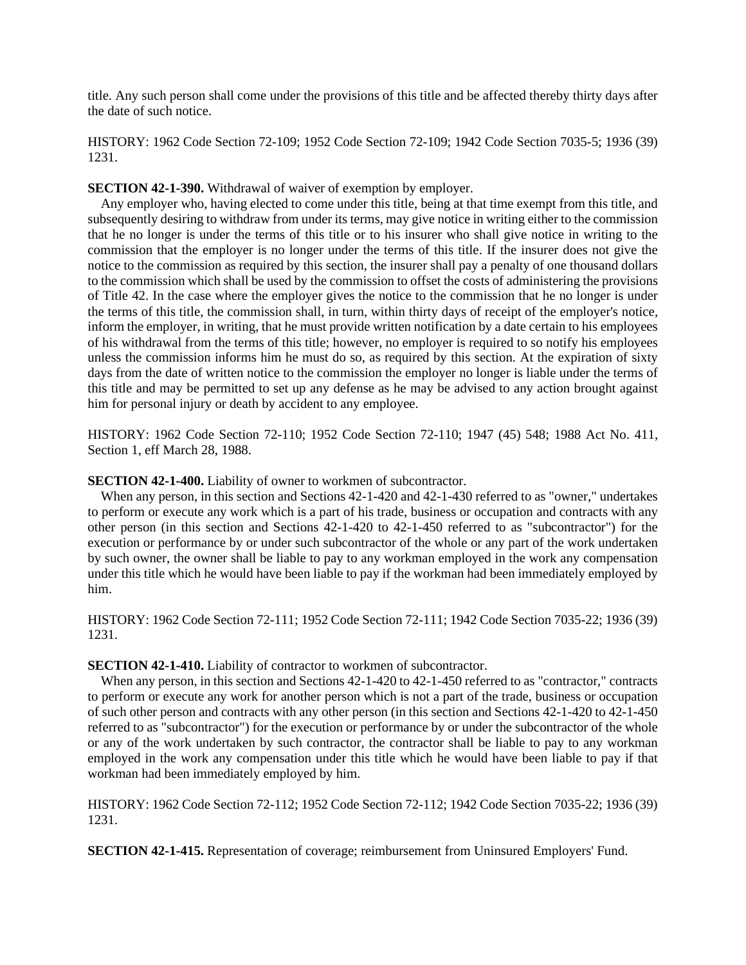title. Any such person shall come under the provisions of this title and be affected thereby thirty days after the date of such notice.

HISTORY: 1962 Code Section 72-109; 1952 Code Section 72-109; 1942 Code Section 7035-5; 1936 (39) 1231.

# **SECTION 42-1-390.** Withdrawal of waiver of exemption by employer.

Any employer who, having elected to come under this title, being at that time exempt from this title, and subsequently desiring to withdraw from under its terms, may give notice in writing either to the commission that he no longer is under the terms of this title or to his insurer who shall give notice in writing to the commission that the employer is no longer under the terms of this title. If the insurer does not give the notice to the commission as required by this section, the insurer shall pay a penalty of one thousand dollars to the commission which shall be used by the commission to offset the costs of administering the provisions of Title 42. In the case where the employer gives the notice to the commission that he no longer is under the terms of this title, the commission shall, in turn, within thirty days of receipt of the employer's notice, inform the employer, in writing, that he must provide written notification by a date certain to his employees of his withdrawal from the terms of this title; however, no employer is required to so notify his employees unless the commission informs him he must do so, as required by this section. At the expiration of sixty days from the date of written notice to the commission the employer no longer is liable under the terms of this title and may be permitted to set up any defense as he may be advised to any action brought against him for personal injury or death by accident to any employee.

HISTORY: 1962 Code Section 72-110; 1952 Code Section 72-110; 1947 (45) 548; 1988 Act No. 411, Section 1, eff March 28, 1988.

# **SECTION 42-1-400.** Liability of owner to workmen of subcontractor.

When any person, in this section and Sections 42-1-420 and 42-1-430 referred to as "owner," undertakes to perform or execute any work which is a part of his trade, business or occupation and contracts with any other person (in this section and Sections 42-1-420 to 42-1-450 referred to as "subcontractor") for the execution or performance by or under such subcontractor of the whole or any part of the work undertaken by such owner, the owner shall be liable to pay to any workman employed in the work any compensation under this title which he would have been liable to pay if the workman had been immediately employed by him.

HISTORY: 1962 Code Section 72-111; 1952 Code Section 72-111; 1942 Code Section 7035-22; 1936 (39) 1231.

# **SECTION 42-1-410.** Liability of contractor to workmen of subcontractor.

When any person, in this section and Sections 42-1-420 to 42-1-450 referred to as "contractor," contracts to perform or execute any work for another person which is not a part of the trade, business or occupation of such other person and contracts with any other person (in this section and Sections 42-1-420 to 42-1-450 referred to as "subcontractor") for the execution or performance by or under the subcontractor of the whole or any of the work undertaken by such contractor, the contractor shall be liable to pay to any workman employed in the work any compensation under this title which he would have been liable to pay if that workman had been immediately employed by him.

HISTORY: 1962 Code Section 72-112; 1952 Code Section 72-112; 1942 Code Section 7035-22; 1936 (39) 1231.

**SECTION 42-1-415.** Representation of coverage; reimbursement from Uninsured Employers' Fund.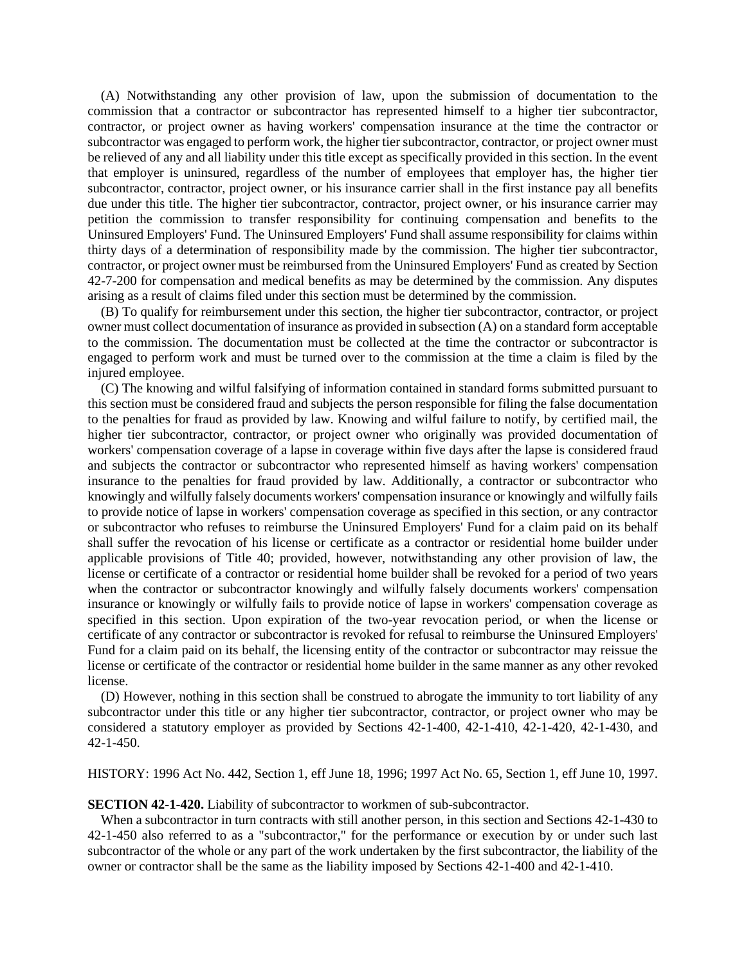(A) Notwithstanding any other provision of law, upon the submission of documentation to the commission that a contractor or subcontractor has represented himself to a higher tier subcontractor, contractor, or project owner as having workers' compensation insurance at the time the contractor or subcontractor was engaged to perform work, the higher tier subcontractor, contractor, or project owner must be relieved of any and all liability under this title except as specifically provided in this section. In the event that employer is uninsured, regardless of the number of employees that employer has, the higher tier subcontractor, contractor, project owner, or his insurance carrier shall in the first instance pay all benefits due under this title. The higher tier subcontractor, contractor, project owner, or his insurance carrier may petition the commission to transfer responsibility for continuing compensation and benefits to the Uninsured Employers' Fund. The Uninsured Employers' Fund shall assume responsibility for claims within thirty days of a determination of responsibility made by the commission. The higher tier subcontractor, contractor, or project owner must be reimbursed from the Uninsured Employers' Fund as created by Section 42-7-200 for compensation and medical benefits as may be determined by the commission. Any disputes arising as a result of claims filed under this section must be determined by the commission.

(B) To qualify for reimbursement under this section, the higher tier subcontractor, contractor, or project owner must collect documentation of insurance as provided in subsection (A) on a standard form acceptable to the commission. The documentation must be collected at the time the contractor or subcontractor is engaged to perform work and must be turned over to the commission at the time a claim is filed by the injured employee.

(C) The knowing and wilful falsifying of information contained in standard forms submitted pursuant to this section must be considered fraud and subjects the person responsible for filing the false documentation to the penalties for fraud as provided by law. Knowing and wilful failure to notify, by certified mail, the higher tier subcontractor, contractor, or project owner who originally was provided documentation of workers' compensation coverage of a lapse in coverage within five days after the lapse is considered fraud and subjects the contractor or subcontractor who represented himself as having workers' compensation insurance to the penalties for fraud provided by law. Additionally, a contractor or subcontractor who knowingly and wilfully falsely documents workers' compensation insurance or knowingly and wilfully fails to provide notice of lapse in workers' compensation coverage as specified in this section, or any contractor or subcontractor who refuses to reimburse the Uninsured Employers' Fund for a claim paid on its behalf shall suffer the revocation of his license or certificate as a contractor or residential home builder under applicable provisions of Title 40; provided, however, notwithstanding any other provision of law, the license or certificate of a contractor or residential home builder shall be revoked for a period of two years when the contractor or subcontractor knowingly and wilfully falsely documents workers' compensation insurance or knowingly or wilfully fails to provide notice of lapse in workers' compensation coverage as specified in this section. Upon expiration of the two-year revocation period, or when the license or certificate of any contractor or subcontractor is revoked for refusal to reimburse the Uninsured Employers' Fund for a claim paid on its behalf, the licensing entity of the contractor or subcontractor may reissue the license or certificate of the contractor or residential home builder in the same manner as any other revoked license.

(D) However, nothing in this section shall be construed to abrogate the immunity to tort liability of any subcontractor under this title or any higher tier subcontractor, contractor, or project owner who may be considered a statutory employer as provided by Sections 42-1-400, 42-1-410, 42-1-420, 42-1-430, and 42-1-450.

HISTORY: 1996 Act No. 442, Section 1, eff June 18, 1996; 1997 Act No. 65, Section 1, eff June 10, 1997.

**SECTION 42-1-420.** Liability of subcontractor to workmen of sub-subcontractor.

When a subcontractor in turn contracts with still another person, in this section and Sections 42-1-430 to 42-1-450 also referred to as a "subcontractor," for the performance or execution by or under such last subcontractor of the whole or any part of the work undertaken by the first subcontractor, the liability of the owner or contractor shall be the same as the liability imposed by Sections 42-1-400 and 42-1-410.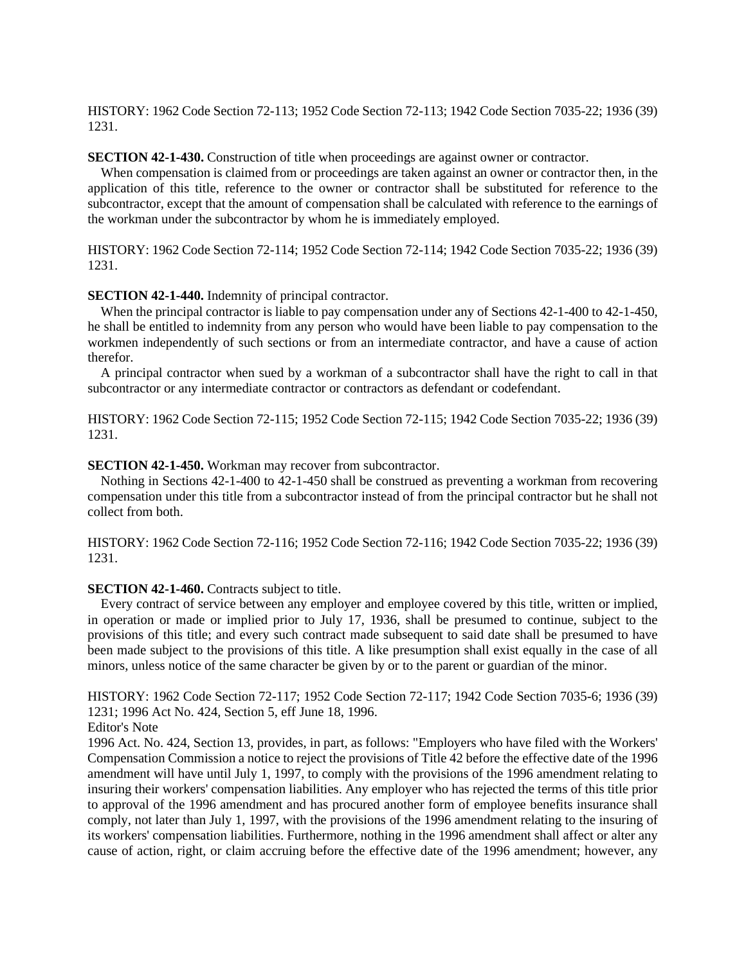HISTORY: 1962 Code Section 72-113; 1952 Code Section 72-113; 1942 Code Section 7035-22; 1936 (39) 1231.

**SECTION 42-1-430.** Construction of title when proceedings are against owner or contractor.

When compensation is claimed from or proceedings are taken against an owner or contractor then, in the application of this title, reference to the owner or contractor shall be substituted for reference to the subcontractor, except that the amount of compensation shall be calculated with reference to the earnings of the workman under the subcontractor by whom he is immediately employed.

HISTORY: 1962 Code Section 72-114; 1952 Code Section 72-114; 1942 Code Section 7035-22; 1936 (39) 1231.

# **SECTION 42-1-440.** Indemnity of principal contractor.

When the principal contractor is liable to pay compensation under any of Sections  $42$ -1-400 to  $42$ -1-450, he shall be entitled to indemnity from any person who would have been liable to pay compensation to the workmen independently of such sections or from an intermediate contractor, and have a cause of action therefor.

A principal contractor when sued by a workman of a subcontractor shall have the right to call in that subcontractor or any intermediate contractor or contractors as defendant or codefendant.

HISTORY: 1962 Code Section 72-115; 1952 Code Section 72-115; 1942 Code Section 7035-22; 1936 (39) 1231.

# **SECTION 42-1-450.** Workman may recover from subcontractor.

Nothing in Sections 42-1-400 to 42-1-450 shall be construed as preventing a workman from recovering compensation under this title from a subcontractor instead of from the principal contractor but he shall not collect from both.

HISTORY: 1962 Code Section 72-116; 1952 Code Section 72-116; 1942 Code Section 7035-22; 1936 (39) 1231.

# **SECTION 42-1-460.** Contracts subject to title.

Every contract of service between any employer and employee covered by this title, written or implied, in operation or made or implied prior to July 17, 1936, shall be presumed to continue, subject to the provisions of this title; and every such contract made subsequent to said date shall be presumed to have been made subject to the provisions of this title. A like presumption shall exist equally in the case of all minors, unless notice of the same character be given by or to the parent or guardian of the minor.

HISTORY: 1962 Code Section 72-117; 1952 Code Section 72-117; 1942 Code Section 7035-6; 1936 (39) 1231; 1996 Act No. 424, Section 5, eff June 18, 1996.

Editor's Note

1996 Act. No. 424, Section 13, provides, in part, as follows: "Employers who have filed with the Workers' Compensation Commission a notice to reject the provisions of Title 42 before the effective date of the 1996 amendment will have until July 1, 1997, to comply with the provisions of the 1996 amendment relating to insuring their workers' compensation liabilities. Any employer who has rejected the terms of this title prior to approval of the 1996 amendment and has procured another form of employee benefits insurance shall comply, not later than July 1, 1997, with the provisions of the 1996 amendment relating to the insuring of its workers' compensation liabilities. Furthermore, nothing in the 1996 amendment shall affect or alter any cause of action, right, or claim accruing before the effective date of the 1996 amendment; however, any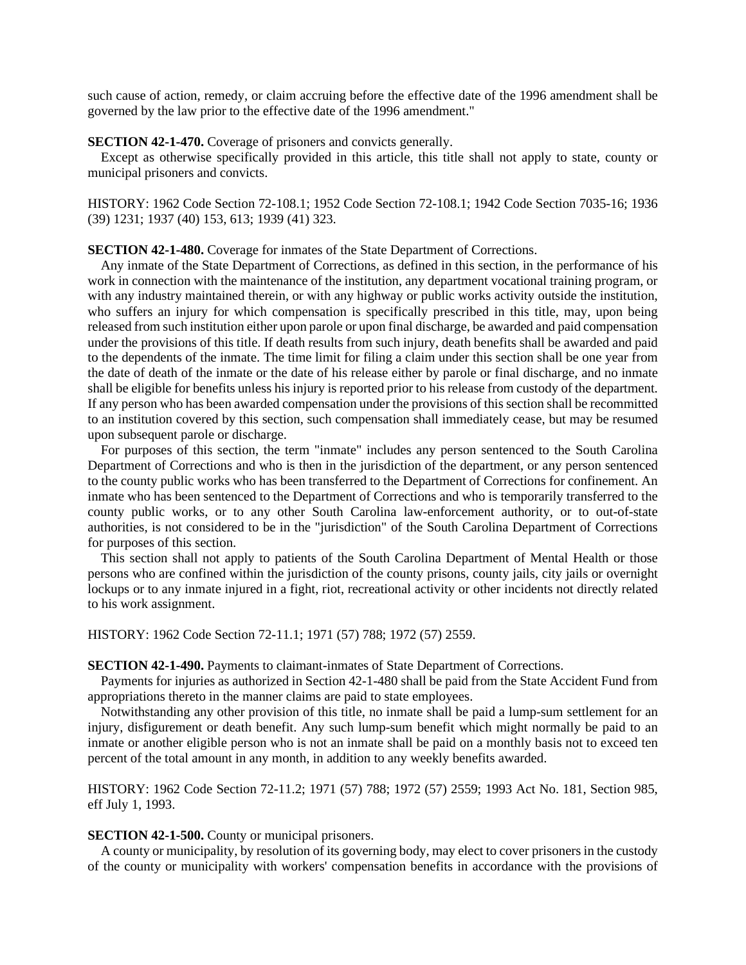such cause of action, remedy, or claim accruing before the effective date of the 1996 amendment shall be governed by the law prior to the effective date of the 1996 amendment."

#### **SECTION 42-1-470.** Coverage of prisoners and convicts generally.

Except as otherwise specifically provided in this article, this title shall not apply to state, county or municipal prisoners and convicts.

HISTORY: 1962 Code Section 72-108.1; 1952 Code Section 72-108.1; 1942 Code Section 7035-16; 1936 (39) 1231; 1937 (40) 153, 613; 1939 (41) 323.

**SECTION 42-1-480.** Coverage for inmates of the State Department of Corrections.

Any inmate of the State Department of Corrections, as defined in this section, in the performance of his work in connection with the maintenance of the institution, any department vocational training program, or with any industry maintained therein, or with any highway or public works activity outside the institution, who suffers an injury for which compensation is specifically prescribed in this title, may, upon being released from such institution either upon parole or upon final discharge, be awarded and paid compensation under the provisions of this title. If death results from such injury, death benefits shall be awarded and paid to the dependents of the inmate. The time limit for filing a claim under this section shall be one year from the date of death of the inmate or the date of his release either by parole or final discharge, and no inmate shall be eligible for benefits unless his injury is reported prior to his release from custody of the department. If any person who has been awarded compensation under the provisions of this section shall be recommitted to an institution covered by this section, such compensation shall immediately cease, but may be resumed upon subsequent parole or discharge.

For purposes of this section, the term "inmate" includes any person sentenced to the South Carolina Department of Corrections and who is then in the jurisdiction of the department, or any person sentenced to the county public works who has been transferred to the Department of Corrections for confinement. An inmate who has been sentenced to the Department of Corrections and who is temporarily transferred to the county public works, or to any other South Carolina law-enforcement authority, or to out-of-state authorities, is not considered to be in the "jurisdiction" of the South Carolina Department of Corrections for purposes of this section.

This section shall not apply to patients of the South Carolina Department of Mental Health or those persons who are confined within the jurisdiction of the county prisons, county jails, city jails or overnight lockups or to any inmate injured in a fight, riot, recreational activity or other incidents not directly related to his work assignment.

HISTORY: 1962 Code Section 72-11.1; 1971 (57) 788; 1972 (57) 2559.

#### **SECTION 42-1-490.** Payments to claimant-inmates of State Department of Corrections.

Payments for injuries as authorized in Section 42-1-480 shall be paid from the State Accident Fund from appropriations thereto in the manner claims are paid to state employees.

Notwithstanding any other provision of this title, no inmate shall be paid a lump-sum settlement for an injury, disfigurement or death benefit. Any such lump-sum benefit which might normally be paid to an inmate or another eligible person who is not an inmate shall be paid on a monthly basis not to exceed ten percent of the total amount in any month, in addition to any weekly benefits awarded.

HISTORY: 1962 Code Section 72-11.2; 1971 (57) 788; 1972 (57) 2559; 1993 Act No. 181, Section 985, eff July 1, 1993.

### **SECTION 42-1-500.** County or municipal prisoners.

A county or municipality, by resolution of its governing body, may elect to cover prisoners in the custody of the county or municipality with workers' compensation benefits in accordance with the provisions of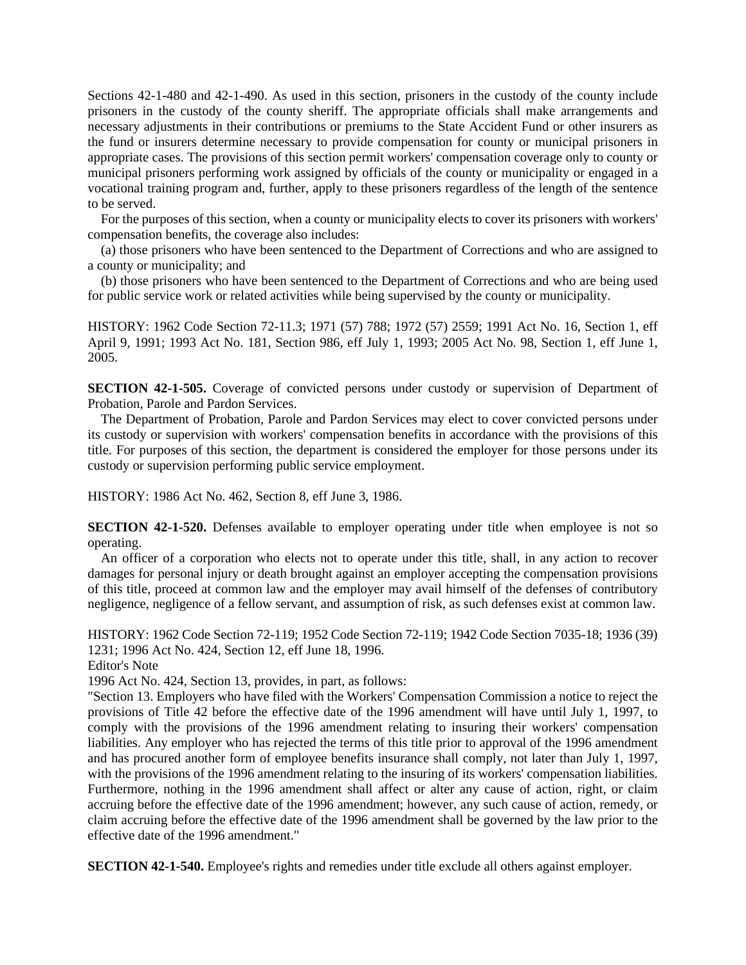Sections 42-1-480 and 42-1-490. As used in this section, prisoners in the custody of the county include prisoners in the custody of the county sheriff. The appropriate officials shall make arrangements and necessary adjustments in their contributions or premiums to the State Accident Fund or other insurers as the fund or insurers determine necessary to provide compensation for county or municipal prisoners in appropriate cases. The provisions of this section permit workers' compensation coverage only to county or municipal prisoners performing work assigned by officials of the county or municipality or engaged in a vocational training program and, further, apply to these prisoners regardless of the length of the sentence to be served.

For the purposes of this section, when a county or municipality elects to cover its prisoners with workers' compensation benefits, the coverage also includes:

(a) those prisoners who have been sentenced to the Department of Corrections and who are assigned to a county or municipality; and

(b) those prisoners who have been sentenced to the Department of Corrections and who are being used for public service work or related activities while being supervised by the county or municipality.

HISTORY: 1962 Code Section 72-11.3; 1971 (57) 788; 1972 (57) 2559; 1991 Act No. 16, Section 1, eff April 9, 1991; 1993 Act No. 181, Section 986, eff July 1, 1993; 2005 Act No. 98, Section 1, eff June 1, 2005.

**SECTION 42-1-505.** Coverage of convicted persons under custody or supervision of Department of Probation, Parole and Pardon Services.

The Department of Probation, Parole and Pardon Services may elect to cover convicted persons under its custody or supervision with workers' compensation benefits in accordance with the provisions of this title. For purposes of this section, the department is considered the employer for those persons under its custody or supervision performing public service employment.

HISTORY: 1986 Act No. 462, Section 8, eff June 3, 1986.

**SECTION 42-1-520.** Defenses available to employer operating under title when employee is not so operating.

An officer of a corporation who elects not to operate under this title, shall, in any action to recover damages for personal injury or death brought against an employer accepting the compensation provisions of this title, proceed at common law and the employer may avail himself of the defenses of contributory negligence, negligence of a fellow servant, and assumption of risk, as such defenses exist at common law.

HISTORY: 1962 Code Section 72-119; 1952 Code Section 72-119; 1942 Code Section 7035-18; 1936 (39) 1231; 1996 Act No. 424, Section 12, eff June 18, 1996.

Editor's Note

1996 Act No. 424, Section 13, provides, in part, as follows:

"Section 13. Employers who have filed with the Workers' Compensation Commission a notice to reject the provisions of Title 42 before the effective date of the 1996 amendment will have until July 1, 1997, to comply with the provisions of the 1996 amendment relating to insuring their workers' compensation liabilities. Any employer who has rejected the terms of this title prior to approval of the 1996 amendment and has procured another form of employee benefits insurance shall comply, not later than July 1, 1997, with the provisions of the 1996 amendment relating to the insuring of its workers' compensation liabilities. Furthermore, nothing in the 1996 amendment shall affect or alter any cause of action, right, or claim accruing before the effective date of the 1996 amendment; however, any such cause of action, remedy, or claim accruing before the effective date of the 1996 amendment shall be governed by the law prior to the effective date of the 1996 amendment."

**SECTION 42-1-540.** Employee's rights and remedies under title exclude all others against employer.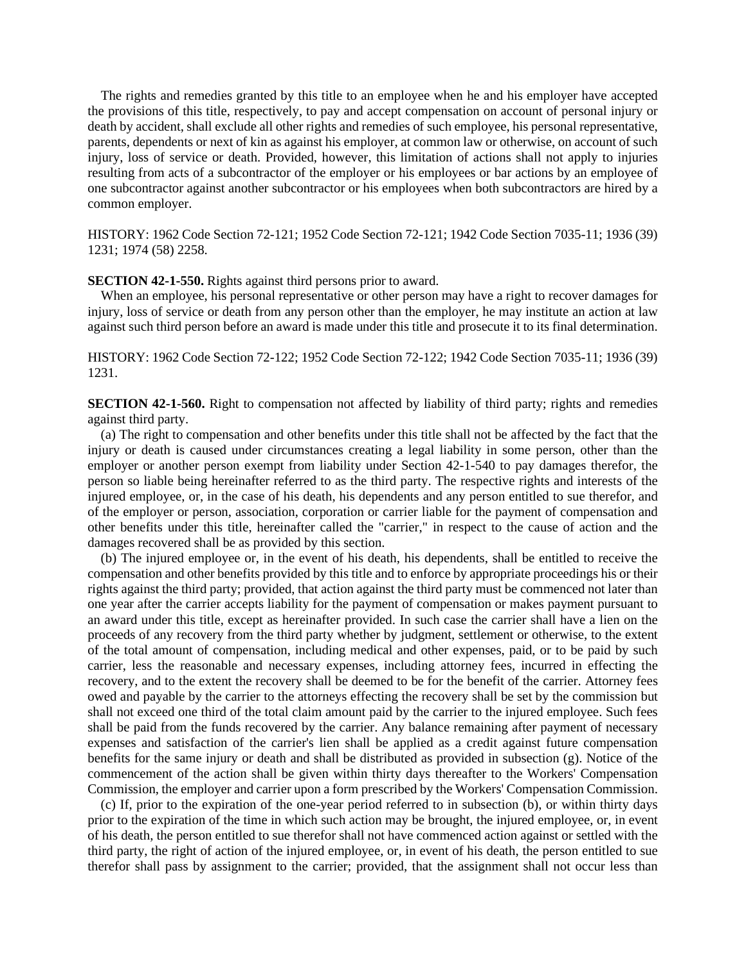The rights and remedies granted by this title to an employee when he and his employer have accepted the provisions of this title, respectively, to pay and accept compensation on account of personal injury or death by accident, shall exclude all other rights and remedies of such employee, his personal representative, parents, dependents or next of kin as against his employer, at common law or otherwise, on account of such injury, loss of service or death. Provided, however, this limitation of actions shall not apply to injuries resulting from acts of a subcontractor of the employer or his employees or bar actions by an employee of one subcontractor against another subcontractor or his employees when both subcontractors are hired by a common employer.

HISTORY: 1962 Code Section 72-121; 1952 Code Section 72-121; 1942 Code Section 7035-11; 1936 (39) 1231; 1974 (58) 2258.

# **SECTION 42-1-550.** Rights against third persons prior to award.

When an employee, his personal representative or other person may have a right to recover damages for injury, loss of service or death from any person other than the employer, he may institute an action at law against such third person before an award is made under this title and prosecute it to its final determination.

HISTORY: 1962 Code Section 72-122; 1952 Code Section 72-122; 1942 Code Section 7035-11; 1936 (39) 1231.

**SECTION 42-1-560.** Right to compensation not affected by liability of third party; rights and remedies against third party.

(a) The right to compensation and other benefits under this title shall not be affected by the fact that the injury or death is caused under circumstances creating a legal liability in some person, other than the employer or another person exempt from liability under Section 42-1-540 to pay damages therefor, the person so liable being hereinafter referred to as the third party. The respective rights and interests of the injured employee, or, in the case of his death, his dependents and any person entitled to sue therefor, and of the employer or person, association, corporation or carrier liable for the payment of compensation and other benefits under this title, hereinafter called the "carrier," in respect to the cause of action and the damages recovered shall be as provided by this section.

(b) The injured employee or, in the event of his death, his dependents, shall be entitled to receive the compensation and other benefits provided by this title and to enforce by appropriate proceedings his or their rights against the third party; provided, that action against the third party must be commenced not later than one year after the carrier accepts liability for the payment of compensation or makes payment pursuant to an award under this title, except as hereinafter provided. In such case the carrier shall have a lien on the proceeds of any recovery from the third party whether by judgment, settlement or otherwise, to the extent of the total amount of compensation, including medical and other expenses, paid, or to be paid by such carrier, less the reasonable and necessary expenses, including attorney fees, incurred in effecting the recovery, and to the extent the recovery shall be deemed to be for the benefit of the carrier. Attorney fees owed and payable by the carrier to the attorneys effecting the recovery shall be set by the commission but shall not exceed one third of the total claim amount paid by the carrier to the injured employee. Such fees shall be paid from the funds recovered by the carrier. Any balance remaining after payment of necessary expenses and satisfaction of the carrier's lien shall be applied as a credit against future compensation benefits for the same injury or death and shall be distributed as provided in subsection (g). Notice of the commencement of the action shall be given within thirty days thereafter to the Workers' Compensation Commission, the employer and carrier upon a form prescribed by the Workers' Compensation Commission.

(c) If, prior to the expiration of the one-year period referred to in subsection (b), or within thirty days prior to the expiration of the time in which such action may be brought, the injured employee, or, in event of his death, the person entitled to sue therefor shall not have commenced action against or settled with the third party, the right of action of the injured employee, or, in event of his death, the person entitled to sue therefor shall pass by assignment to the carrier; provided, that the assignment shall not occur less than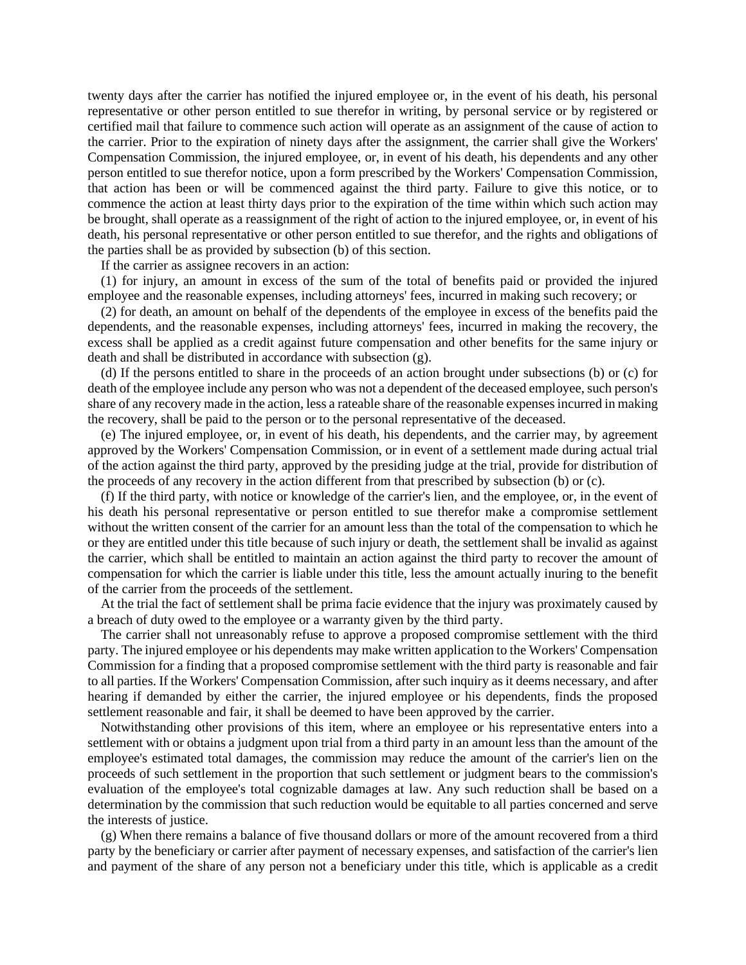twenty days after the carrier has notified the injured employee or, in the event of his death, his personal representative or other person entitled to sue therefor in writing, by personal service or by registered or certified mail that failure to commence such action will operate as an assignment of the cause of action to the carrier. Prior to the expiration of ninety days after the assignment, the carrier shall give the Workers' Compensation Commission, the injured employee, or, in event of his death, his dependents and any other person entitled to sue therefor notice, upon a form prescribed by the Workers' Compensation Commission, that action has been or will be commenced against the third party. Failure to give this notice, or to commence the action at least thirty days prior to the expiration of the time within which such action may be brought, shall operate as a reassignment of the right of action to the injured employee, or, in event of his death, his personal representative or other person entitled to sue therefor, and the rights and obligations of the parties shall be as provided by subsection (b) of this section.

If the carrier as assignee recovers in an action:

(1) for injury, an amount in excess of the sum of the total of benefits paid or provided the injured employee and the reasonable expenses, including attorneys' fees, incurred in making such recovery; or

(2) for death, an amount on behalf of the dependents of the employee in excess of the benefits paid the dependents, and the reasonable expenses, including attorneys' fees, incurred in making the recovery, the excess shall be applied as a credit against future compensation and other benefits for the same injury or death and shall be distributed in accordance with subsection (g).

(d) If the persons entitled to share in the proceeds of an action brought under subsections (b) or (c) for death of the employee include any person who was not a dependent of the deceased employee, such person's share of any recovery made in the action, less a rateable share of the reasonable expenses incurred in making the recovery, shall be paid to the person or to the personal representative of the deceased.

(e) The injured employee, or, in event of his death, his dependents, and the carrier may, by agreement approved by the Workers' Compensation Commission, or in event of a settlement made during actual trial of the action against the third party, approved by the presiding judge at the trial, provide for distribution of the proceeds of any recovery in the action different from that prescribed by subsection (b) or (c).

(f) If the third party, with notice or knowledge of the carrier's lien, and the employee, or, in the event of his death his personal representative or person entitled to sue therefor make a compromise settlement without the written consent of the carrier for an amount less than the total of the compensation to which he or they are entitled under this title because of such injury or death, the settlement shall be invalid as against the carrier, which shall be entitled to maintain an action against the third party to recover the amount of compensation for which the carrier is liable under this title, less the amount actually inuring to the benefit of the carrier from the proceeds of the settlement.

At the trial the fact of settlement shall be prima facie evidence that the injury was proximately caused by a breach of duty owed to the employee or a warranty given by the third party.

The carrier shall not unreasonably refuse to approve a proposed compromise settlement with the third party. The injured employee or his dependents may make written application to the Workers' Compensation Commission for a finding that a proposed compromise settlement with the third party is reasonable and fair to all parties. If the Workers' Compensation Commission, after such inquiry as it deems necessary, and after hearing if demanded by either the carrier, the injured employee or his dependents, finds the proposed settlement reasonable and fair, it shall be deemed to have been approved by the carrier.

Notwithstanding other provisions of this item, where an employee or his representative enters into a settlement with or obtains a judgment upon trial from a third party in an amount less than the amount of the employee's estimated total damages, the commission may reduce the amount of the carrier's lien on the proceeds of such settlement in the proportion that such settlement or judgment bears to the commission's evaluation of the employee's total cognizable damages at law. Any such reduction shall be based on a determination by the commission that such reduction would be equitable to all parties concerned and serve the interests of justice.

(g) When there remains a balance of five thousand dollars or more of the amount recovered from a third party by the beneficiary or carrier after payment of necessary expenses, and satisfaction of the carrier's lien and payment of the share of any person not a beneficiary under this title, which is applicable as a credit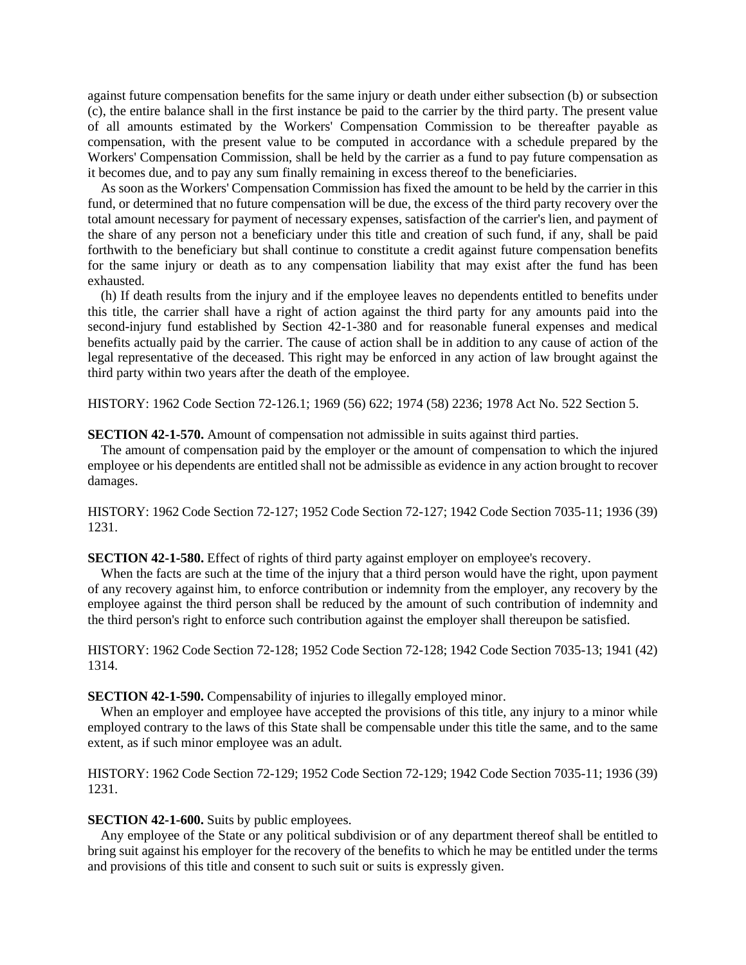against future compensation benefits for the same injury or death under either subsection (b) or subsection (c), the entire balance shall in the first instance be paid to the carrier by the third party. The present value of all amounts estimated by the Workers' Compensation Commission to be thereafter payable as compensation, with the present value to be computed in accordance with a schedule prepared by the Workers' Compensation Commission, shall be held by the carrier as a fund to pay future compensation as it becomes due, and to pay any sum finally remaining in excess thereof to the beneficiaries.

As soon as the Workers' Compensation Commission has fixed the amount to be held by the carrier in this fund, or determined that no future compensation will be due, the excess of the third party recovery over the total amount necessary for payment of necessary expenses, satisfaction of the carrier's lien, and payment of the share of any person not a beneficiary under this title and creation of such fund, if any, shall be paid forthwith to the beneficiary but shall continue to constitute a credit against future compensation benefits for the same injury or death as to any compensation liability that may exist after the fund has been exhausted.

(h) If death results from the injury and if the employee leaves no dependents entitled to benefits under this title, the carrier shall have a right of action against the third party for any amounts paid into the second-injury fund established by Section 42-1-380 and for reasonable funeral expenses and medical benefits actually paid by the carrier. The cause of action shall be in addition to any cause of action of the legal representative of the deceased. This right may be enforced in any action of law brought against the third party within two years after the death of the employee.

HISTORY: 1962 Code Section 72-126.1; 1969 (56) 622; 1974 (58) 2236; 1978 Act No. 522 Section 5.

**SECTION 42-1-570.** Amount of compensation not admissible in suits against third parties.

The amount of compensation paid by the employer or the amount of compensation to which the injured employee or his dependents are entitled shall not be admissible as evidence in any action brought to recover damages.

HISTORY: 1962 Code Section 72-127; 1952 Code Section 72-127; 1942 Code Section 7035-11; 1936 (39) 1231.

**SECTION 42-1-580.** Effect of rights of third party against employer on employee's recovery.

When the facts are such at the time of the injury that a third person would have the right, upon payment of any recovery against him, to enforce contribution or indemnity from the employer, any recovery by the employee against the third person shall be reduced by the amount of such contribution of indemnity and the third person's right to enforce such contribution against the employer shall thereupon be satisfied.

HISTORY: 1962 Code Section 72-128; 1952 Code Section 72-128; 1942 Code Section 7035-13; 1941 (42) 1314.

**SECTION 42-1-590.** Compensability of injuries to illegally employed minor.

When an employer and employee have accepted the provisions of this title, any injury to a minor while employed contrary to the laws of this State shall be compensable under this title the same, and to the same extent, as if such minor employee was an adult.

HISTORY: 1962 Code Section 72-129; 1952 Code Section 72-129; 1942 Code Section 7035-11; 1936 (39) 1231.

### **SECTION 42-1-600.** Suits by public employees.

Any employee of the State or any political subdivision or of any department thereof shall be entitled to bring suit against his employer for the recovery of the benefits to which he may be entitled under the terms and provisions of this title and consent to such suit or suits is expressly given.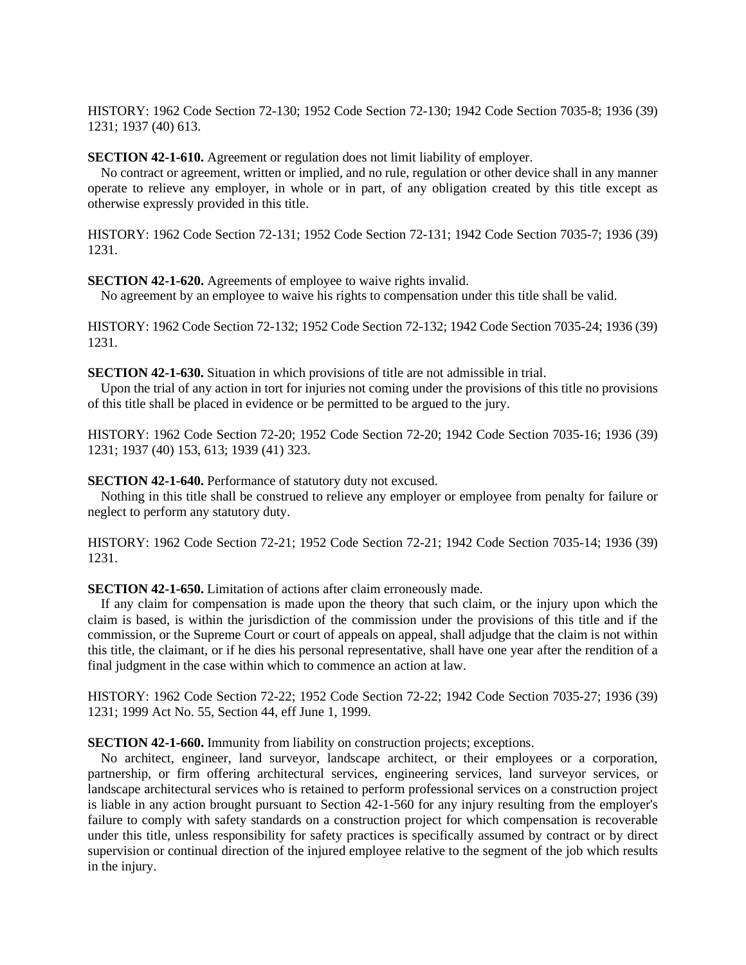HISTORY: 1962 Code Section 72-130; 1952 Code Section 72-130; 1942 Code Section 7035-8; 1936 (39) 1231; 1937 (40) 613.

**SECTION 42-1-610.** Agreement or regulation does not limit liability of employer.

No contract or agreement, written or implied, and no rule, regulation or other device shall in any manner operate to relieve any employer, in whole or in part, of any obligation created by this title except as otherwise expressly provided in this title.

HISTORY: 1962 Code Section 72-131; 1952 Code Section 72-131; 1942 Code Section 7035-7; 1936 (39) 1231.

**SECTION 42-1-620.** Agreements of employee to waive rights invalid.

No agreement by an employee to waive his rights to compensation under this title shall be valid.

HISTORY: 1962 Code Section 72-132; 1952 Code Section 72-132; 1942 Code Section 7035-24; 1936 (39) 1231.

**SECTION 42-1-630.** Situation in which provisions of title are not admissible in trial.

Upon the trial of any action in tort for injuries not coming under the provisions of this title no provisions of this title shall be placed in evidence or be permitted to be argued to the jury.

HISTORY: 1962 Code Section 72-20; 1952 Code Section 72-20; 1942 Code Section 7035-16; 1936 (39) 1231; 1937 (40) 153, 613; 1939 (41) 323.

**SECTION 42-1-640.** Performance of statutory duty not excused.

Nothing in this title shall be construed to relieve any employer or employee from penalty for failure or neglect to perform any statutory duty.

HISTORY: 1962 Code Section 72-21; 1952 Code Section 72-21; 1942 Code Section 7035-14; 1936 (39) 1231.

**SECTION 42-1-650.** Limitation of actions after claim erroneously made.

If any claim for compensation is made upon the theory that such claim, or the injury upon which the claim is based, is within the jurisdiction of the commission under the provisions of this title and if the commission, or the Supreme Court or court of appeals on appeal, shall adjudge that the claim is not within this title, the claimant, or if he dies his personal representative, shall have one year after the rendition of a final judgment in the case within which to commence an action at law.

HISTORY: 1962 Code Section 72-22; 1952 Code Section 72-22; 1942 Code Section 7035-27; 1936 (39) 1231; 1999 Act No. 55, Section 44, eff June 1, 1999.

**SECTION 42-1-660.** Immunity from liability on construction projects; exceptions.

No architect, engineer, land surveyor, landscape architect, or their employees or a corporation, partnership, or firm offering architectural services, engineering services, land surveyor services, or landscape architectural services who is retained to perform professional services on a construction project is liable in any action brought pursuant to Section 42-1-560 for any injury resulting from the employer's failure to comply with safety standards on a construction project for which compensation is recoverable under this title, unless responsibility for safety practices is specifically assumed by contract or by direct supervision or continual direction of the injured employee relative to the segment of the job which results in the injury.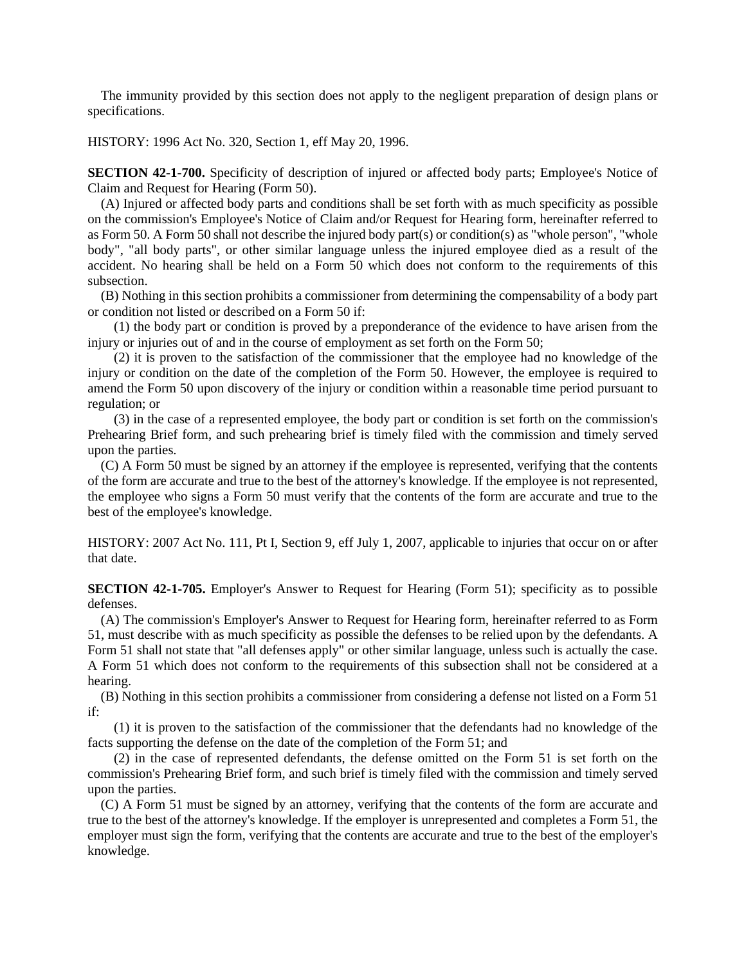The immunity provided by this section does not apply to the negligent preparation of design plans or specifications.

HISTORY: 1996 Act No. 320, Section 1, eff May 20, 1996.

**SECTION 42-1-700.** Specificity of description of injured or affected body parts; Employee's Notice of Claim and Request for Hearing (Form 50).

(A) Injured or affected body parts and conditions shall be set forth with as much specificity as possible on the commission's Employee's Notice of Claim and/or Request for Hearing form, hereinafter referred to as Form 50. A Form 50 shall not describe the injured body part(s) or condition(s) as "whole person", "whole body", "all body parts", or other similar language unless the injured employee died as a result of the accident. No hearing shall be held on a Form 50 which does not conform to the requirements of this subsection.

(B) Nothing in this section prohibits a commissioner from determining the compensability of a body part or condition not listed or described on a Form 50 if:

(1) the body part or condition is proved by a preponderance of the evidence to have arisen from the injury or injuries out of and in the course of employment as set forth on the Form 50;

(2) it is proven to the satisfaction of the commissioner that the employee had no knowledge of the injury or condition on the date of the completion of the Form 50. However, the employee is required to amend the Form 50 upon discovery of the injury or condition within a reasonable time period pursuant to regulation; or

(3) in the case of a represented employee, the body part or condition is set forth on the commission's Prehearing Brief form, and such prehearing brief is timely filed with the commission and timely served upon the parties.

(C) A Form 50 must be signed by an attorney if the employee is represented, verifying that the contents of the form are accurate and true to the best of the attorney's knowledge. If the employee is not represented, the employee who signs a Form 50 must verify that the contents of the form are accurate and true to the best of the employee's knowledge.

HISTORY: 2007 Act No. 111, Pt I, Section 9, eff July 1, 2007, applicable to injuries that occur on or after that date.

**SECTION 42-1-705.** Employer's Answer to Request for Hearing (Form 51); specificity as to possible defenses.

(A) The commission's Employer's Answer to Request for Hearing form, hereinafter referred to as Form 51, must describe with as much specificity as possible the defenses to be relied upon by the defendants. A Form 51 shall not state that "all defenses apply" or other similar language, unless such is actually the case. A Form 51 which does not conform to the requirements of this subsection shall not be considered at a hearing.

(B) Nothing in this section prohibits a commissioner from considering a defense not listed on a Form 51 if:

(1) it is proven to the satisfaction of the commissioner that the defendants had no knowledge of the facts supporting the defense on the date of the completion of the Form 51; and

(2) in the case of represented defendants, the defense omitted on the Form 51 is set forth on the commission's Prehearing Brief form, and such brief is timely filed with the commission and timely served upon the parties.

(C) A Form 51 must be signed by an attorney, verifying that the contents of the form are accurate and true to the best of the attorney's knowledge. If the employer is unrepresented and completes a Form 51, the employer must sign the form, verifying that the contents are accurate and true to the best of the employer's knowledge.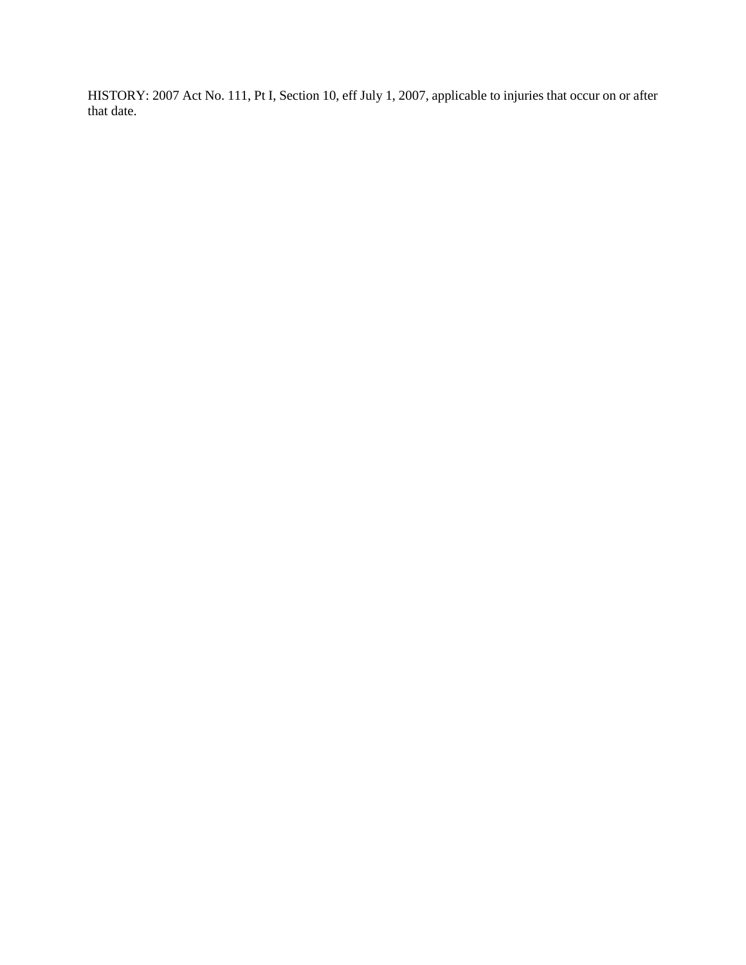HISTORY: 2007 Act No. 111, Pt I, Section 10, eff July 1, 2007, applicable to injuries that occur on or after that date.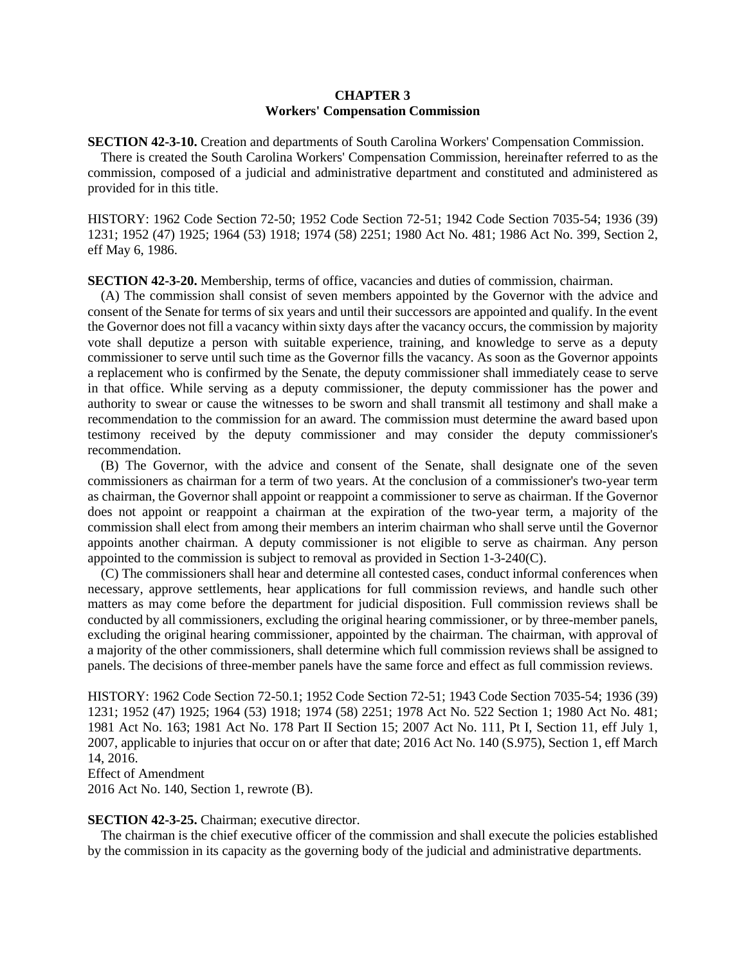# **CHAPTER 3 Workers' Compensation Commission**

**SECTION 42-3-10.** Creation and departments of South Carolina Workers' Compensation Commission.

There is created the South Carolina Workers' Compensation Commission, hereinafter referred to as the commission, composed of a judicial and administrative department and constituted and administered as provided for in this title.

HISTORY: 1962 Code Section 72-50; 1952 Code Section 72-51; 1942 Code Section 7035-54; 1936 (39) 1231; 1952 (47) 1925; 1964 (53) 1918; 1974 (58) 2251; 1980 Act No. 481; 1986 Act No. 399, Section 2, eff May 6, 1986.

**SECTION 42-3-20.** Membership, terms of office, vacancies and duties of commission, chairman.

(A) The commission shall consist of seven members appointed by the Governor with the advice and consent of the Senate for terms of six years and until their successors are appointed and qualify. In the event the Governor does not fill a vacancy within sixty days after the vacancy occurs, the commission by majority vote shall deputize a person with suitable experience, training, and knowledge to serve as a deputy commissioner to serve until such time as the Governor fills the vacancy. As soon as the Governor appoints a replacement who is confirmed by the Senate, the deputy commissioner shall immediately cease to serve in that office. While serving as a deputy commissioner, the deputy commissioner has the power and authority to swear or cause the witnesses to be sworn and shall transmit all testimony and shall make a recommendation to the commission for an award. The commission must determine the award based upon testimony received by the deputy commissioner and may consider the deputy commissioner's recommendation.

(B) The Governor, with the advice and consent of the Senate, shall designate one of the seven commissioners as chairman for a term of two years. At the conclusion of a commissioner's two-year term as chairman, the Governor shall appoint or reappoint a commissioner to serve as chairman. If the Governor does not appoint or reappoint a chairman at the expiration of the two-year term, a majority of the commission shall elect from among their members an interim chairman who shall serve until the Governor appoints another chairman. A deputy commissioner is not eligible to serve as chairman. Any person appointed to the commission is subject to removal as provided in Section 1-3-240(C).

(C) The commissioners shall hear and determine all contested cases, conduct informal conferences when necessary, approve settlements, hear applications for full commission reviews, and handle such other matters as may come before the department for judicial disposition. Full commission reviews shall be conducted by all commissioners, excluding the original hearing commissioner, or by three-member panels, excluding the original hearing commissioner, appointed by the chairman. The chairman, with approval of a majority of the other commissioners, shall determine which full commission reviews shall be assigned to panels. The decisions of three-member panels have the same force and effect as full commission reviews.

HISTORY: 1962 Code Section 72-50.1; 1952 Code Section 72-51; 1943 Code Section 7035-54; 1936 (39) 1231; 1952 (47) 1925; 1964 (53) 1918; 1974 (58) 2251; 1978 Act No. 522 Section 1; 1980 Act No. 481; 1981 Act No. 163; 1981 Act No. 178 Part II Section 15; 2007 Act No. 111, Pt I, Section 11, eff July 1, 2007, applicable to injuries that occur on or after that date; 2016 Act No. 140 (S.975), Section 1, eff March 14, 2016.

Effect of Amendment

2016 Act No. 140, Section 1, rewrote (B).

# **SECTION 42-3-25.** Chairman: executive director.

The chairman is the chief executive officer of the commission and shall execute the policies established by the commission in its capacity as the governing body of the judicial and administrative departments.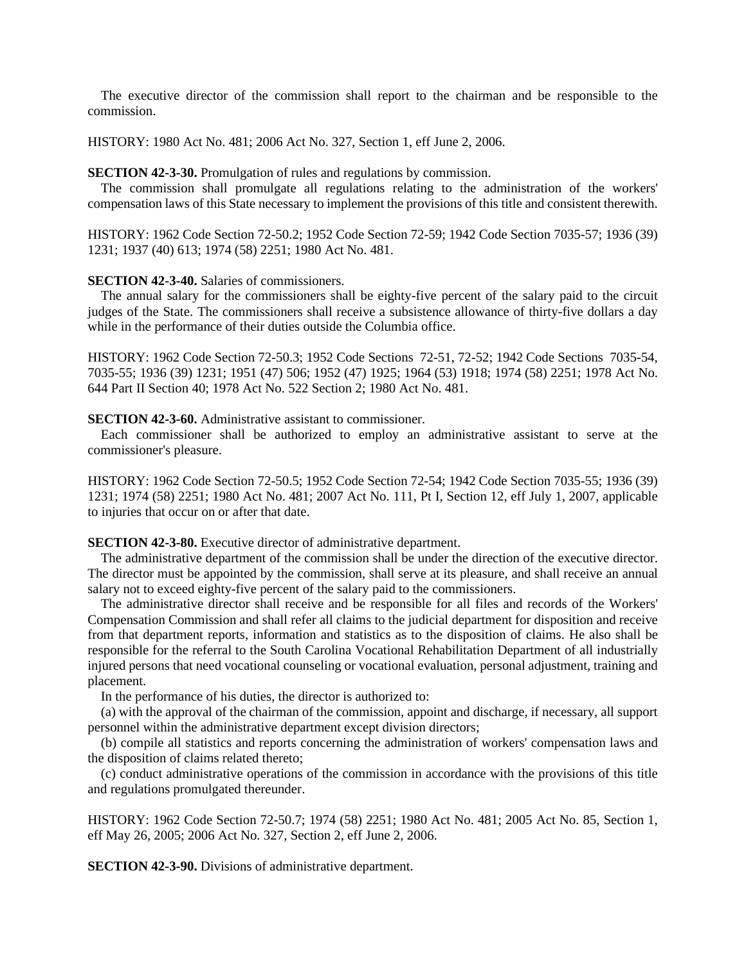The executive director of the commission shall report to the chairman and be responsible to the commission.

HISTORY: 1980 Act No. 481; 2006 Act No. 327, Section 1, eff June 2, 2006.

### **SECTION 42-3-30.** Promulgation of rules and regulations by commission.

The commission shall promulgate all regulations relating to the administration of the workers' compensation laws of this State necessary to implement the provisions of this title and consistent therewith.

HISTORY: 1962 Code Section 72-50.2; 1952 Code Section 72-59; 1942 Code Section 7035-57; 1936 (39) 1231; 1937 (40) 613; 1974 (58) 2251; 1980 Act No. 481.

# **SECTION 42-3-40.** Salaries of commissioners.

The annual salary for the commissioners shall be eighty-five percent of the salary paid to the circuit judges of the State. The commissioners shall receive a subsistence allowance of thirty-five dollars a day while in the performance of their duties outside the Columbia office.

HISTORY: 1962 Code Section 72-50.3; 1952 Code Sections 72-51, 72-52; 1942 Code Sections 7035-54, 7035-55; 1936 (39) 1231; 1951 (47) 506; 1952 (47) 1925; 1964 (53) 1918; 1974 (58) 2251; 1978 Act No. 644 Part II Section 40; 1978 Act No. 522 Section 2; 1980 Act No. 481.

### **SECTION 42-3-60.** Administrative assistant to commissioner.

Each commissioner shall be authorized to employ an administrative assistant to serve at the commissioner's pleasure.

HISTORY: 1962 Code Section 72-50.5; 1952 Code Section 72-54; 1942 Code Section 7035-55; 1936 (39) 1231; 1974 (58) 2251; 1980 Act No. 481; 2007 Act No. 111, Pt I, Section 12, eff July 1, 2007, applicable to injuries that occur on or after that date.

# **SECTION 42-3-80.** Executive director of administrative department.

The administrative department of the commission shall be under the direction of the executive director. The director must be appointed by the commission, shall serve at its pleasure, and shall receive an annual salary not to exceed eighty-five percent of the salary paid to the commissioners.

The administrative director shall receive and be responsible for all files and records of the Workers' Compensation Commission and shall refer all claims to the judicial department for disposition and receive from that department reports, information and statistics as to the disposition of claims. He also shall be responsible for the referral to the South Carolina Vocational Rehabilitation Department of all industrially injured persons that need vocational counseling or vocational evaluation, personal adjustment, training and placement.

In the performance of his duties, the director is authorized to:

(a) with the approval of the chairman of the commission, appoint and discharge, if necessary, all support personnel within the administrative department except division directors;

(b) compile all statistics and reports concerning the administration of workers' compensation laws and the disposition of claims related thereto;

(c) conduct administrative operations of the commission in accordance with the provisions of this title and regulations promulgated thereunder.

HISTORY: 1962 Code Section 72-50.7; 1974 (58) 2251; 1980 Act No. 481; 2005 Act No. 85, Section 1, eff May 26, 2005; 2006 Act No. 327, Section 2, eff June 2, 2006.

**SECTION 42-3-90.** Divisions of administrative department.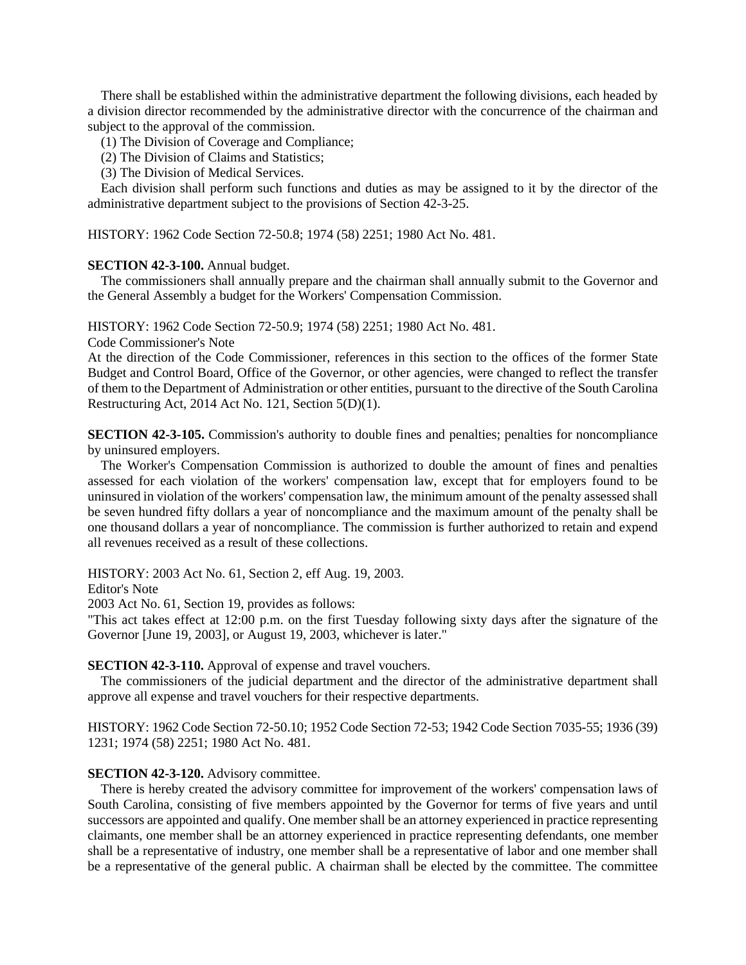There shall be established within the administrative department the following divisions, each headed by a division director recommended by the administrative director with the concurrence of the chairman and subject to the approval of the commission.

(1) The Division of Coverage and Compliance;

(2) The Division of Claims and Statistics;

(3) The Division of Medical Services.

Each division shall perform such functions and duties as may be assigned to it by the director of the administrative department subject to the provisions of Section 42-3-25.

HISTORY: 1962 Code Section 72-50.8; 1974 (58) 2251; 1980 Act No. 481.

### **SECTION 42-3-100.** Annual budget.

The commissioners shall annually prepare and the chairman shall annually submit to the Governor and the General Assembly a budget for the Workers' Compensation Commission.

HISTORY: 1962 Code Section 72-50.9; 1974 (58) 2251; 1980 Act No. 481.

Code Commissioner's Note

At the direction of the Code Commissioner, references in this section to the offices of the former State Budget and Control Board, Office of the Governor, or other agencies, were changed to reflect the transfer of them to the Department of Administration or other entities, pursuant to the directive of the South Carolina Restructuring Act, 2014 Act No. 121, Section 5(D)(1).

**SECTION 42-3-105.** Commission's authority to double fines and penalties; penalties for noncompliance by uninsured employers.

The Worker's Compensation Commission is authorized to double the amount of fines and penalties assessed for each violation of the workers' compensation law, except that for employers found to be uninsured in violation of the workers' compensation law, the minimum amount of the penalty assessed shall be seven hundred fifty dollars a year of noncompliance and the maximum amount of the penalty shall be one thousand dollars a year of noncompliance. The commission is further authorized to retain and expend all revenues received as a result of these collections.

HISTORY: 2003 Act No. 61, Section 2, eff Aug. 19, 2003.

Editor's Note

2003 Act No. 61, Section 19, provides as follows:

"This act takes effect at 12:00 p.m. on the first Tuesday following sixty days after the signature of the Governor [June 19, 2003], or August 19, 2003, whichever is later."

### **SECTION 42-3-110.** Approval of expense and travel vouchers.

The commissioners of the judicial department and the director of the administrative department shall approve all expense and travel vouchers for their respective departments.

HISTORY: 1962 Code Section 72-50.10; 1952 Code Section 72-53; 1942 Code Section 7035-55; 1936 (39) 1231; 1974 (58) 2251; 1980 Act No. 481.

# **SECTION 42-3-120.** Advisory committee.

There is hereby created the advisory committee for improvement of the workers' compensation laws of South Carolina, consisting of five members appointed by the Governor for terms of five years and until successors are appointed and qualify. One member shall be an attorney experienced in practice representing claimants, one member shall be an attorney experienced in practice representing defendants, one member shall be a representative of industry, one member shall be a representative of labor and one member shall be a representative of the general public. A chairman shall be elected by the committee. The committee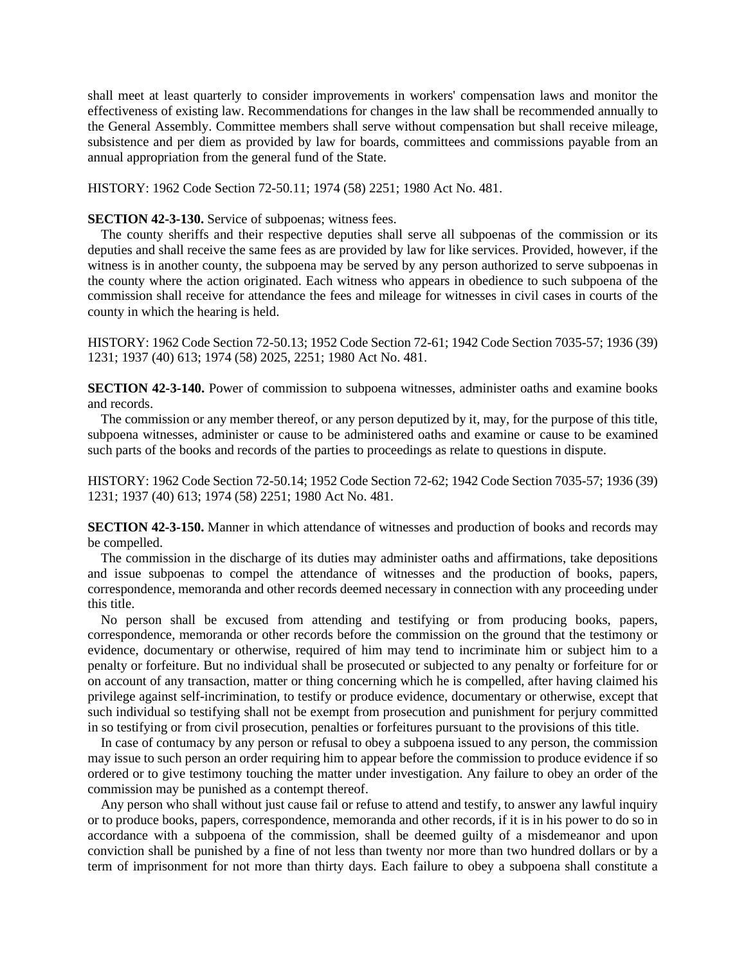shall meet at least quarterly to consider improvements in workers' compensation laws and monitor the effectiveness of existing law. Recommendations for changes in the law shall be recommended annually to the General Assembly. Committee members shall serve without compensation but shall receive mileage, subsistence and per diem as provided by law for boards, committees and commissions payable from an annual appropriation from the general fund of the State.

HISTORY: 1962 Code Section 72-50.11; 1974 (58) 2251; 1980 Act No. 481.

### **SECTION 42-3-130.** Service of subpoenas; witness fees.

The county sheriffs and their respective deputies shall serve all subpoenas of the commission or its deputies and shall receive the same fees as are provided by law for like services. Provided, however, if the witness is in another county, the subpoena may be served by any person authorized to serve subpoenas in the county where the action originated. Each witness who appears in obedience to such subpoena of the commission shall receive for attendance the fees and mileage for witnesses in civil cases in courts of the county in which the hearing is held.

HISTORY: 1962 Code Section 72-50.13; 1952 Code Section 72-61; 1942 Code Section 7035-57; 1936 (39) 1231; 1937 (40) 613; 1974 (58) 2025, 2251; 1980 Act No. 481.

**SECTION 42-3-140.** Power of commission to subpoena witnesses, administer oaths and examine books and records.

The commission or any member thereof, or any person deputized by it, may, for the purpose of this title, subpoena witnesses, administer or cause to be administered oaths and examine or cause to be examined such parts of the books and records of the parties to proceedings as relate to questions in dispute.

HISTORY: 1962 Code Section 72-50.14; 1952 Code Section 72-62; 1942 Code Section 7035-57; 1936 (39) 1231; 1937 (40) 613; 1974 (58) 2251; 1980 Act No. 481.

**SECTION 42-3-150.** Manner in which attendance of witnesses and production of books and records may be compelled.

The commission in the discharge of its duties may administer oaths and affirmations, take depositions and issue subpoenas to compel the attendance of witnesses and the production of books, papers, correspondence, memoranda and other records deemed necessary in connection with any proceeding under this title.

No person shall be excused from attending and testifying or from producing books, papers, correspondence, memoranda or other records before the commission on the ground that the testimony or evidence, documentary or otherwise, required of him may tend to incriminate him or subject him to a penalty or forfeiture. But no individual shall be prosecuted or subjected to any penalty or forfeiture for or on account of any transaction, matter or thing concerning which he is compelled, after having claimed his privilege against self-incrimination, to testify or produce evidence, documentary or otherwise, except that such individual so testifying shall not be exempt from prosecution and punishment for perjury committed in so testifying or from civil prosecution, penalties or forfeitures pursuant to the provisions of this title.

In case of contumacy by any person or refusal to obey a subpoena issued to any person, the commission may issue to such person an order requiring him to appear before the commission to produce evidence if so ordered or to give testimony touching the matter under investigation. Any failure to obey an order of the commission may be punished as a contempt thereof.

Any person who shall without just cause fail or refuse to attend and testify, to answer any lawful inquiry or to produce books, papers, correspondence, memoranda and other records, if it is in his power to do so in accordance with a subpoena of the commission, shall be deemed guilty of a misdemeanor and upon conviction shall be punished by a fine of not less than twenty nor more than two hundred dollars or by a term of imprisonment for not more than thirty days. Each failure to obey a subpoena shall constitute a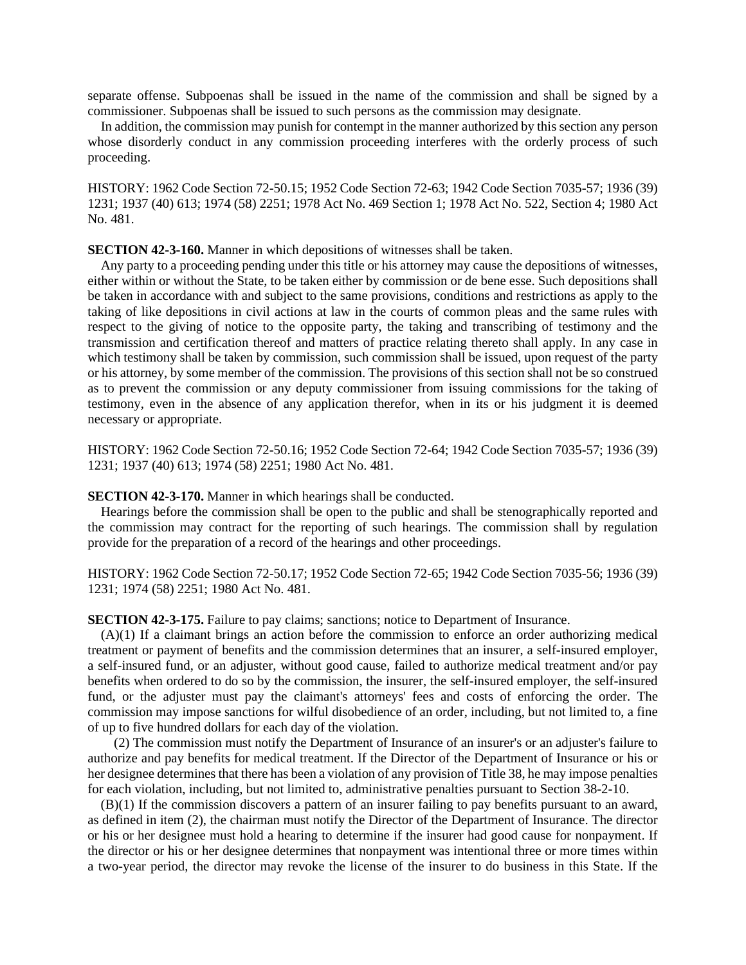separate offense. Subpoenas shall be issued in the name of the commission and shall be signed by a commissioner. Subpoenas shall be issued to such persons as the commission may designate.

In addition, the commission may punish for contempt in the manner authorized by this section any person whose disorderly conduct in any commission proceeding interferes with the orderly process of such proceeding.

HISTORY: 1962 Code Section 72-50.15; 1952 Code Section 72-63; 1942 Code Section 7035-57; 1936 (39) 1231; 1937 (40) 613; 1974 (58) 2251; 1978 Act No. 469 Section 1; 1978 Act No. 522, Section 4; 1980 Act No. 481.

**SECTION 42-3-160.** Manner in which depositions of witnesses shall be taken.

Any party to a proceeding pending under this title or his attorney may cause the depositions of witnesses, either within or without the State, to be taken either by commission or de bene esse. Such depositions shall be taken in accordance with and subject to the same provisions, conditions and restrictions as apply to the taking of like depositions in civil actions at law in the courts of common pleas and the same rules with respect to the giving of notice to the opposite party, the taking and transcribing of testimony and the transmission and certification thereof and matters of practice relating thereto shall apply. In any case in which testimony shall be taken by commission, such commission shall be issued, upon request of the party or his attorney, by some member of the commission. The provisions of this section shall not be so construed as to prevent the commission or any deputy commissioner from issuing commissions for the taking of testimony, even in the absence of any application therefor, when in its or his judgment it is deemed necessary or appropriate.

HISTORY: 1962 Code Section 72-50.16; 1952 Code Section 72-64; 1942 Code Section 7035-57; 1936 (39) 1231; 1937 (40) 613; 1974 (58) 2251; 1980 Act No. 481.

**SECTION 42-3-170.** Manner in which hearings shall be conducted.

Hearings before the commission shall be open to the public and shall be stenographically reported and the commission may contract for the reporting of such hearings. The commission shall by regulation provide for the preparation of a record of the hearings and other proceedings.

HISTORY: 1962 Code Section 72-50.17; 1952 Code Section 72-65; 1942 Code Section 7035-56; 1936 (39) 1231; 1974 (58) 2251; 1980 Act No. 481.

**SECTION 42-3-175.** Failure to pay claims; sanctions; notice to Department of Insurance.

(A)(1) If a claimant brings an action before the commission to enforce an order authorizing medical treatment or payment of benefits and the commission determines that an insurer, a self-insured employer, a self-insured fund, or an adjuster, without good cause, failed to authorize medical treatment and/or pay benefits when ordered to do so by the commission, the insurer, the self-insured employer, the self-insured fund, or the adjuster must pay the claimant's attorneys' fees and costs of enforcing the order. The commission may impose sanctions for wilful disobedience of an order, including, but not limited to, a fine of up to five hundred dollars for each day of the violation.

(2) The commission must notify the Department of Insurance of an insurer's or an adjuster's failure to authorize and pay benefits for medical treatment. If the Director of the Department of Insurance or his or her designee determines that there has been a violation of any provision of Title 38, he may impose penalties for each violation, including, but not limited to, administrative penalties pursuant to Section 38-2-10.

(B)(1) If the commission discovers a pattern of an insurer failing to pay benefits pursuant to an award, as defined in item (2), the chairman must notify the Director of the Department of Insurance. The director or his or her designee must hold a hearing to determine if the insurer had good cause for nonpayment. If the director or his or her designee determines that nonpayment was intentional three or more times within a two-year period, the director may revoke the license of the insurer to do business in this State. If the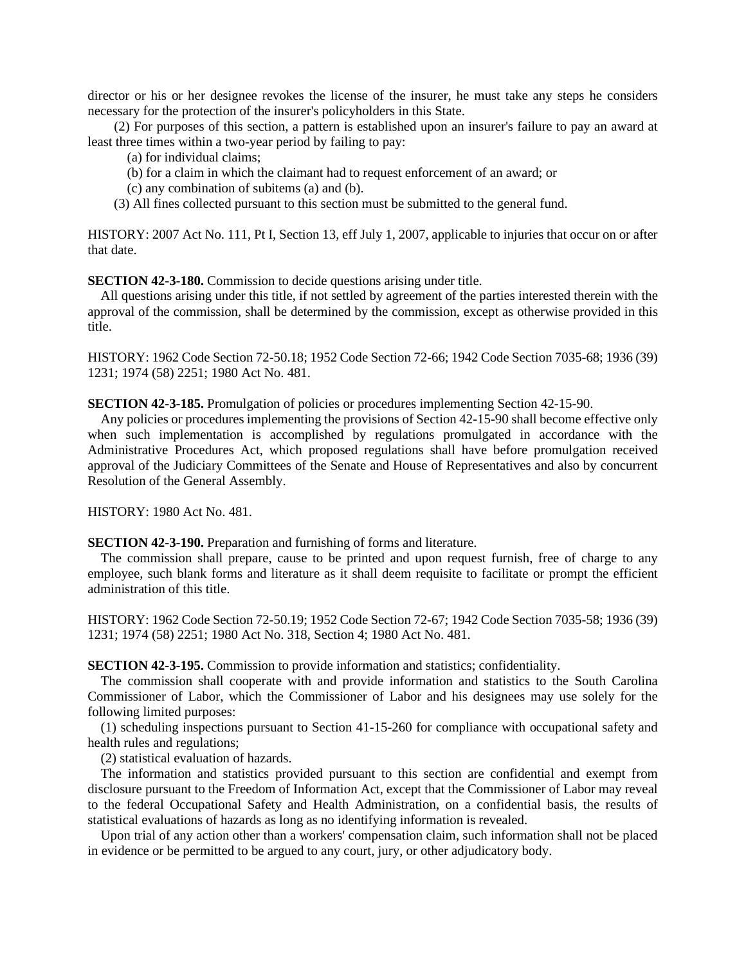director or his or her designee revokes the license of the insurer, he must take any steps he considers necessary for the protection of the insurer's policyholders in this State.

(2) For purposes of this section, a pattern is established upon an insurer's failure to pay an award at least three times within a two-year period by failing to pay:

(a) for individual claims;

- (b) for a claim in which the claimant had to request enforcement of an award; or
- (c) any combination of subitems (a) and (b).
- (3) All fines collected pursuant to this section must be submitted to the general fund.

HISTORY: 2007 Act No. 111, Pt I, Section 13, eff July 1, 2007, applicable to injuries that occur on or after that date.

**SECTION 42-3-180.** Commission to decide questions arising under title.

All questions arising under this title, if not settled by agreement of the parties interested therein with the approval of the commission, shall be determined by the commission, except as otherwise provided in this title.

HISTORY: 1962 Code Section 72-50.18; 1952 Code Section 72-66; 1942 Code Section 7035-68; 1936 (39) 1231; 1974 (58) 2251; 1980 Act No. 481.

**SECTION 42-3-185.** Promulgation of policies or procedures implementing Section 42-15-90.

Any policies or procedures implementing the provisions of Section 42-15-90 shall become effective only when such implementation is accomplished by regulations promulgated in accordance with the Administrative Procedures Act, which proposed regulations shall have before promulgation received approval of the Judiciary Committees of the Senate and House of Representatives and also by concurrent Resolution of the General Assembly.

HISTORY: 1980 Act No. 481.

**SECTION 42-3-190.** Preparation and furnishing of forms and literature.

The commission shall prepare, cause to be printed and upon request furnish, free of charge to any employee, such blank forms and literature as it shall deem requisite to facilitate or prompt the efficient administration of this title.

HISTORY: 1962 Code Section 72-50.19; 1952 Code Section 72-67; 1942 Code Section 7035-58; 1936 (39) 1231; 1974 (58) 2251; 1980 Act No. 318, Section 4; 1980 Act No. 481.

**SECTION 42-3-195.** Commission to provide information and statistics; confidentiality.

The commission shall cooperate with and provide information and statistics to the South Carolina Commissioner of Labor, which the Commissioner of Labor and his designees may use solely for the following limited purposes:

(1) scheduling inspections pursuant to Section 41-15-260 for compliance with occupational safety and health rules and regulations;

(2) statistical evaluation of hazards.

The information and statistics provided pursuant to this section are confidential and exempt from disclosure pursuant to the Freedom of Information Act, except that the Commissioner of Labor may reveal to the federal Occupational Safety and Health Administration, on a confidential basis, the results of statistical evaluations of hazards as long as no identifying information is revealed.

Upon trial of any action other than a workers' compensation claim, such information shall not be placed in evidence or be permitted to be argued to any court, jury, or other adjudicatory body.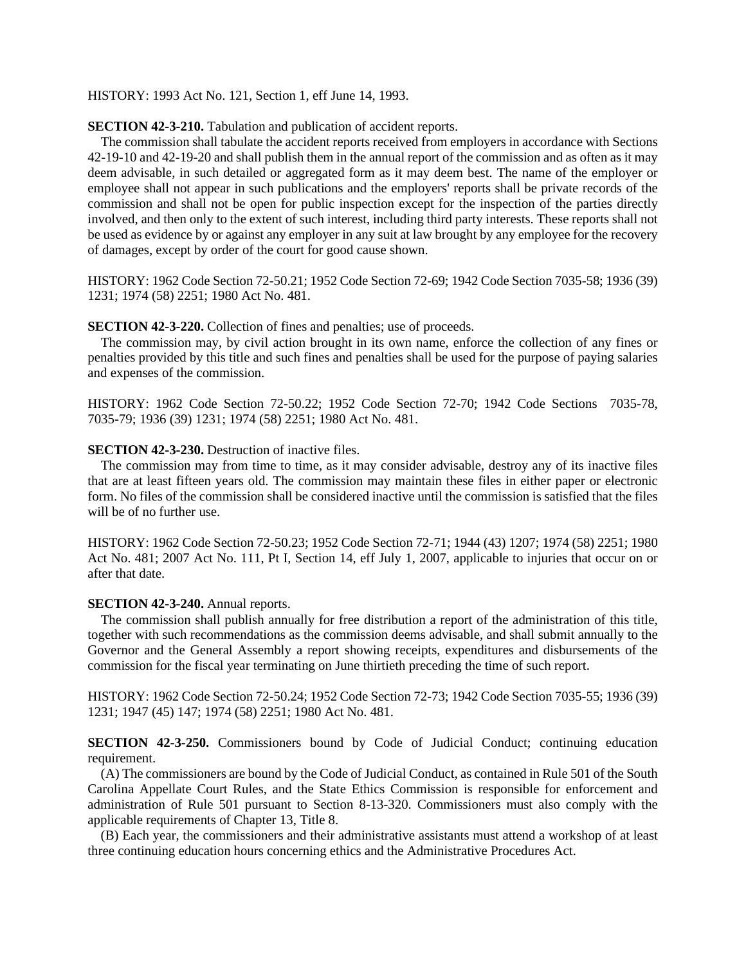HISTORY: 1993 Act No. 121, Section 1, eff June 14, 1993.

### **SECTION 42-3-210.** Tabulation and publication of accident reports.

The commission shall tabulate the accident reports received from employers in accordance with Sections 42-19-10 and 42-19-20 and shall publish them in the annual report of the commission and as often as it may deem advisable, in such detailed or aggregated form as it may deem best. The name of the employer or employee shall not appear in such publications and the employers' reports shall be private records of the commission and shall not be open for public inspection except for the inspection of the parties directly involved, and then only to the extent of such interest, including third party interests. These reports shall not be used as evidence by or against any employer in any suit at law brought by any employee for the recovery of damages, except by order of the court for good cause shown.

HISTORY: 1962 Code Section 72-50.21; 1952 Code Section 72-69; 1942 Code Section 7035-58; 1936 (39) 1231; 1974 (58) 2251; 1980 Act No. 481.

#### **SECTION 42-3-220.** Collection of fines and penalties; use of proceeds.

The commission may, by civil action brought in its own name, enforce the collection of any fines or penalties provided by this title and such fines and penalties shall be used for the purpose of paying salaries and expenses of the commission.

HISTORY: 1962 Code Section 72-50.22; 1952 Code Section 72-70; 1942 Code Sections 7035-78, 7035-79; 1936 (39) 1231; 1974 (58) 2251; 1980 Act No. 481.

# **SECTION 42-3-230.** Destruction of inactive files.

The commission may from time to time, as it may consider advisable, destroy any of its inactive files that are at least fifteen years old. The commission may maintain these files in either paper or electronic form. No files of the commission shall be considered inactive until the commission is satisfied that the files will be of no further use.

HISTORY: 1962 Code Section 72-50.23; 1952 Code Section 72-71; 1944 (43) 1207; 1974 (58) 2251; 1980 Act No. 481; 2007 Act No. 111, Pt I, Section 14, eff July 1, 2007, applicable to injuries that occur on or after that date.

### **SECTION 42-3-240.** Annual reports.

The commission shall publish annually for free distribution a report of the administration of this title, together with such recommendations as the commission deems advisable, and shall submit annually to the Governor and the General Assembly a report showing receipts, expenditures and disbursements of the commission for the fiscal year terminating on June thirtieth preceding the time of such report.

HISTORY: 1962 Code Section 72-50.24; 1952 Code Section 72-73; 1942 Code Section 7035-55; 1936 (39) 1231; 1947 (45) 147; 1974 (58) 2251; 1980 Act No. 481.

**SECTION 42-3-250.** Commissioners bound by Code of Judicial Conduct; continuing education requirement.

(A) The commissioners are bound by the Code of Judicial Conduct, as contained in Rule 501 of the South Carolina Appellate Court Rules, and the State Ethics Commission is responsible for enforcement and administration of Rule 501 pursuant to Section 8-13-320. Commissioners must also comply with the applicable requirements of Chapter 13, Title 8.

(B) Each year, the commissioners and their administrative assistants must attend a workshop of at least three continuing education hours concerning ethics and the Administrative Procedures Act.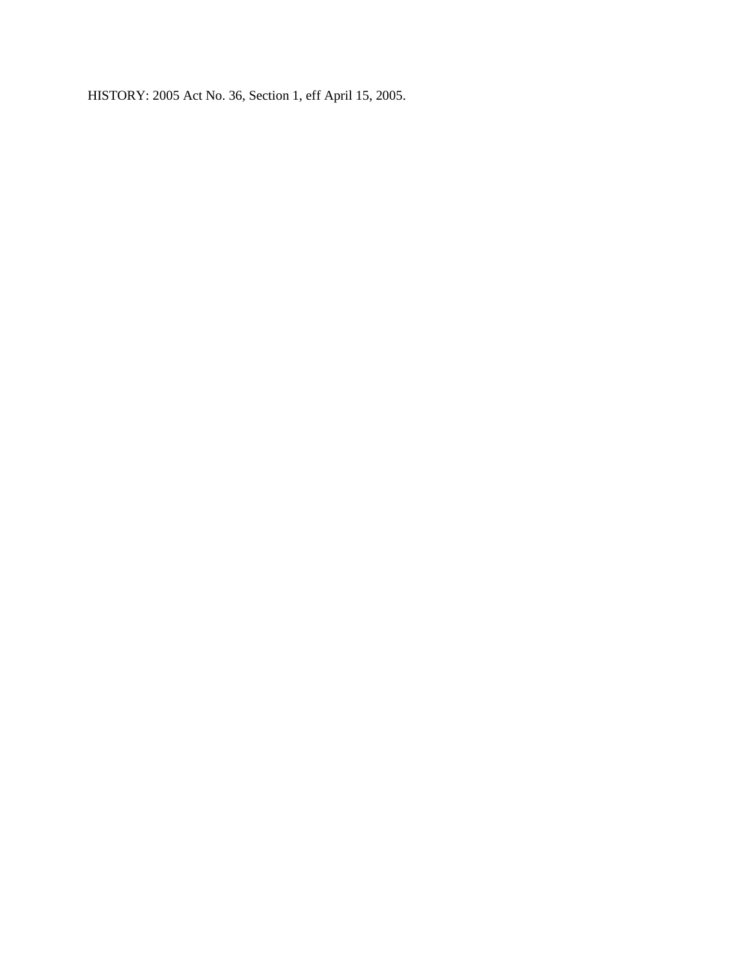HISTORY: 2005 Act No. 36, Section 1, eff April 15, 2005.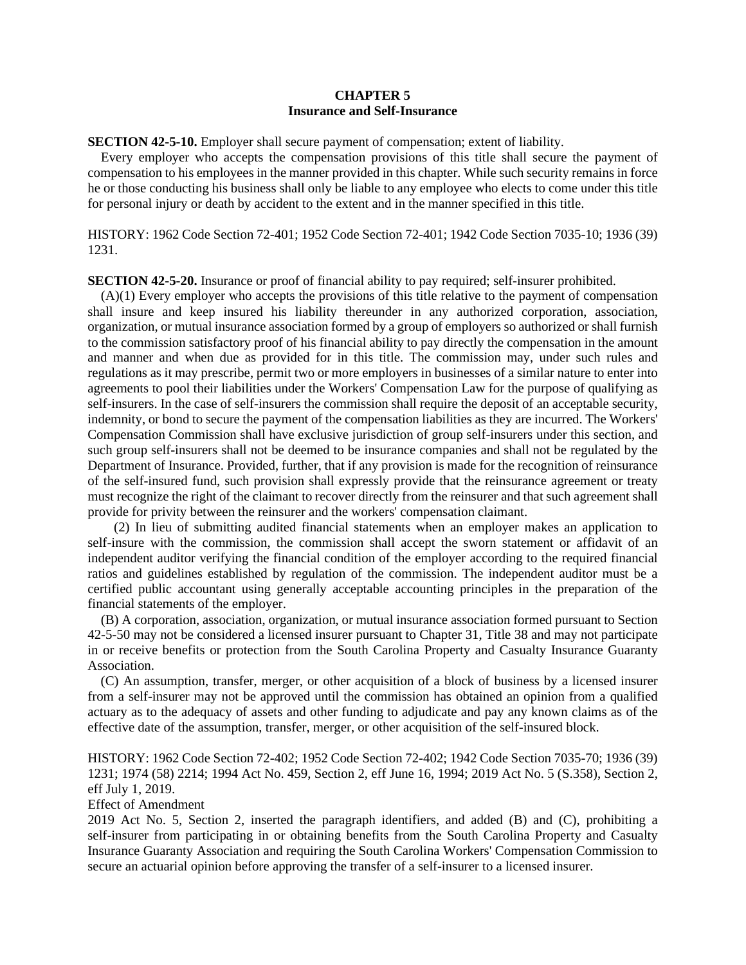# **CHAPTER 5 Insurance and Self-Insurance**

**SECTION 42-5-10.** Employer shall secure payment of compensation; extent of liability.

Every employer who accepts the compensation provisions of this title shall secure the payment of compensation to his employees in the manner provided in this chapter. While such security remains in force he or those conducting his business shall only be liable to any employee who elects to come under this title for personal injury or death by accident to the extent and in the manner specified in this title.

HISTORY: 1962 Code Section 72-401; 1952 Code Section 72-401; 1942 Code Section 7035-10; 1936 (39) 1231.

**SECTION 42-5-20.** Insurance or proof of financial ability to pay required; self-insurer prohibited.

(A)(1) Every employer who accepts the provisions of this title relative to the payment of compensation shall insure and keep insured his liability thereunder in any authorized corporation, association, organization, or mutual insurance association formed by a group of employers so authorized or shall furnish to the commission satisfactory proof of his financial ability to pay directly the compensation in the amount and manner and when due as provided for in this title. The commission may, under such rules and regulations as it may prescribe, permit two or more employers in businesses of a similar nature to enter into agreements to pool their liabilities under the Workers' Compensation Law for the purpose of qualifying as self-insurers. In the case of self-insurers the commission shall require the deposit of an acceptable security, indemnity, or bond to secure the payment of the compensation liabilities as they are incurred. The Workers' Compensation Commission shall have exclusive jurisdiction of group self-insurers under this section, and such group self-insurers shall not be deemed to be insurance companies and shall not be regulated by the Department of Insurance. Provided, further, that if any provision is made for the recognition of reinsurance of the self-insured fund, such provision shall expressly provide that the reinsurance agreement or treaty must recognize the right of the claimant to recover directly from the reinsurer and that such agreement shall provide for privity between the reinsurer and the workers' compensation claimant.

(2) In lieu of submitting audited financial statements when an employer makes an application to self-insure with the commission, the commission shall accept the sworn statement or affidavit of an independent auditor verifying the financial condition of the employer according to the required financial ratios and guidelines established by regulation of the commission. The independent auditor must be a certified public accountant using generally acceptable accounting principles in the preparation of the financial statements of the employer.

(B) A corporation, association, organization, or mutual insurance association formed pursuant to Section 42-5-50 may not be considered a licensed insurer pursuant to Chapter 31, Title 38 and may not participate in or receive benefits or protection from the South Carolina Property and Casualty Insurance Guaranty Association.

(C) An assumption, transfer, merger, or other acquisition of a block of business by a licensed insurer from a self-insurer may not be approved until the commission has obtained an opinion from a qualified actuary as to the adequacy of assets and other funding to adjudicate and pay any known claims as of the effective date of the assumption, transfer, merger, or other acquisition of the self-insured block.

HISTORY: 1962 Code Section 72-402; 1952 Code Section 72-402; 1942 Code Section 7035-70; 1936 (39) 1231; 1974 (58) 2214; 1994 Act No. 459, Section 2, eff June 16, 1994; 2019 Act No. 5 (S.358), Section 2, eff July 1, 2019.

Effect of Amendment

2019 Act No. 5, Section 2, inserted the paragraph identifiers, and added (B) and (C), prohibiting a self-insurer from participating in or obtaining benefits from the South Carolina Property and Casualty Insurance Guaranty Association and requiring the South Carolina Workers' Compensation Commission to secure an actuarial opinion before approving the transfer of a self-insurer to a licensed insurer.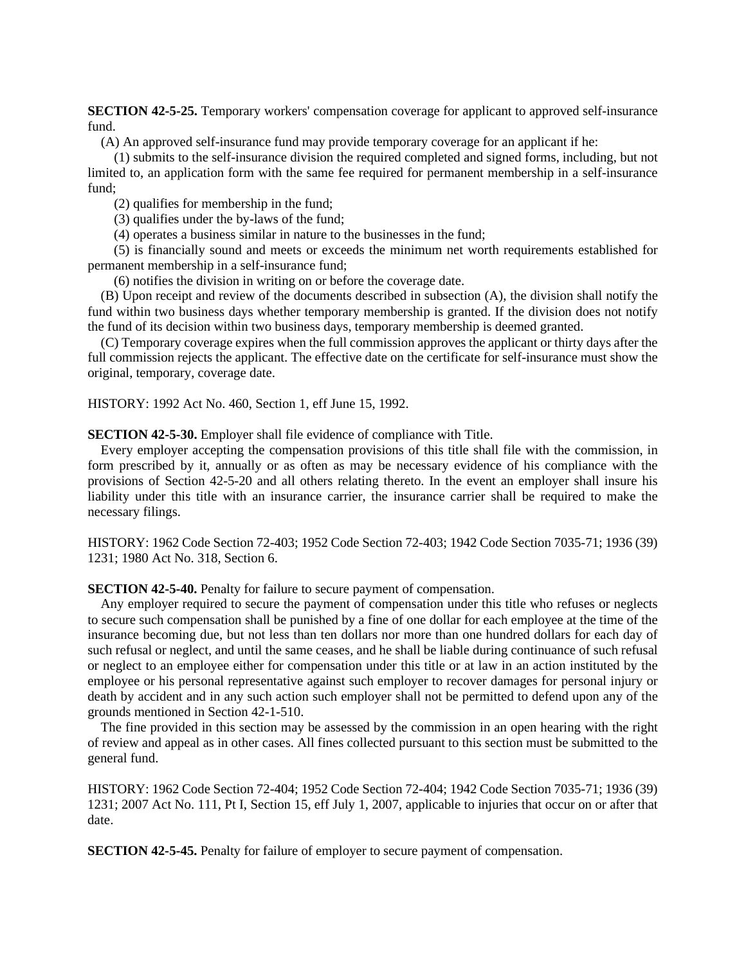**SECTION 42-5-25.** Temporary workers' compensation coverage for applicant to approved self-insurance fund.

(A) An approved self-insurance fund may provide temporary coverage for an applicant if he:

(1) submits to the self-insurance division the required completed and signed forms, including, but not limited to, an application form with the same fee required for permanent membership in a self-insurance fund;

(2) qualifies for membership in the fund;

(3) qualifies under the by-laws of the fund;

(4) operates a business similar in nature to the businesses in the fund;

(5) is financially sound and meets or exceeds the minimum net worth requirements established for permanent membership in a self-insurance fund;

(6) notifies the division in writing on or before the coverage date.

(B) Upon receipt and review of the documents described in subsection (A), the division shall notify the fund within two business days whether temporary membership is granted. If the division does not notify the fund of its decision within two business days, temporary membership is deemed granted.

(C) Temporary coverage expires when the full commission approves the applicant or thirty days after the full commission rejects the applicant. The effective date on the certificate for self-insurance must show the original, temporary, coverage date.

HISTORY: 1992 Act No. 460, Section 1, eff June 15, 1992.

**SECTION 42-5-30.** Employer shall file evidence of compliance with Title.

Every employer accepting the compensation provisions of this title shall file with the commission, in form prescribed by it, annually or as often as may be necessary evidence of his compliance with the provisions of Section 42-5-20 and all others relating thereto. In the event an employer shall insure his liability under this title with an insurance carrier, the insurance carrier shall be required to make the necessary filings.

HISTORY: 1962 Code Section 72-403; 1952 Code Section 72-403; 1942 Code Section 7035-71; 1936 (39) 1231; 1980 Act No. 318, Section 6.

**SECTION 42-5-40.** Penalty for failure to secure payment of compensation.

Any employer required to secure the payment of compensation under this title who refuses or neglects to secure such compensation shall be punished by a fine of one dollar for each employee at the time of the insurance becoming due, but not less than ten dollars nor more than one hundred dollars for each day of such refusal or neglect, and until the same ceases, and he shall be liable during continuance of such refusal or neglect to an employee either for compensation under this title or at law in an action instituted by the employee or his personal representative against such employer to recover damages for personal injury or death by accident and in any such action such employer shall not be permitted to defend upon any of the grounds mentioned in Section 42-1-510.

The fine provided in this section may be assessed by the commission in an open hearing with the right of review and appeal as in other cases. All fines collected pursuant to this section must be submitted to the general fund.

HISTORY: 1962 Code Section 72-404; 1952 Code Section 72-404; 1942 Code Section 7035-71; 1936 (39) 1231; 2007 Act No. 111, Pt I, Section 15, eff July 1, 2007, applicable to injuries that occur on or after that date.

**SECTION 42-5-45.** Penalty for failure of employer to secure payment of compensation.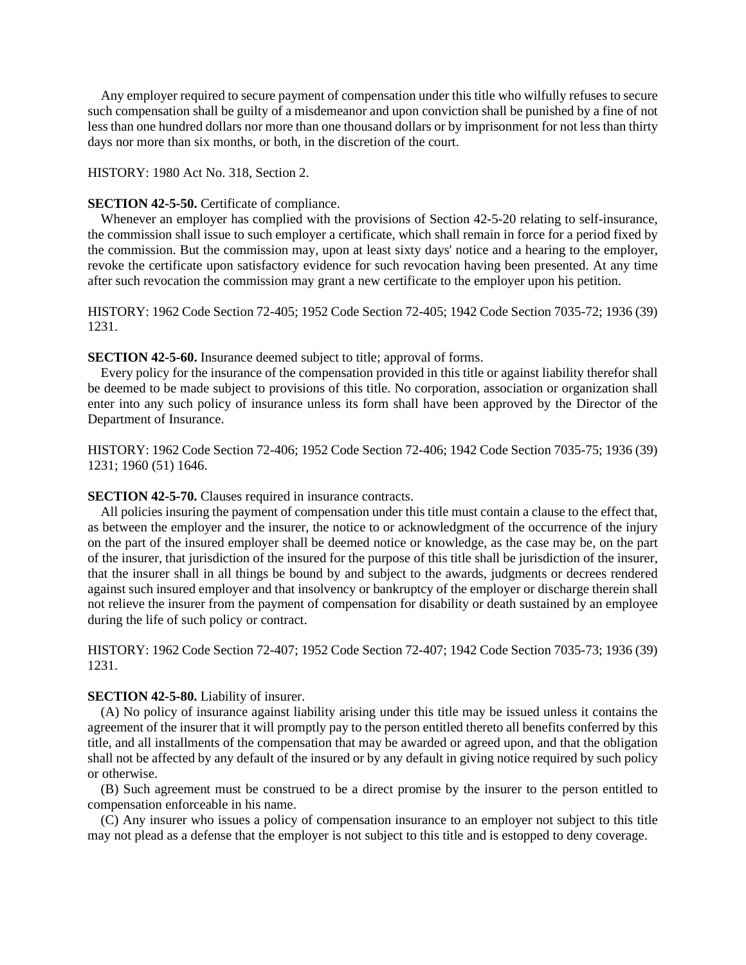Any employer required to secure payment of compensation under this title who wilfully refuses to secure such compensation shall be guilty of a misdemeanor and upon conviction shall be punished by a fine of not less than one hundred dollars nor more than one thousand dollars or by imprisonment for not less than thirty days nor more than six months, or both, in the discretion of the court.

HISTORY: 1980 Act No. 318, Section 2.

### **SECTION 42-5-50.** Certificate of compliance.

Whenever an employer has complied with the provisions of Section 42-5-20 relating to self-insurance, the commission shall issue to such employer a certificate, which shall remain in force for a period fixed by the commission. But the commission may, upon at least sixty days' notice and a hearing to the employer, revoke the certificate upon satisfactory evidence for such revocation having been presented. At any time after such revocation the commission may grant a new certificate to the employer upon his petition.

HISTORY: 1962 Code Section 72-405; 1952 Code Section 72-405; 1942 Code Section 7035-72; 1936 (39) 1231.

### **SECTION 42-5-60.** Insurance deemed subject to title; approval of forms.

Every policy for the insurance of the compensation provided in this title or against liability therefor shall be deemed to be made subject to provisions of this title. No corporation, association or organization shall enter into any such policy of insurance unless its form shall have been approved by the Director of the Department of Insurance.

HISTORY: 1962 Code Section 72-406; 1952 Code Section 72-406; 1942 Code Section 7035-75; 1936 (39) 1231; 1960 (51) 1646.

# **SECTION 42-5-70.** Clauses required in insurance contracts.

All policies insuring the payment of compensation under this title must contain a clause to the effect that, as between the employer and the insurer, the notice to or acknowledgment of the occurrence of the injury on the part of the insured employer shall be deemed notice or knowledge, as the case may be, on the part of the insurer, that jurisdiction of the insured for the purpose of this title shall be jurisdiction of the insurer, that the insurer shall in all things be bound by and subject to the awards, judgments or decrees rendered against such insured employer and that insolvency or bankruptcy of the employer or discharge therein shall not relieve the insurer from the payment of compensation for disability or death sustained by an employee during the life of such policy or contract.

HISTORY: 1962 Code Section 72-407; 1952 Code Section 72-407; 1942 Code Section 7035-73; 1936 (39) 1231.

# **SECTION 42-5-80.** Liability of insurer.

(A) No policy of insurance against liability arising under this title may be issued unless it contains the agreement of the insurer that it will promptly pay to the person entitled thereto all benefits conferred by this title, and all installments of the compensation that may be awarded or agreed upon, and that the obligation shall not be affected by any default of the insured or by any default in giving notice required by such policy or otherwise.

(B) Such agreement must be construed to be a direct promise by the insurer to the person entitled to compensation enforceable in his name.

(C) Any insurer who issues a policy of compensation insurance to an employer not subject to this title may not plead as a defense that the employer is not subject to this title and is estopped to deny coverage.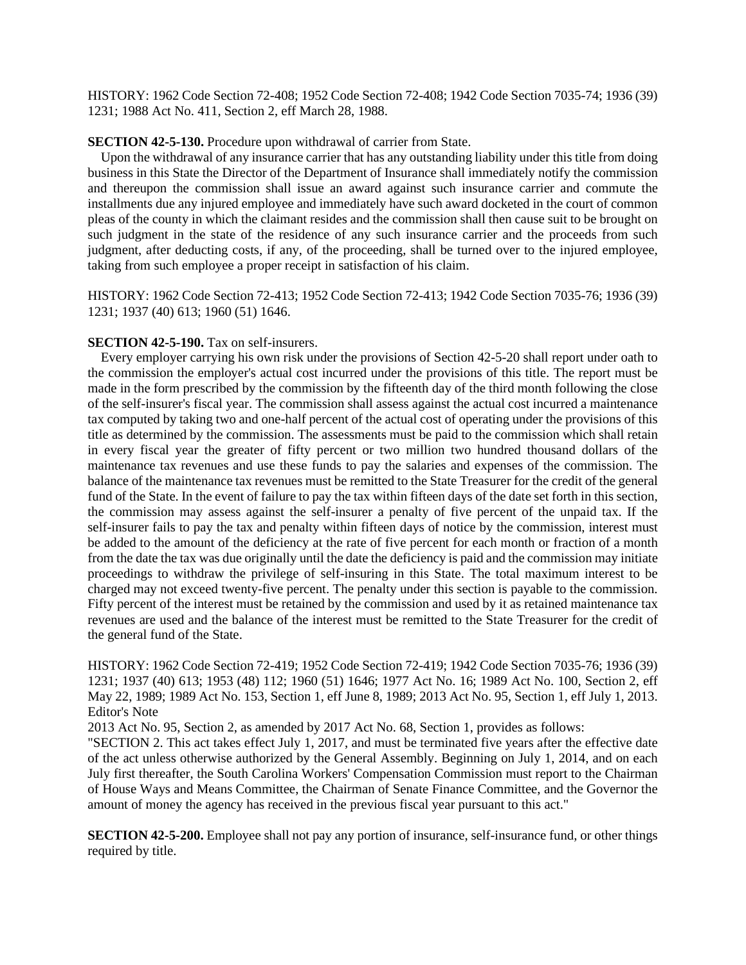HISTORY: 1962 Code Section 72-408; 1952 Code Section 72-408; 1942 Code Section 7035-74; 1936 (39) 1231; 1988 Act No. 411, Section 2, eff March 28, 1988.

# **SECTION 42-5-130.** Procedure upon withdrawal of carrier from State.

Upon the withdrawal of any insurance carrier that has any outstanding liability under this title from doing business in this State the Director of the Department of Insurance shall immediately notify the commission and thereupon the commission shall issue an award against such insurance carrier and commute the installments due any injured employee and immediately have such award docketed in the court of common pleas of the county in which the claimant resides and the commission shall then cause suit to be brought on such judgment in the state of the residence of any such insurance carrier and the proceeds from such judgment, after deducting costs, if any, of the proceeding, shall be turned over to the injured employee, taking from such employee a proper receipt in satisfaction of his claim.

HISTORY: 1962 Code Section 72-413; 1952 Code Section 72-413; 1942 Code Section 7035-76; 1936 (39) 1231; 1937 (40) 613; 1960 (51) 1646.

# **SECTION 42-5-190.** Tax on self-insurers.

Every employer carrying his own risk under the provisions of Section 42-5-20 shall report under oath to the commission the employer's actual cost incurred under the provisions of this title. The report must be made in the form prescribed by the commission by the fifteenth day of the third month following the close of the self-insurer's fiscal year. The commission shall assess against the actual cost incurred a maintenance tax computed by taking two and one-half percent of the actual cost of operating under the provisions of this title as determined by the commission. The assessments must be paid to the commission which shall retain in every fiscal year the greater of fifty percent or two million two hundred thousand dollars of the maintenance tax revenues and use these funds to pay the salaries and expenses of the commission. The balance of the maintenance tax revenues must be remitted to the State Treasurer for the credit of the general fund of the State. In the event of failure to pay the tax within fifteen days of the date set forth in this section, the commission may assess against the self-insurer a penalty of five percent of the unpaid tax. If the self-insurer fails to pay the tax and penalty within fifteen days of notice by the commission, interest must be added to the amount of the deficiency at the rate of five percent for each month or fraction of a month from the date the tax was due originally until the date the deficiency is paid and the commission may initiate proceedings to withdraw the privilege of self-insuring in this State. The total maximum interest to be charged may not exceed twenty-five percent. The penalty under this section is payable to the commission. Fifty percent of the interest must be retained by the commission and used by it as retained maintenance tax revenues are used and the balance of the interest must be remitted to the State Treasurer for the credit of the general fund of the State.

HISTORY: 1962 Code Section 72-419; 1952 Code Section 72-419; 1942 Code Section 7035-76; 1936 (39) 1231; 1937 (40) 613; 1953 (48) 112; 1960 (51) 1646; 1977 Act No. 16; 1989 Act No. 100, Section 2, eff May 22, 1989; 1989 Act No. 153, Section 1, eff June 8, 1989; 2013 Act No. 95, Section 1, eff July 1, 2013. Editor's Note

2013 Act No. 95, Section 2, as amended by 2017 Act No. 68, Section 1, provides as follows:

"SECTION 2. This act takes effect July 1, 2017, and must be terminated five years after the effective date of the act unless otherwise authorized by the General Assembly. Beginning on July 1, 2014, and on each July first thereafter, the South Carolina Workers' Compensation Commission must report to the Chairman of House Ways and Means Committee, the Chairman of Senate Finance Committee, and the Governor the amount of money the agency has received in the previous fiscal year pursuant to this act."

**SECTION 42-5-200.** Employee shall not pay any portion of insurance, self-insurance fund, or other things required by title.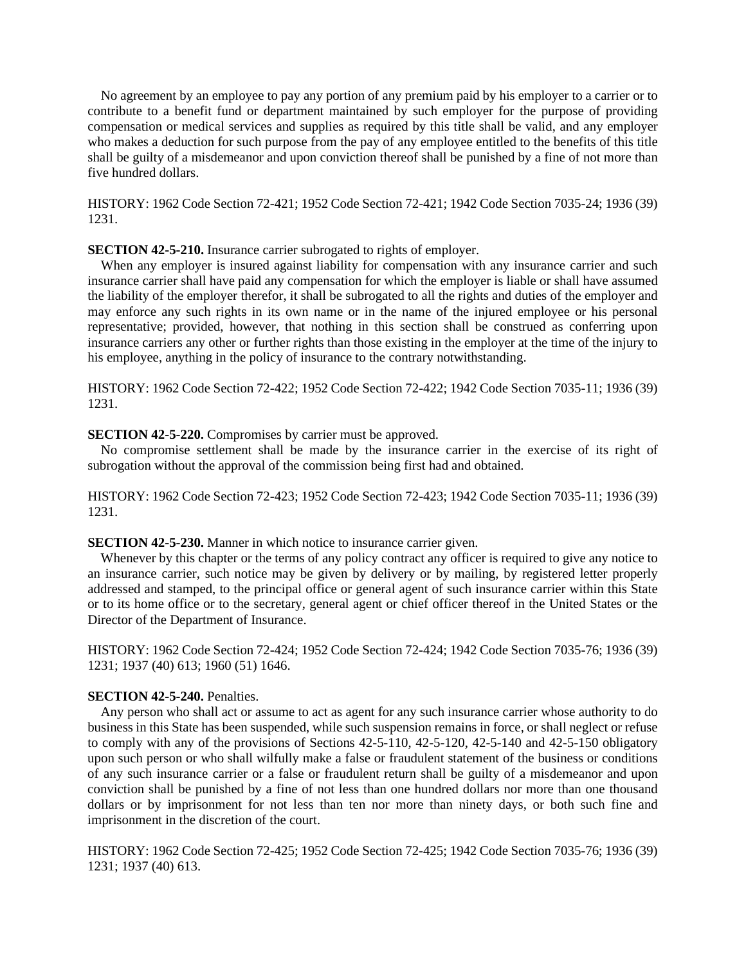No agreement by an employee to pay any portion of any premium paid by his employer to a carrier or to contribute to a benefit fund or department maintained by such employer for the purpose of providing compensation or medical services and supplies as required by this title shall be valid, and any employer who makes a deduction for such purpose from the pay of any employee entitled to the benefits of this title shall be guilty of a misdemeanor and upon conviction thereof shall be punished by a fine of not more than five hundred dollars.

HISTORY: 1962 Code Section 72-421; 1952 Code Section 72-421; 1942 Code Section 7035-24; 1936 (39) 1231.

**SECTION 42-5-210.** Insurance carrier subrogated to rights of employer.

When any employer is insured against liability for compensation with any insurance carrier and such insurance carrier shall have paid any compensation for which the employer is liable or shall have assumed the liability of the employer therefor, it shall be subrogated to all the rights and duties of the employer and may enforce any such rights in its own name or in the name of the injured employee or his personal representative; provided, however, that nothing in this section shall be construed as conferring upon insurance carriers any other or further rights than those existing in the employer at the time of the injury to his employee, anything in the policy of insurance to the contrary notwithstanding.

HISTORY: 1962 Code Section 72-422; 1952 Code Section 72-422; 1942 Code Section 7035-11; 1936 (39) 1231.

**SECTION 42-5-220.** Compromises by carrier must be approved.

No compromise settlement shall be made by the insurance carrier in the exercise of its right of subrogation without the approval of the commission being first had and obtained.

HISTORY: 1962 Code Section 72-423; 1952 Code Section 72-423; 1942 Code Section 7035-11; 1936 (39) 1231.

**SECTION 42-5-230.** Manner in which notice to insurance carrier given.

Whenever by this chapter or the terms of any policy contract any officer is required to give any notice to an insurance carrier, such notice may be given by delivery or by mailing, by registered letter properly addressed and stamped, to the principal office or general agent of such insurance carrier within this State or to its home office or to the secretary, general agent or chief officer thereof in the United States or the Director of the Department of Insurance.

HISTORY: 1962 Code Section 72-424; 1952 Code Section 72-424; 1942 Code Section 7035-76; 1936 (39) 1231; 1937 (40) 613; 1960 (51) 1646.

# **SECTION 42-5-240.** Penalties.

Any person who shall act or assume to act as agent for any such insurance carrier whose authority to do business in this State has been suspended, while such suspension remains in force, or shall neglect or refuse to comply with any of the provisions of Sections 42-5-110, 42-5-120, 42-5-140 and 42-5-150 obligatory upon such person or who shall wilfully make a false or fraudulent statement of the business or conditions of any such insurance carrier or a false or fraudulent return shall be guilty of a misdemeanor and upon conviction shall be punished by a fine of not less than one hundred dollars nor more than one thousand dollars or by imprisonment for not less than ten nor more than ninety days, or both such fine and imprisonment in the discretion of the court.

HISTORY: 1962 Code Section 72-425; 1952 Code Section 72-425; 1942 Code Section 7035-76; 1936 (39) 1231; 1937 (40) 613.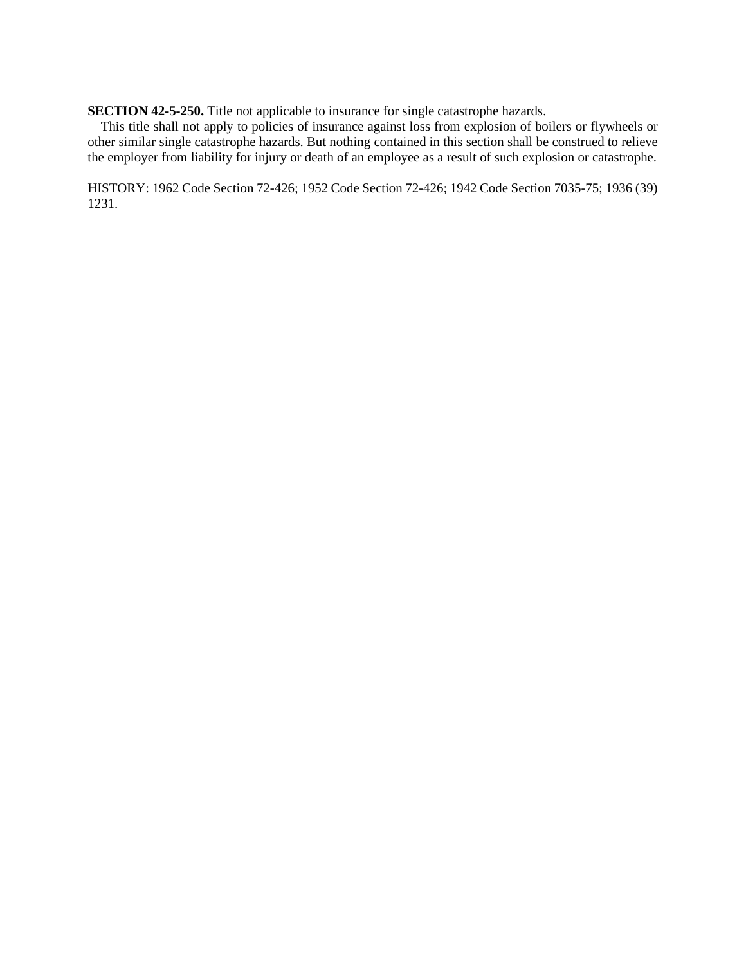**SECTION 42-5-250.** Title not applicable to insurance for single catastrophe hazards.

This title shall not apply to policies of insurance against loss from explosion of boilers or flywheels or other similar single catastrophe hazards. But nothing contained in this section shall be construed to relieve the employer from liability for injury or death of an employee as a result of such explosion or catastrophe.

HISTORY: 1962 Code Section 72-426; 1952 Code Section 72-426; 1942 Code Section 7035-75; 1936 (39) 1231.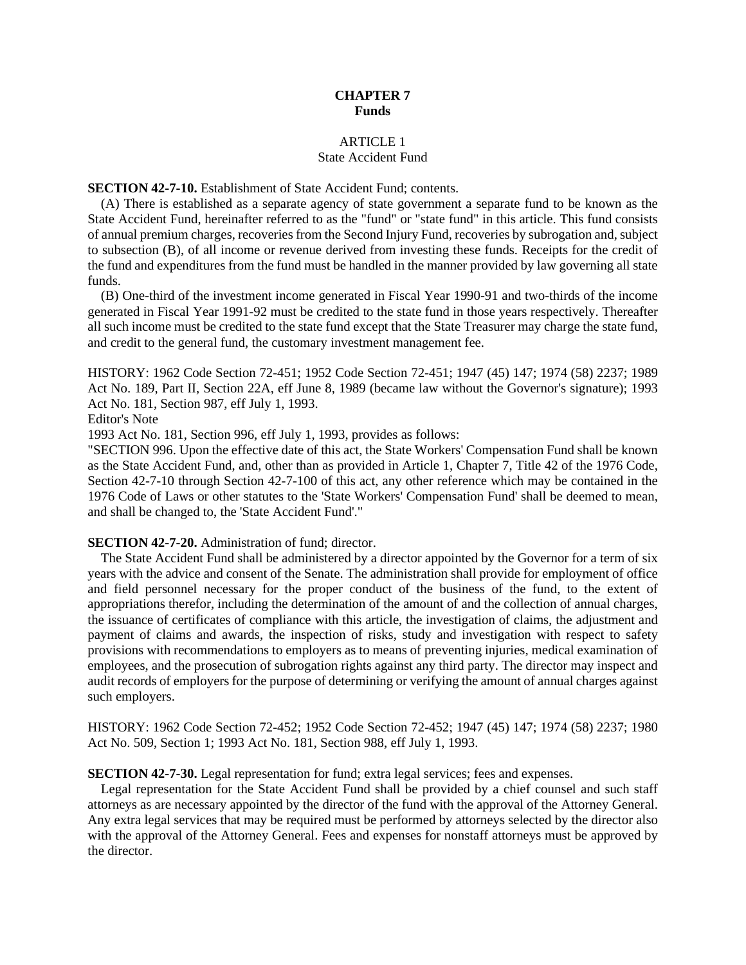# **CHAPTER 7 Funds**

# ARTICLE 1 State Accident Fund

**SECTION 42-7-10.** Establishment of State Accident Fund; contents.

(A) There is established as a separate agency of state government a separate fund to be known as the State Accident Fund, hereinafter referred to as the "fund" or "state fund" in this article. This fund consists of annual premium charges, recoveries from the Second Injury Fund, recoveries by subrogation and, subject to subsection (B), of all income or revenue derived from investing these funds. Receipts for the credit of the fund and expenditures from the fund must be handled in the manner provided by law governing all state funds.

(B) One-third of the investment income generated in Fiscal Year 1990-91 and two-thirds of the income generated in Fiscal Year 1991-92 must be credited to the state fund in those years respectively. Thereafter all such income must be credited to the state fund except that the State Treasurer may charge the state fund, and credit to the general fund, the customary investment management fee.

HISTORY: 1962 Code Section 72-451; 1952 Code Section 72-451; 1947 (45) 147; 1974 (58) 2237; 1989 Act No. 189, Part II, Section 22A, eff June 8, 1989 (became law without the Governor's signature); 1993 Act No. 181, Section 987, eff July 1, 1993.

Editor's Note

1993 Act No. 181, Section 996, eff July 1, 1993, provides as follows:

"SECTION 996. Upon the effective date of this act, the State Workers' Compensation Fund shall be known as the State Accident Fund, and, other than as provided in Article 1, Chapter 7, Title 42 of the 1976 Code, Section 42-7-10 through Section 42-7-100 of this act, any other reference which may be contained in the 1976 Code of Laws or other statutes to the 'State Workers' Compensation Fund' shall be deemed to mean, and shall be changed to, the 'State Accident Fund'."

**SECTION 42-7-20.** Administration of fund; director.

The State Accident Fund shall be administered by a director appointed by the Governor for a term of six years with the advice and consent of the Senate. The administration shall provide for employment of office and field personnel necessary for the proper conduct of the business of the fund, to the extent of appropriations therefor, including the determination of the amount of and the collection of annual charges, the issuance of certificates of compliance with this article, the investigation of claims, the adjustment and payment of claims and awards, the inspection of risks, study and investigation with respect to safety provisions with recommendations to employers as to means of preventing injuries, medical examination of employees, and the prosecution of subrogation rights against any third party. The director may inspect and audit records of employers for the purpose of determining or verifying the amount of annual charges against such employers.

HISTORY: 1962 Code Section 72-452; 1952 Code Section 72-452; 1947 (45) 147; 1974 (58) 2237; 1980 Act No. 509, Section 1; 1993 Act No. 181, Section 988, eff July 1, 1993.

# **SECTION 42-7-30.** Legal representation for fund; extra legal services; fees and expenses.

Legal representation for the State Accident Fund shall be provided by a chief counsel and such staff attorneys as are necessary appointed by the director of the fund with the approval of the Attorney General. Any extra legal services that may be required must be performed by attorneys selected by the director also with the approval of the Attorney General. Fees and expenses for nonstaff attorneys must be approved by the director.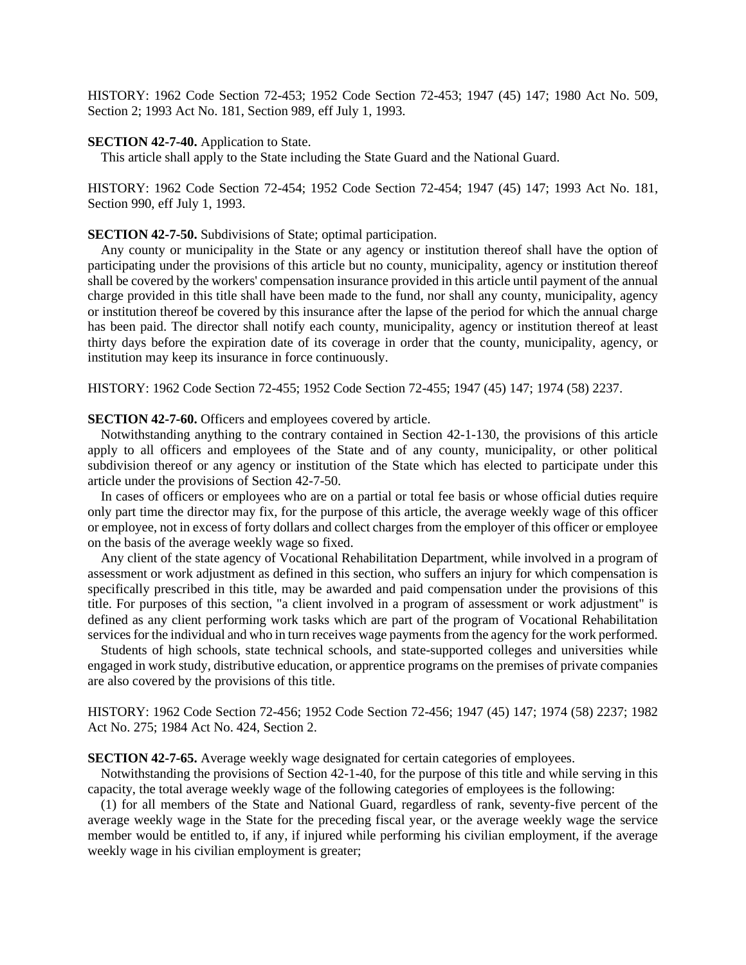HISTORY: 1962 Code Section 72-453; 1952 Code Section 72-453; 1947 (45) 147; 1980 Act No. 509, Section 2; 1993 Act No. 181, Section 989, eff July 1, 1993.

#### **SECTION 42-7-40.** Application to State.

This article shall apply to the State including the State Guard and the National Guard.

HISTORY: 1962 Code Section 72-454; 1952 Code Section 72-454; 1947 (45) 147; 1993 Act No. 181, Section 990, eff July 1, 1993.

### **SECTION 42-7-50.** Subdivisions of State; optimal participation.

Any county or municipality in the State or any agency or institution thereof shall have the option of participating under the provisions of this article but no county, municipality, agency or institution thereof shall be covered by the workers' compensation insurance provided in this article until payment of the annual charge provided in this title shall have been made to the fund, nor shall any county, municipality, agency or institution thereof be covered by this insurance after the lapse of the period for which the annual charge has been paid. The director shall notify each county, municipality, agency or institution thereof at least thirty days before the expiration date of its coverage in order that the county, municipality, agency, or institution may keep its insurance in force continuously.

HISTORY: 1962 Code Section 72-455; 1952 Code Section 72-455; 1947 (45) 147; 1974 (58) 2237.

#### **SECTION 42-7-60.** Officers and employees covered by article.

Notwithstanding anything to the contrary contained in Section 42-1-130, the provisions of this article apply to all officers and employees of the State and of any county, municipality, or other political subdivision thereof or any agency or institution of the State which has elected to participate under this article under the provisions of Section 42-7-50.

In cases of officers or employees who are on a partial or total fee basis or whose official duties require only part time the director may fix, for the purpose of this article, the average weekly wage of this officer or employee, not in excess of forty dollars and collect charges from the employer of this officer or employee on the basis of the average weekly wage so fixed.

Any client of the state agency of Vocational Rehabilitation Department, while involved in a program of assessment or work adjustment as defined in this section, who suffers an injury for which compensation is specifically prescribed in this title, may be awarded and paid compensation under the provisions of this title. For purposes of this section, "a client involved in a program of assessment or work adjustment" is defined as any client performing work tasks which are part of the program of Vocational Rehabilitation services for the individual and who in turn receives wage payments from the agency for the work performed.

Students of high schools, state technical schools, and state-supported colleges and universities while engaged in work study, distributive education, or apprentice programs on the premises of private companies are also covered by the provisions of this title.

HISTORY: 1962 Code Section 72-456; 1952 Code Section 72-456; 1947 (45) 147; 1974 (58) 2237; 1982 Act No. 275; 1984 Act No. 424, Section 2.

**SECTION 42-7-65.** Average weekly wage designated for certain categories of employees.

Notwithstanding the provisions of Section 42-1-40, for the purpose of this title and while serving in this capacity, the total average weekly wage of the following categories of employees is the following:

(1) for all members of the State and National Guard, regardless of rank, seventy-five percent of the average weekly wage in the State for the preceding fiscal year, or the average weekly wage the service member would be entitled to, if any, if injured while performing his civilian employment, if the average weekly wage in his civilian employment is greater;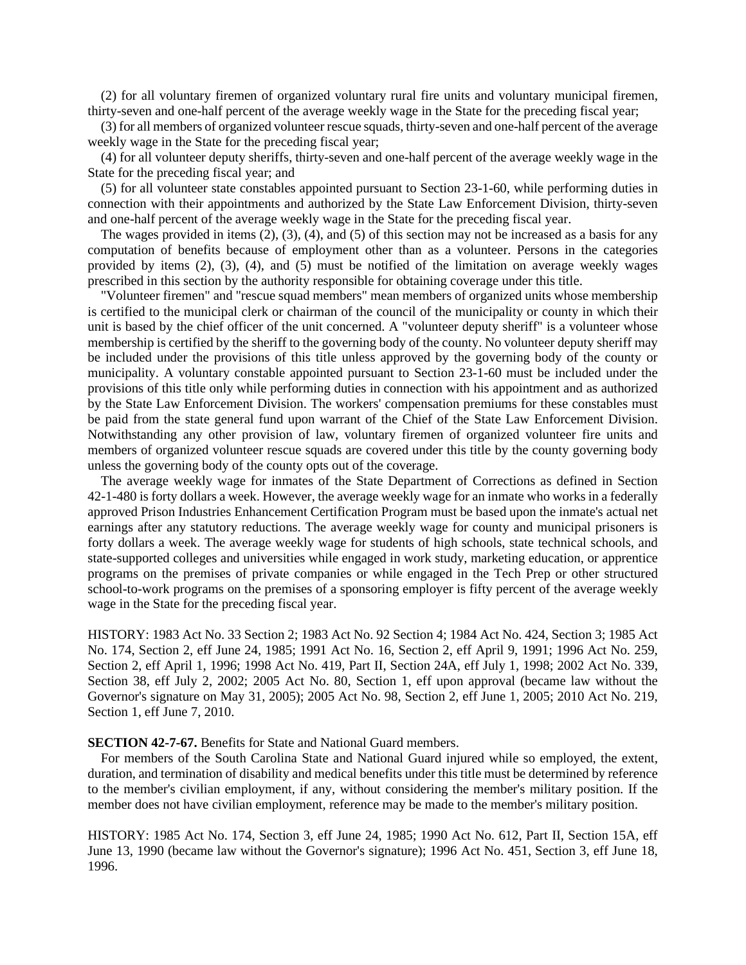(2) for all voluntary firemen of organized voluntary rural fire units and voluntary municipal firemen, thirty-seven and one-half percent of the average weekly wage in the State for the preceding fiscal year;

(3) for all members of organized volunteer rescue squads, thirty-seven and one-half percent of the average weekly wage in the State for the preceding fiscal year;

(4) for all volunteer deputy sheriffs, thirty-seven and one-half percent of the average weekly wage in the State for the preceding fiscal year; and

(5) for all volunteer state constables appointed pursuant to Section 23-1-60, while performing duties in connection with their appointments and authorized by the State Law Enforcement Division, thirty-seven and one-half percent of the average weekly wage in the State for the preceding fiscal year.

The wages provided in items (2), (3), (4), and (5) of this section may not be increased as a basis for any computation of benefits because of employment other than as a volunteer. Persons in the categories provided by items  $(2)$ ,  $(3)$ ,  $(4)$ , and  $(5)$  must be notified of the limitation on average weekly wages prescribed in this section by the authority responsible for obtaining coverage under this title.

"Volunteer firemen" and "rescue squad members" mean members of organized units whose membership is certified to the municipal clerk or chairman of the council of the municipality or county in which their unit is based by the chief officer of the unit concerned. A "volunteer deputy sheriff" is a volunteer whose membership is certified by the sheriff to the governing body of the county. No volunteer deputy sheriff may be included under the provisions of this title unless approved by the governing body of the county or municipality. A voluntary constable appointed pursuant to Section 23-1-60 must be included under the provisions of this title only while performing duties in connection with his appointment and as authorized by the State Law Enforcement Division. The workers' compensation premiums for these constables must be paid from the state general fund upon warrant of the Chief of the State Law Enforcement Division. Notwithstanding any other provision of law, voluntary firemen of organized volunteer fire units and members of organized volunteer rescue squads are covered under this title by the county governing body unless the governing body of the county opts out of the coverage.

The average weekly wage for inmates of the State Department of Corrections as defined in Section 42-1-480 is forty dollars a week. However, the average weekly wage for an inmate who works in a federally approved Prison Industries Enhancement Certification Program must be based upon the inmate's actual net earnings after any statutory reductions. The average weekly wage for county and municipal prisoners is forty dollars a week. The average weekly wage for students of high schools, state technical schools, and state-supported colleges and universities while engaged in work study, marketing education, or apprentice programs on the premises of private companies or while engaged in the Tech Prep or other structured school-to-work programs on the premises of a sponsoring employer is fifty percent of the average weekly wage in the State for the preceding fiscal year.

HISTORY: 1983 Act No. 33 Section 2; 1983 Act No. 92 Section 4; 1984 Act No. 424, Section 3; 1985 Act No. 174, Section 2, eff June 24, 1985; 1991 Act No. 16, Section 2, eff April 9, 1991; 1996 Act No. 259, Section 2, eff April 1, 1996; 1998 Act No. 419, Part II, Section 24A, eff July 1, 1998; 2002 Act No. 339, Section 38, eff July 2, 2002; 2005 Act No. 80, Section 1, eff upon approval (became law without the Governor's signature on May 31, 2005); 2005 Act No. 98, Section 2, eff June 1, 2005; 2010 Act No. 219, Section 1, eff June 7, 2010.

### **SECTION 42-7-67.** Benefits for State and National Guard members.

For members of the South Carolina State and National Guard injured while so employed, the extent, duration, and termination of disability and medical benefits under this title must be determined by reference to the member's civilian employment, if any, without considering the member's military position. If the member does not have civilian employment, reference may be made to the member's military position.

HISTORY: 1985 Act No. 174, Section 3, eff June 24, 1985; 1990 Act No. 612, Part II, Section 15A, eff June 13, 1990 (became law without the Governor's signature); 1996 Act No. 451, Section 3, eff June 18, 1996.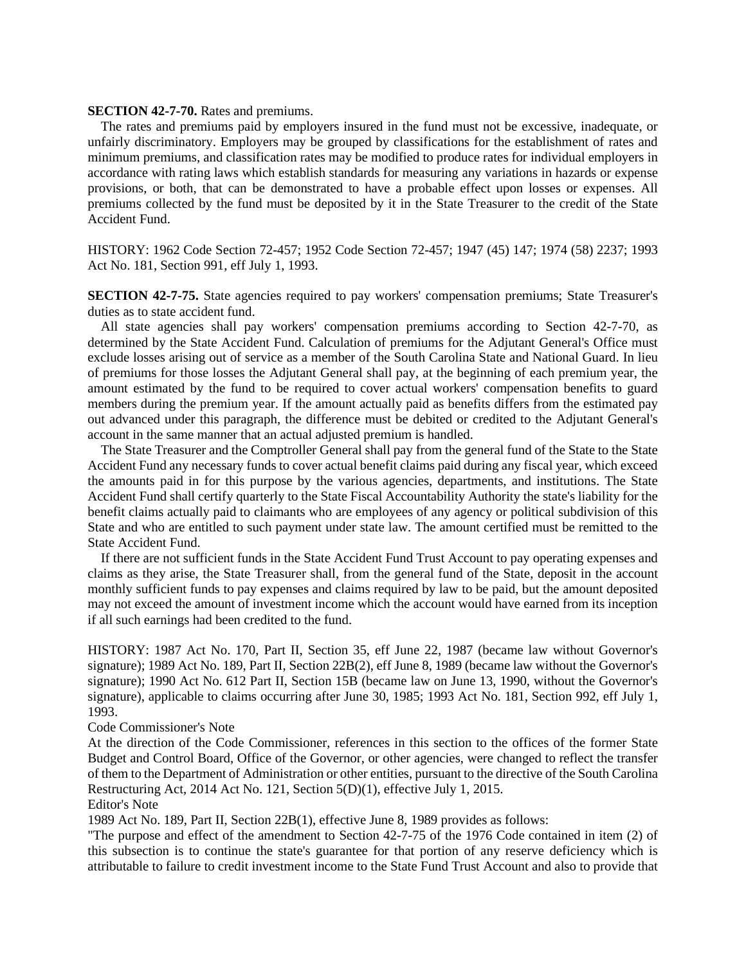### **SECTION 42-7-70.** Rates and premiums.

The rates and premiums paid by employers insured in the fund must not be excessive, inadequate, or unfairly discriminatory. Employers may be grouped by classifications for the establishment of rates and minimum premiums, and classification rates may be modified to produce rates for individual employers in accordance with rating laws which establish standards for measuring any variations in hazards or expense provisions, or both, that can be demonstrated to have a probable effect upon losses or expenses. All premiums collected by the fund must be deposited by it in the State Treasurer to the credit of the State Accident Fund.

HISTORY: 1962 Code Section 72-457; 1952 Code Section 72-457; 1947 (45) 147; 1974 (58) 2237; 1993 Act No. 181, Section 991, eff July 1, 1993.

**SECTION 42-7-75.** State agencies required to pay workers' compensation premiums; State Treasurer's duties as to state accident fund.

All state agencies shall pay workers' compensation premiums according to Section 42-7-70, as determined by the State Accident Fund. Calculation of premiums for the Adjutant General's Office must exclude losses arising out of service as a member of the South Carolina State and National Guard. In lieu of premiums for those losses the Adjutant General shall pay, at the beginning of each premium year, the amount estimated by the fund to be required to cover actual workers' compensation benefits to guard members during the premium year. If the amount actually paid as benefits differs from the estimated pay out advanced under this paragraph, the difference must be debited or credited to the Adjutant General's account in the same manner that an actual adjusted premium is handled.

The State Treasurer and the Comptroller General shall pay from the general fund of the State to the State Accident Fund any necessary funds to cover actual benefit claims paid during any fiscal year, which exceed the amounts paid in for this purpose by the various agencies, departments, and institutions. The State Accident Fund shall certify quarterly to the State Fiscal Accountability Authority the state's liability for the benefit claims actually paid to claimants who are employees of any agency or political subdivision of this State and who are entitled to such payment under state law. The amount certified must be remitted to the State Accident Fund.

If there are not sufficient funds in the State Accident Fund Trust Account to pay operating expenses and claims as they arise, the State Treasurer shall, from the general fund of the State, deposit in the account monthly sufficient funds to pay expenses and claims required by law to be paid, but the amount deposited may not exceed the amount of investment income which the account would have earned from its inception if all such earnings had been credited to the fund.

HISTORY: 1987 Act No. 170, Part II, Section 35, eff June 22, 1987 (became law without Governor's signature); 1989 Act No. 189, Part II, Section 22B(2), eff June 8, 1989 (became law without the Governor's signature); 1990 Act No. 612 Part II, Section 15B (became law on June 13, 1990, without the Governor's signature), applicable to claims occurring after June 30, 1985; 1993 Act No. 181, Section 992, eff July 1, 1993.

### Code Commissioner's Note

At the direction of the Code Commissioner, references in this section to the offices of the former State Budget and Control Board, Office of the Governor, or other agencies, were changed to reflect the transfer of them to the Department of Administration or other entities, pursuant to the directive of the South Carolina Restructuring Act, 2014 Act No. 121, Section 5(D)(1), effective July 1, 2015.

# Editor's Note

1989 Act No. 189, Part II, Section 22B(1), effective June 8, 1989 provides as follows:

"The purpose and effect of the amendment to Section 42-7-75 of the 1976 Code contained in item (2) of this subsection is to continue the state's guarantee for that portion of any reserve deficiency which is attributable to failure to credit investment income to the State Fund Trust Account and also to provide that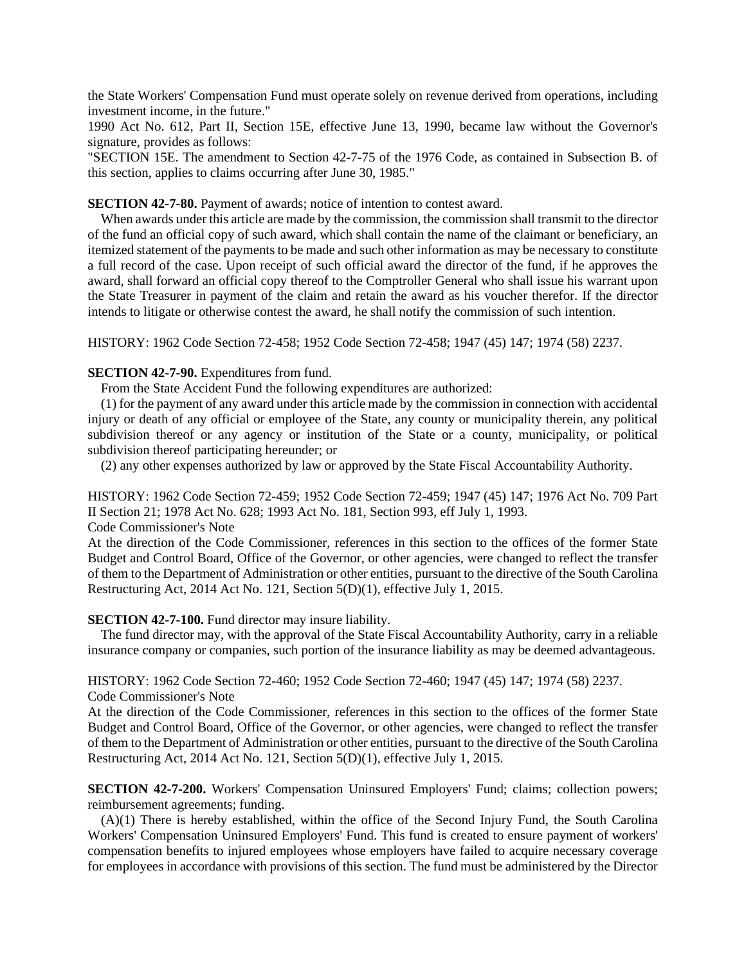the State Workers' Compensation Fund must operate solely on revenue derived from operations, including investment income, in the future."

1990 Act No. 612, Part II, Section 15E, effective June 13, 1990, became law without the Governor's signature, provides as follows:

"SECTION 15E. The amendment to Section 42-7-75 of the 1976 Code, as contained in Subsection B. of this section, applies to claims occurring after June 30, 1985."

**SECTION 42-7-80.** Payment of awards; notice of intention to contest award.

When awards under this article are made by the commission, the commission shall transmit to the director of the fund an official copy of such award, which shall contain the name of the claimant or beneficiary, an itemized statement of the payments to be made and such other information as may be necessary to constitute a full record of the case. Upon receipt of such official award the director of the fund, if he approves the award, shall forward an official copy thereof to the Comptroller General who shall issue his warrant upon the State Treasurer in payment of the claim and retain the award as his voucher therefor. If the director intends to litigate or otherwise contest the award, he shall notify the commission of such intention.

HISTORY: 1962 Code Section 72-458; 1952 Code Section 72-458; 1947 (45) 147; 1974 (58) 2237.

### **SECTION 42-7-90.** Expenditures from fund.

From the State Accident Fund the following expenditures are authorized:

(1) for the payment of any award under this article made by the commission in connection with accidental injury or death of any official or employee of the State, any county or municipality therein, any political subdivision thereof or any agency or institution of the State or a county, municipality, or political subdivision thereof participating hereunder; or

(2) any other expenses authorized by law or approved by the State Fiscal Accountability Authority.

HISTORY: 1962 Code Section 72-459; 1952 Code Section 72-459; 1947 (45) 147; 1976 Act No. 709 Part II Section 21; 1978 Act No. 628; 1993 Act No. 181, Section 993, eff July 1, 1993.

Code Commissioner's Note

At the direction of the Code Commissioner, references in this section to the offices of the former State Budget and Control Board, Office of the Governor, or other agencies, were changed to reflect the transfer of them to the Department of Administration or other entities, pursuant to the directive of the South Carolina Restructuring Act, 2014 Act No. 121, Section 5(D)(1), effective July 1, 2015.

# **SECTION 42-7-100.** Fund director may insure liability.

The fund director may, with the approval of the State Fiscal Accountability Authority, carry in a reliable insurance company or companies, such portion of the insurance liability as may be deemed advantageous.

HISTORY: 1962 Code Section 72-460; 1952 Code Section 72-460; 1947 (45) 147; 1974 (58) 2237. Code Commissioner's Note

At the direction of the Code Commissioner, references in this section to the offices of the former State Budget and Control Board, Office of the Governor, or other agencies, were changed to reflect the transfer of them to the Department of Administration or other entities, pursuant to the directive of the South Carolina Restructuring Act, 2014 Act No. 121, Section 5(D)(1), effective July 1, 2015.

**SECTION 42-7-200.** Workers' Compensation Uninsured Employers' Fund; claims; collection powers; reimbursement agreements; funding.

(A)(1) There is hereby established, within the office of the Second Injury Fund, the South Carolina Workers' Compensation Uninsured Employers' Fund. This fund is created to ensure payment of workers' compensation benefits to injured employees whose employers have failed to acquire necessary coverage for employees in accordance with provisions of this section. The fund must be administered by the Director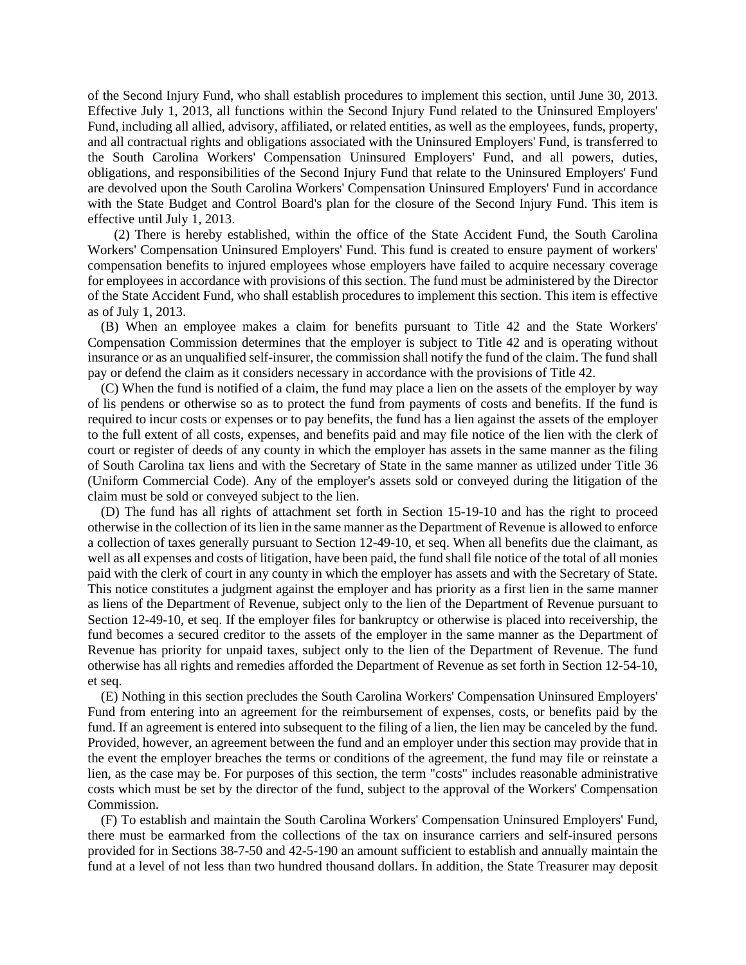of the Second Injury Fund, who shall establish procedures to implement this section, until June 30, 2013. Effective July 1, 2013, all functions within the Second Injury Fund related to the Uninsured Employers' Fund, including all allied, advisory, affiliated, or related entities, as well as the employees, funds, property, and all contractual rights and obligations associated with the Uninsured Employers' Fund, is transferred to the South Carolina Workers' Compensation Uninsured Employers' Fund, and all powers, duties, obligations, and responsibilities of the Second Injury Fund that relate to the Uninsured Employers' Fund are devolved upon the South Carolina Workers' Compensation Uninsured Employers' Fund in accordance with the State Budget and Control Board's plan for the closure of the Second Injury Fund. This item is effective until July 1, 2013.

(2) There is hereby established, within the office of the State Accident Fund, the South Carolina Workers' Compensation Uninsured Employers' Fund. This fund is created to ensure payment of workers' compensation benefits to injured employees whose employers have failed to acquire necessary coverage for employees in accordance with provisions of this section. The fund must be administered by the Director of the State Accident Fund, who shall establish procedures to implement this section. This item is effective as of July 1, 2013.

(B) When an employee makes a claim for benefits pursuant to Title 42 and the State Workers' Compensation Commission determines that the employer is subject to Title 42 and is operating without insurance or as an unqualified self-insurer, the commission shall notify the fund of the claim. The fund shall pay or defend the claim as it considers necessary in accordance with the provisions of Title 42.

(C) When the fund is notified of a claim, the fund may place a lien on the assets of the employer by way of lis pendens or otherwise so as to protect the fund from payments of costs and benefits. If the fund is required to incur costs or expenses or to pay benefits, the fund has a lien against the assets of the employer to the full extent of all costs, expenses, and benefits paid and may file notice of the lien with the clerk of court or register of deeds of any county in which the employer has assets in the same manner as the filing of South Carolina tax liens and with the Secretary of State in the same manner as utilized under Title 36 (Uniform Commercial Code). Any of the employer's assets sold or conveyed during the litigation of the claim must be sold or conveyed subject to the lien.

(D) The fund has all rights of attachment set forth in Section 15-19-10 and has the right to proceed otherwise in the collection of its lien in the same manner as the Department of Revenue is allowed to enforce a collection of taxes generally pursuant to Section 12-49-10, et seq. When all benefits due the claimant, as well as all expenses and costs of litigation, have been paid, the fund shall file notice of the total of all monies paid with the clerk of court in any county in which the employer has assets and with the Secretary of State. This notice constitutes a judgment against the employer and has priority as a first lien in the same manner as liens of the Department of Revenue, subject only to the lien of the Department of Revenue pursuant to Section 12-49-10, et seq. If the employer files for bankruptcy or otherwise is placed into receivership, the fund becomes a secured creditor to the assets of the employer in the same manner as the Department of Revenue has priority for unpaid taxes, subject only to the lien of the Department of Revenue. The fund otherwise has all rights and remedies afforded the Department of Revenue as set forth in Section 12-54-10, et seq.

(E) Nothing in this section precludes the South Carolina Workers' Compensation Uninsured Employers' Fund from entering into an agreement for the reimbursement of expenses, costs, or benefits paid by the fund. If an agreement is entered into subsequent to the filing of a lien, the lien may be canceled by the fund. Provided, however, an agreement between the fund and an employer under this section may provide that in the event the employer breaches the terms or conditions of the agreement, the fund may file or reinstate a lien, as the case may be. For purposes of this section, the term "costs" includes reasonable administrative costs which must be set by the director of the fund, subject to the approval of the Workers' Compensation Commission.

(F) To establish and maintain the South Carolina Workers' Compensation Uninsured Employers' Fund, there must be earmarked from the collections of the tax on insurance carriers and self-insured persons provided for in Sections 38-7-50 and 42-5-190 an amount sufficient to establish and annually maintain the fund at a level of not less than two hundred thousand dollars. In addition, the State Treasurer may deposit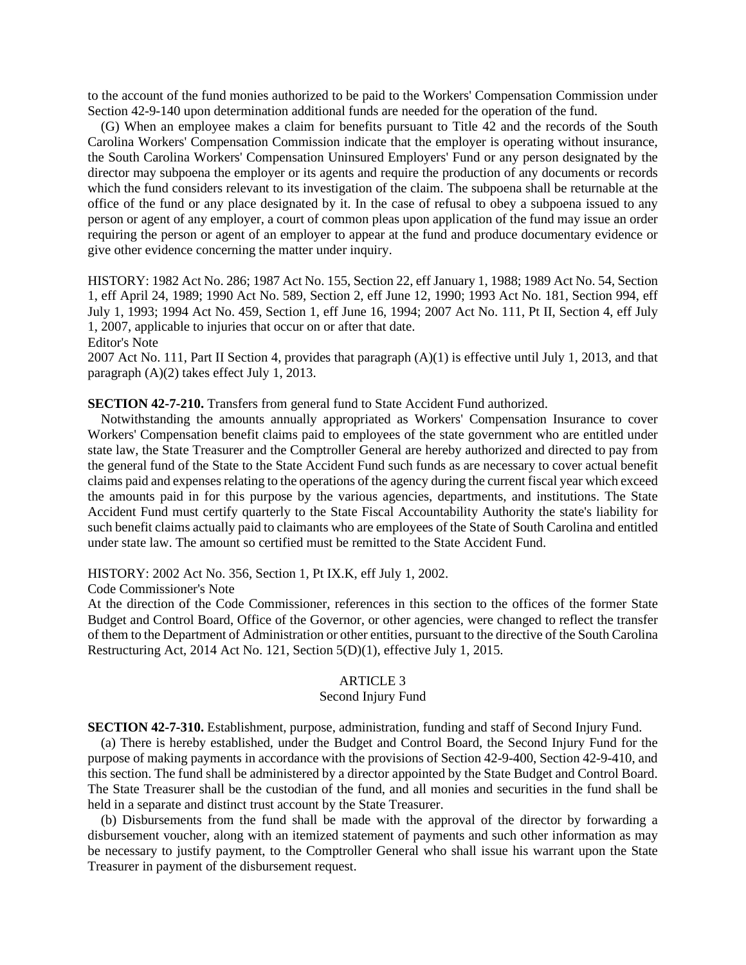to the account of the fund monies authorized to be paid to the Workers' Compensation Commission under Section 42-9-140 upon determination additional funds are needed for the operation of the fund.

(G) When an employee makes a claim for benefits pursuant to Title 42 and the records of the South Carolina Workers' Compensation Commission indicate that the employer is operating without insurance, the South Carolina Workers' Compensation Uninsured Employers' Fund or any person designated by the director may subpoena the employer or its agents and require the production of any documents or records which the fund considers relevant to its investigation of the claim. The subpoena shall be returnable at the office of the fund or any place designated by it. In the case of refusal to obey a subpoena issued to any person or agent of any employer, a court of common pleas upon application of the fund may issue an order requiring the person or agent of an employer to appear at the fund and produce documentary evidence or give other evidence concerning the matter under inquiry.

HISTORY: 1982 Act No. 286; 1987 Act No. 155, Section 22, eff January 1, 1988; 1989 Act No. 54, Section 1, eff April 24, 1989; 1990 Act No. 589, Section 2, eff June 12, 1990; 1993 Act No. 181, Section 994, eff July 1, 1993; 1994 Act No. 459, Section 1, eff June 16, 1994; 2007 Act No. 111, Pt II, Section 4, eff July 1, 2007, applicable to injuries that occur on or after that date. Editor's Note

2007 Act No. 111, Part II Section 4, provides that paragraph (A)(1) is effective until July 1, 2013, and that paragraph (A)(2) takes effect July 1, 2013.

### **SECTION 42-7-210.** Transfers from general fund to State Accident Fund authorized.

Notwithstanding the amounts annually appropriated as Workers' Compensation Insurance to cover Workers' Compensation benefit claims paid to employees of the state government who are entitled under state law, the State Treasurer and the Comptroller General are hereby authorized and directed to pay from the general fund of the State to the State Accident Fund such funds as are necessary to cover actual benefit claims paid and expenses relating to the operations of the agency during the current fiscal year which exceed the amounts paid in for this purpose by the various agencies, departments, and institutions. The State Accident Fund must certify quarterly to the State Fiscal Accountability Authority the state's liability for such benefit claims actually paid to claimants who are employees of the State of South Carolina and entitled under state law. The amount so certified must be remitted to the State Accident Fund.

HISTORY: 2002 Act No. 356, Section 1, Pt IX.K, eff July 1, 2002.

Code Commissioner's Note

At the direction of the Code Commissioner, references in this section to the offices of the former State Budget and Control Board, Office of the Governor, or other agencies, were changed to reflect the transfer of them to the Department of Administration or other entities, pursuant to the directive of the South Carolina Restructuring Act, 2014 Act No. 121, Section 5(D)(1), effective July 1, 2015.

### ARTICLE 3

# Second Injury Fund

**SECTION 42-7-310.** Establishment, purpose, administration, funding and staff of Second Injury Fund.

(a) There is hereby established, under the Budget and Control Board, the Second Injury Fund for the purpose of making payments in accordance with the provisions of Section 42-9-400, Section 42-9-410, and this section. The fund shall be administered by a director appointed by the State Budget and Control Board. The State Treasurer shall be the custodian of the fund, and all monies and securities in the fund shall be held in a separate and distinct trust account by the State Treasurer.

(b) Disbursements from the fund shall be made with the approval of the director by forwarding a disbursement voucher, along with an itemized statement of payments and such other information as may be necessary to justify payment, to the Comptroller General who shall issue his warrant upon the State Treasurer in payment of the disbursement request.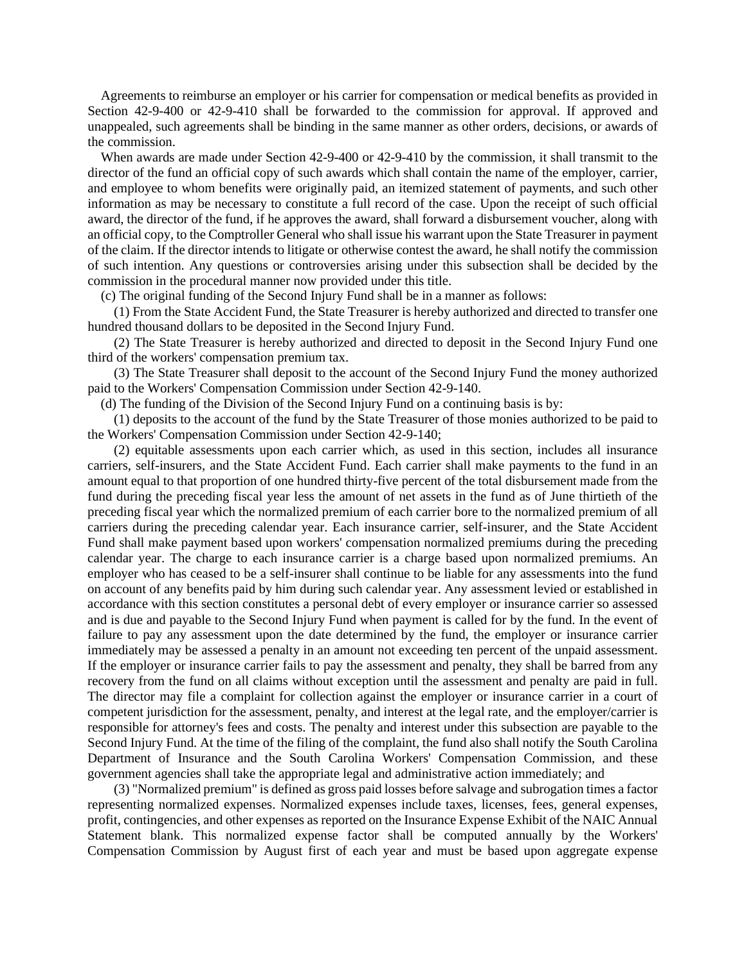Agreements to reimburse an employer or his carrier for compensation or medical benefits as provided in Section 42-9-400 or 42-9-410 shall be forwarded to the commission for approval. If approved and unappealed, such agreements shall be binding in the same manner as other orders, decisions, or awards of the commission.

When awards are made under Section 42-9-400 or 42-9-410 by the commission, it shall transmit to the director of the fund an official copy of such awards which shall contain the name of the employer, carrier, and employee to whom benefits were originally paid, an itemized statement of payments, and such other information as may be necessary to constitute a full record of the case. Upon the receipt of such official award, the director of the fund, if he approves the award, shall forward a disbursement voucher, along with an official copy, to the Comptroller General who shall issue his warrant upon the State Treasurer in payment of the claim. If the director intends to litigate or otherwise contest the award, he shall notify the commission of such intention. Any questions or controversies arising under this subsection shall be decided by the commission in the procedural manner now provided under this title.

(c) The original funding of the Second Injury Fund shall be in a manner as follows:

(1) From the State Accident Fund, the State Treasurer is hereby authorized and directed to transfer one hundred thousand dollars to be deposited in the Second Injury Fund.

(2) The State Treasurer is hereby authorized and directed to deposit in the Second Injury Fund one third of the workers' compensation premium tax.

(3) The State Treasurer shall deposit to the account of the Second Injury Fund the money authorized paid to the Workers' Compensation Commission under Section 42-9-140.

(d) The funding of the Division of the Second Injury Fund on a continuing basis is by:

(1) deposits to the account of the fund by the State Treasurer of those monies authorized to be paid to the Workers' Compensation Commission under Section 42-9-140;

(2) equitable assessments upon each carrier which, as used in this section, includes all insurance carriers, self-insurers, and the State Accident Fund. Each carrier shall make payments to the fund in an amount equal to that proportion of one hundred thirty-five percent of the total disbursement made from the fund during the preceding fiscal year less the amount of net assets in the fund as of June thirtieth of the preceding fiscal year which the normalized premium of each carrier bore to the normalized premium of all carriers during the preceding calendar year. Each insurance carrier, self-insurer, and the State Accident Fund shall make payment based upon workers' compensation normalized premiums during the preceding calendar year. The charge to each insurance carrier is a charge based upon normalized premiums. An employer who has ceased to be a self-insurer shall continue to be liable for any assessments into the fund on account of any benefits paid by him during such calendar year. Any assessment levied or established in accordance with this section constitutes a personal debt of every employer or insurance carrier so assessed and is due and payable to the Second Injury Fund when payment is called for by the fund. In the event of failure to pay any assessment upon the date determined by the fund, the employer or insurance carrier immediately may be assessed a penalty in an amount not exceeding ten percent of the unpaid assessment. If the employer or insurance carrier fails to pay the assessment and penalty, they shall be barred from any recovery from the fund on all claims without exception until the assessment and penalty are paid in full. The director may file a complaint for collection against the employer or insurance carrier in a court of competent jurisdiction for the assessment, penalty, and interest at the legal rate, and the employer/carrier is responsible for attorney's fees and costs. The penalty and interest under this subsection are payable to the Second Injury Fund. At the time of the filing of the complaint, the fund also shall notify the South Carolina Department of Insurance and the South Carolina Workers' Compensation Commission, and these government agencies shall take the appropriate legal and administrative action immediately; and

(3) "Normalized premium" is defined as gross paid losses before salvage and subrogation times a factor representing normalized expenses. Normalized expenses include taxes, licenses, fees, general expenses, profit, contingencies, and other expenses as reported on the Insurance Expense Exhibit of the NAIC Annual Statement blank. This normalized expense factor shall be computed annually by the Workers' Compensation Commission by August first of each year and must be based upon aggregate expense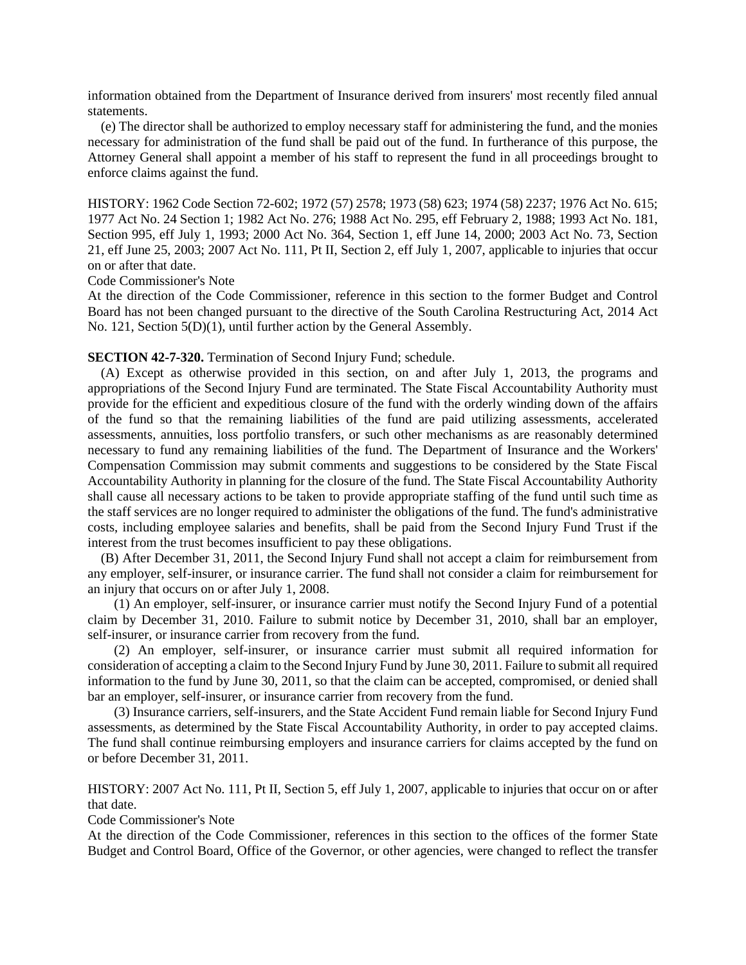information obtained from the Department of Insurance derived from insurers' most recently filed annual statements.

(e) The director shall be authorized to employ necessary staff for administering the fund, and the monies necessary for administration of the fund shall be paid out of the fund. In furtherance of this purpose, the Attorney General shall appoint a member of his staff to represent the fund in all proceedings brought to enforce claims against the fund.

HISTORY: 1962 Code Section 72-602; 1972 (57) 2578; 1973 (58) 623; 1974 (58) 2237; 1976 Act No. 615; 1977 Act No. 24 Section 1; 1982 Act No. 276; 1988 Act No. 295, eff February 2, 1988; 1993 Act No. 181, Section 995, eff July 1, 1993; 2000 Act No. 364, Section 1, eff June 14, 2000; 2003 Act No. 73, Section 21, eff June 25, 2003; 2007 Act No. 111, Pt II, Section 2, eff July 1, 2007, applicable to injuries that occur on or after that date.

Code Commissioner's Note

At the direction of the Code Commissioner, reference in this section to the former Budget and Control Board has not been changed pursuant to the directive of the South Carolina Restructuring Act, 2014 Act No. 121, Section 5(D)(1), until further action by the General Assembly.

**SECTION 42-7-320.** Termination of Second Injury Fund; schedule.

(A) Except as otherwise provided in this section, on and after July 1, 2013, the programs and appropriations of the Second Injury Fund are terminated. The State Fiscal Accountability Authority must provide for the efficient and expeditious closure of the fund with the orderly winding down of the affairs of the fund so that the remaining liabilities of the fund are paid utilizing assessments, accelerated assessments, annuities, loss portfolio transfers, or such other mechanisms as are reasonably determined necessary to fund any remaining liabilities of the fund. The Department of Insurance and the Workers' Compensation Commission may submit comments and suggestions to be considered by the State Fiscal Accountability Authority in planning for the closure of the fund. The State Fiscal Accountability Authority shall cause all necessary actions to be taken to provide appropriate staffing of the fund until such time as the staff services are no longer required to administer the obligations of the fund. The fund's administrative costs, including employee salaries and benefits, shall be paid from the Second Injury Fund Trust if the interest from the trust becomes insufficient to pay these obligations.

(B) After December 31, 2011, the Second Injury Fund shall not accept a claim for reimbursement from any employer, self-insurer, or insurance carrier. The fund shall not consider a claim for reimbursement for an injury that occurs on or after July 1, 2008.

(1) An employer, self-insurer, or insurance carrier must notify the Second Injury Fund of a potential claim by December 31, 2010. Failure to submit notice by December 31, 2010, shall bar an employer, self-insurer, or insurance carrier from recovery from the fund.

(2) An employer, self-insurer, or insurance carrier must submit all required information for consideration of accepting a claim to the Second Injury Fund by June 30, 2011. Failure to submit all required information to the fund by June 30, 2011, so that the claim can be accepted, compromised, or denied shall bar an employer, self-insurer, or insurance carrier from recovery from the fund.

(3) Insurance carriers, self-insurers, and the State Accident Fund remain liable for Second Injury Fund assessments, as determined by the State Fiscal Accountability Authority, in order to pay accepted claims. The fund shall continue reimbursing employers and insurance carriers for claims accepted by the fund on or before December 31, 2011.

HISTORY: 2007 Act No. 111, Pt II, Section 5, eff July 1, 2007, applicable to injuries that occur on or after that date.

Code Commissioner's Note

At the direction of the Code Commissioner, references in this section to the offices of the former State Budget and Control Board, Office of the Governor, or other agencies, were changed to reflect the transfer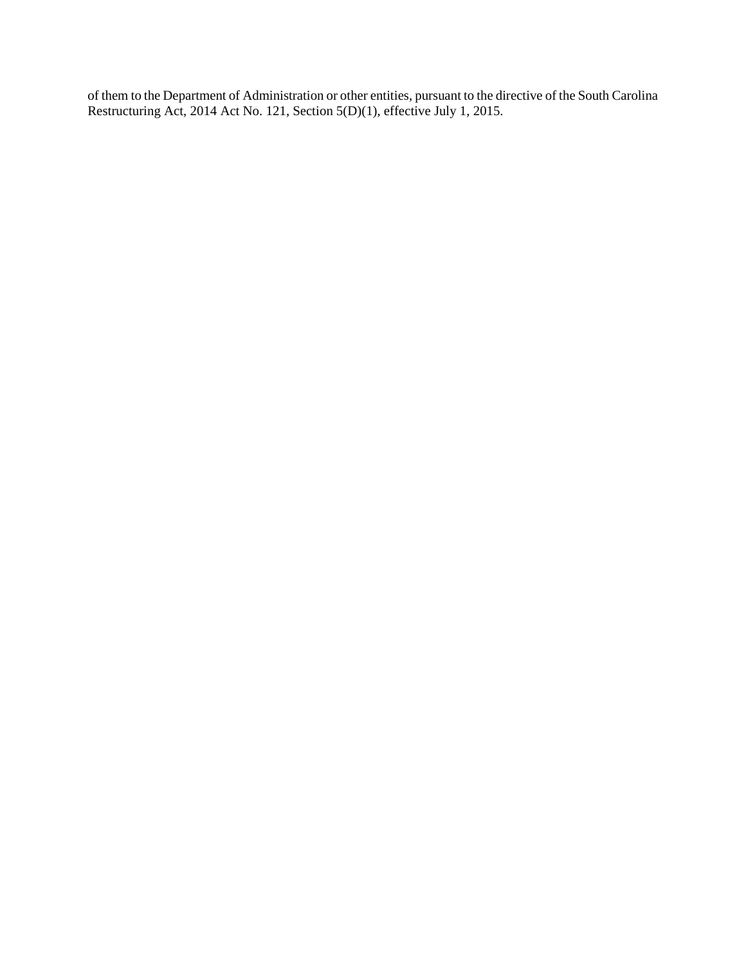of them to the Department of Administration or other entities, pursuant to the directive of the South Carolina Restructuring Act, 2014 Act No. 121, Section 5(D)(1), effective July 1, 2015.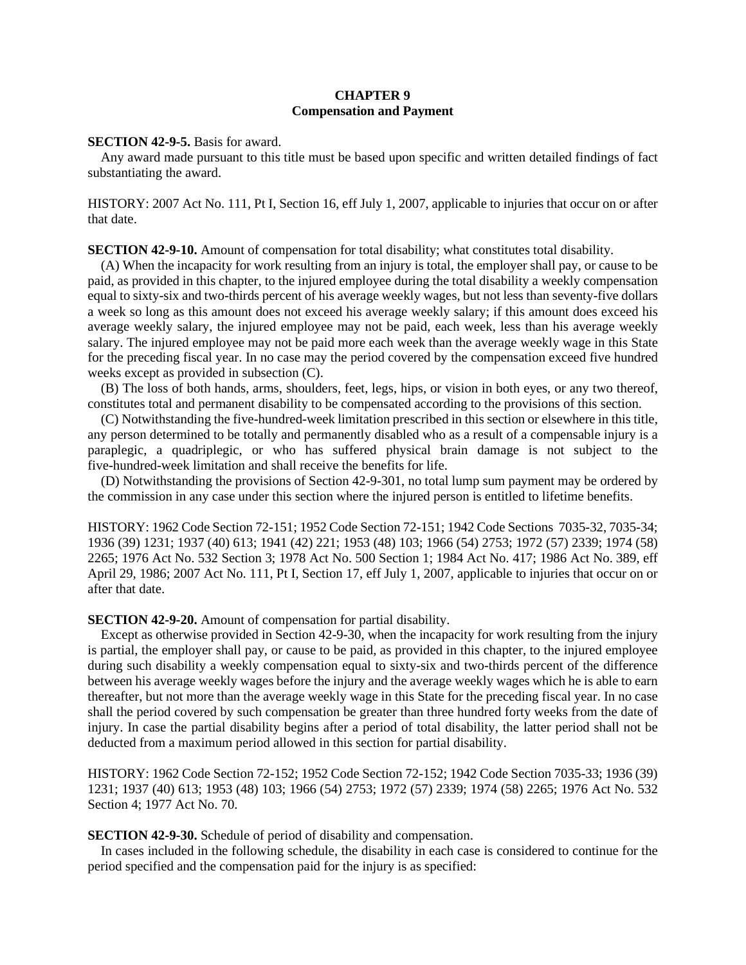# **CHAPTER 9 Compensation and Payment**

### **SECTION 42-9-5.** Basis for award.

Any award made pursuant to this title must be based upon specific and written detailed findings of fact substantiating the award.

HISTORY: 2007 Act No. 111, Pt I, Section 16, eff July 1, 2007, applicable to injuries that occur on or after that date.

**SECTION 42-9-10.** Amount of compensation for total disability; what constitutes total disability.

(A) When the incapacity for work resulting from an injury is total, the employer shall pay, or cause to be paid, as provided in this chapter, to the injured employee during the total disability a weekly compensation equal to sixty-six and two-thirds percent of his average weekly wages, but not less than seventy-five dollars a week so long as this amount does not exceed his average weekly salary; if this amount does exceed his average weekly salary, the injured employee may not be paid, each week, less than his average weekly salary. The injured employee may not be paid more each week than the average weekly wage in this State for the preceding fiscal year. In no case may the period covered by the compensation exceed five hundred weeks except as provided in subsection (C).

(B) The loss of both hands, arms, shoulders, feet, legs, hips, or vision in both eyes, or any two thereof, constitutes total and permanent disability to be compensated according to the provisions of this section.

(C) Notwithstanding the five-hundred-week limitation prescribed in this section or elsewhere in this title, any person determined to be totally and permanently disabled who as a result of a compensable injury is a paraplegic, a quadriplegic, or who has suffered physical brain damage is not subject to the five-hundred-week limitation and shall receive the benefits for life.

(D) Notwithstanding the provisions of Section 42-9-301, no total lump sum payment may be ordered by the commission in any case under this section where the injured person is entitled to lifetime benefits.

HISTORY: 1962 Code Section 72-151; 1952 Code Section 72-151; 1942 Code Sections 7035-32, 7035-34; 1936 (39) 1231; 1937 (40) 613; 1941 (42) 221; 1953 (48) 103; 1966 (54) 2753; 1972 (57) 2339; 1974 (58) 2265; 1976 Act No. 532 Section 3; 1978 Act No. 500 Section 1; 1984 Act No. 417; 1986 Act No. 389, eff April 29, 1986; 2007 Act No. 111, Pt I, Section 17, eff July 1, 2007, applicable to injuries that occur on or after that date.

**SECTION 42-9-20.** Amount of compensation for partial disability.

Except as otherwise provided in Section 42-9-30, when the incapacity for work resulting from the injury is partial, the employer shall pay, or cause to be paid, as provided in this chapter, to the injured employee during such disability a weekly compensation equal to sixty-six and two-thirds percent of the difference between his average weekly wages before the injury and the average weekly wages which he is able to earn thereafter, but not more than the average weekly wage in this State for the preceding fiscal year. In no case shall the period covered by such compensation be greater than three hundred forty weeks from the date of injury. In case the partial disability begins after a period of total disability, the latter period shall not be deducted from a maximum period allowed in this section for partial disability.

HISTORY: 1962 Code Section 72-152; 1952 Code Section 72-152; 1942 Code Section 7035-33; 1936 (39) 1231; 1937 (40) 613; 1953 (48) 103; 1966 (54) 2753; 1972 (57) 2339; 1974 (58) 2265; 1976 Act No. 532 Section 4; 1977 Act No. 70.

**SECTION 42-9-30.** Schedule of period of disability and compensation.

In cases included in the following schedule, the disability in each case is considered to continue for the period specified and the compensation paid for the injury is as specified: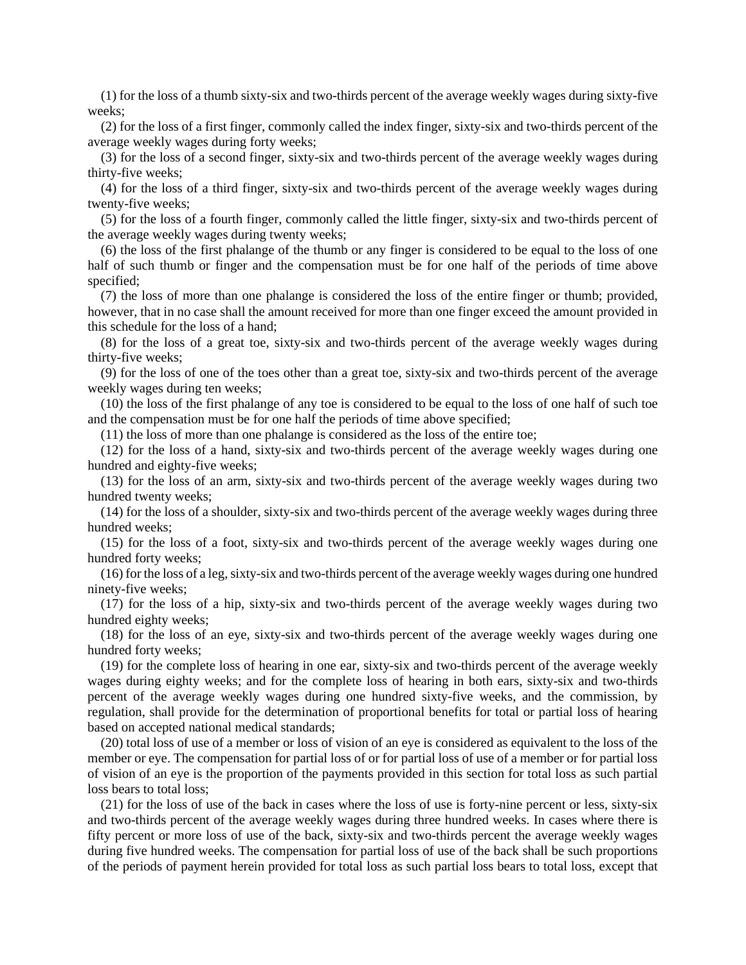(1) for the loss of a thumb sixty-six and two-thirds percent of the average weekly wages during sixty-five weeks;

(2) for the loss of a first finger, commonly called the index finger, sixty-six and two-thirds percent of the average weekly wages during forty weeks;

(3) for the loss of a second finger, sixty-six and two-thirds percent of the average weekly wages during thirty-five weeks;

(4) for the loss of a third finger, sixty-six and two-thirds percent of the average weekly wages during twenty-five weeks;

(5) for the loss of a fourth finger, commonly called the little finger, sixty-six and two-thirds percent of the average weekly wages during twenty weeks;

(6) the loss of the first phalange of the thumb or any finger is considered to be equal to the loss of one half of such thumb or finger and the compensation must be for one half of the periods of time above specified;

(7) the loss of more than one phalange is considered the loss of the entire finger or thumb; provided, however, that in no case shall the amount received for more than one finger exceed the amount provided in this schedule for the loss of a hand;

(8) for the loss of a great toe, sixty-six and two-thirds percent of the average weekly wages during thirty-five weeks;

(9) for the loss of one of the toes other than a great toe, sixty-six and two-thirds percent of the average weekly wages during ten weeks;

(10) the loss of the first phalange of any toe is considered to be equal to the loss of one half of such toe and the compensation must be for one half the periods of time above specified;

(11) the loss of more than one phalange is considered as the loss of the entire toe;

(12) for the loss of a hand, sixty-six and two-thirds percent of the average weekly wages during one hundred and eighty-five weeks;

(13) for the loss of an arm, sixty-six and two-thirds percent of the average weekly wages during two hundred twenty weeks;

(14) for the loss of a shoulder, sixty-six and two-thirds percent of the average weekly wages during three hundred weeks;

(15) for the loss of a foot, sixty-six and two-thirds percent of the average weekly wages during one hundred forty weeks;

(16) for the loss of a leg, sixty-six and two-thirds percent of the average weekly wages during one hundred ninety-five weeks;

(17) for the loss of a hip, sixty-six and two-thirds percent of the average weekly wages during two hundred eighty weeks;

(18) for the loss of an eye, sixty-six and two-thirds percent of the average weekly wages during one hundred forty weeks;

(19) for the complete loss of hearing in one ear, sixty-six and two-thirds percent of the average weekly wages during eighty weeks; and for the complete loss of hearing in both ears, sixty-six and two-thirds percent of the average weekly wages during one hundred sixty-five weeks, and the commission, by regulation, shall provide for the determination of proportional benefits for total or partial loss of hearing based on accepted national medical standards;

(20) total loss of use of a member or loss of vision of an eye is considered as equivalent to the loss of the member or eye. The compensation for partial loss of or for partial loss of use of a member or for partial loss of vision of an eye is the proportion of the payments provided in this section for total loss as such partial loss bears to total loss;

(21) for the loss of use of the back in cases where the loss of use is forty-nine percent or less, sixty-six and two-thirds percent of the average weekly wages during three hundred weeks. In cases where there is fifty percent or more loss of use of the back, sixty-six and two-thirds percent the average weekly wages during five hundred weeks. The compensation for partial loss of use of the back shall be such proportions of the periods of payment herein provided for total loss as such partial loss bears to total loss, except that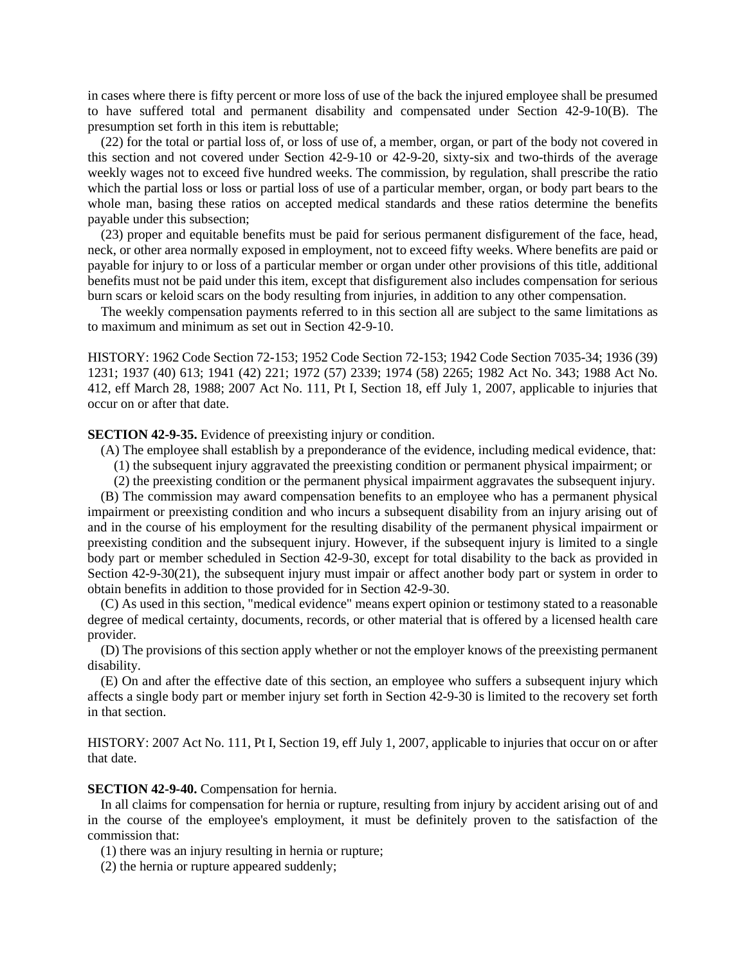in cases where there is fifty percent or more loss of use of the back the injured employee shall be presumed to have suffered total and permanent disability and compensated under Section 42-9-10(B). The presumption set forth in this item is rebuttable;

(22) for the total or partial loss of, or loss of use of, a member, organ, or part of the body not covered in this section and not covered under Section 42-9-10 or 42-9-20, sixty-six and two-thirds of the average weekly wages not to exceed five hundred weeks. The commission, by regulation, shall prescribe the ratio which the partial loss or loss or partial loss of use of a particular member, organ, or body part bears to the whole man, basing these ratios on accepted medical standards and these ratios determine the benefits payable under this subsection;

(23) proper and equitable benefits must be paid for serious permanent disfigurement of the face, head, neck, or other area normally exposed in employment, not to exceed fifty weeks. Where benefits are paid or payable for injury to or loss of a particular member or organ under other provisions of this title, additional benefits must not be paid under this item, except that disfigurement also includes compensation for serious burn scars or keloid scars on the body resulting from injuries, in addition to any other compensation.

The weekly compensation payments referred to in this section all are subject to the same limitations as to maximum and minimum as set out in Section 42-9-10.

HISTORY: 1962 Code Section 72-153; 1952 Code Section 72-153; 1942 Code Section 7035-34; 1936 (39) 1231; 1937 (40) 613; 1941 (42) 221; 1972 (57) 2339; 1974 (58) 2265; 1982 Act No. 343; 1988 Act No. 412, eff March 28, 1988; 2007 Act No. 111, Pt I, Section 18, eff July 1, 2007, applicable to injuries that occur on or after that date.

**SECTION 42-9-35.** Evidence of preexisting injury or condition.

(A) The employee shall establish by a preponderance of the evidence, including medical evidence, that:

- (1) the subsequent injury aggravated the preexisting condition or permanent physical impairment; or
- (2) the preexisting condition or the permanent physical impairment aggravates the subsequent injury.

(B) The commission may award compensation benefits to an employee who has a permanent physical impairment or preexisting condition and who incurs a subsequent disability from an injury arising out of and in the course of his employment for the resulting disability of the permanent physical impairment or preexisting condition and the subsequent injury. However, if the subsequent injury is limited to a single body part or member scheduled in Section 42-9-30, except for total disability to the back as provided in Section 42-9-30(21), the subsequent injury must impair or affect another body part or system in order to obtain benefits in addition to those provided for in Section 42-9-30.

(C) As used in this section, "medical evidence" means expert opinion or testimony stated to a reasonable degree of medical certainty, documents, records, or other material that is offered by a licensed health care provider.

(D) The provisions of this section apply whether or not the employer knows of the preexisting permanent disability.

(E) On and after the effective date of this section, an employee who suffers a subsequent injury which affects a single body part or member injury set forth in Section 42-9-30 is limited to the recovery set forth in that section.

HISTORY: 2007 Act No. 111, Pt I, Section 19, eff July 1, 2007, applicable to injuries that occur on or after that date.

### **SECTION 42-9-40.** Compensation for hernia.

In all claims for compensation for hernia or rupture, resulting from injury by accident arising out of and in the course of the employee's employment, it must be definitely proven to the satisfaction of the commission that:

(1) there was an injury resulting in hernia or rupture;

(2) the hernia or rupture appeared suddenly;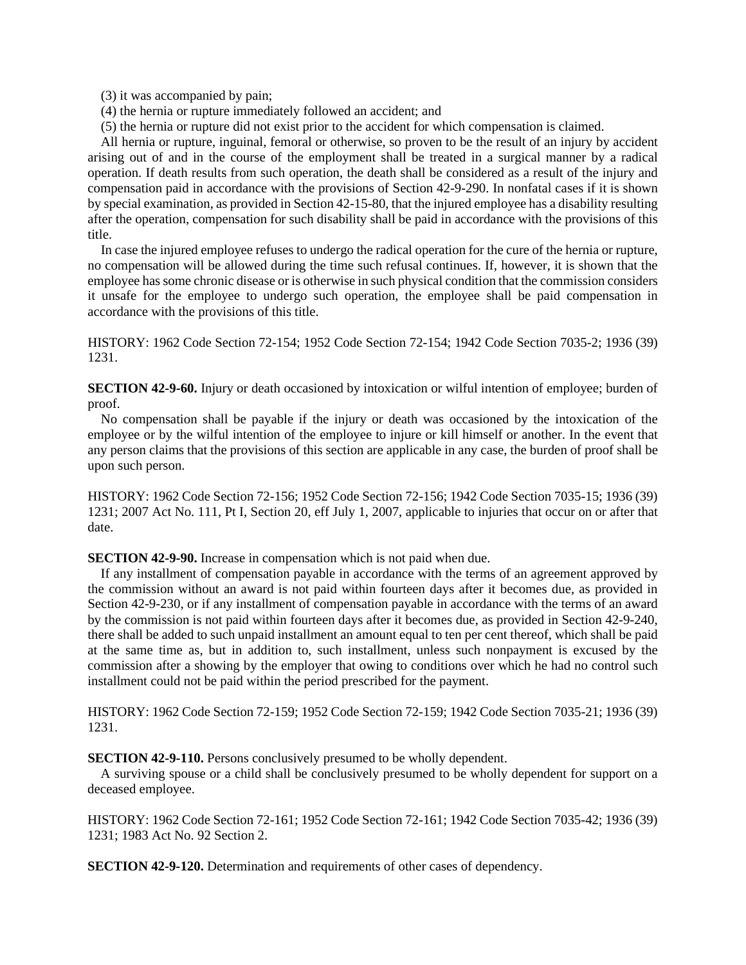(3) it was accompanied by pain;

- (4) the hernia or rupture immediately followed an accident; and
- (5) the hernia or rupture did not exist prior to the accident for which compensation is claimed.

All hernia or rupture, inguinal, femoral or otherwise, so proven to be the result of an injury by accident arising out of and in the course of the employment shall be treated in a surgical manner by a radical operation. If death results from such operation, the death shall be considered as a result of the injury and compensation paid in accordance with the provisions of Section 42-9-290. In nonfatal cases if it is shown by special examination, as provided in Section 42-15-80, that the injured employee has a disability resulting after the operation, compensation for such disability shall be paid in accordance with the provisions of this title.

In case the injured employee refuses to undergo the radical operation for the cure of the hernia or rupture, no compensation will be allowed during the time such refusal continues. If, however, it is shown that the employee has some chronic disease or is otherwise in such physical condition that the commission considers it unsafe for the employee to undergo such operation, the employee shall be paid compensation in accordance with the provisions of this title.

HISTORY: 1962 Code Section 72-154; 1952 Code Section 72-154; 1942 Code Section 7035-2; 1936 (39) 1231.

**SECTION 42-9-60.** Injury or death occasioned by intoxication or wilful intention of employee; burden of proof.

No compensation shall be payable if the injury or death was occasioned by the intoxication of the employee or by the wilful intention of the employee to injure or kill himself or another. In the event that any person claims that the provisions of this section are applicable in any case, the burden of proof shall be upon such person.

HISTORY: 1962 Code Section 72-156; 1952 Code Section 72-156; 1942 Code Section 7035-15; 1936 (39) 1231; 2007 Act No. 111, Pt I, Section 20, eff July 1, 2007, applicable to injuries that occur on or after that date.

**SECTION 42-9-90.** Increase in compensation which is not paid when due.

If any installment of compensation payable in accordance with the terms of an agreement approved by the commission without an award is not paid within fourteen days after it becomes due, as provided in Section 42-9-230, or if any installment of compensation payable in accordance with the terms of an award by the commission is not paid within fourteen days after it becomes due, as provided in Section 42-9-240, there shall be added to such unpaid installment an amount equal to ten per cent thereof, which shall be paid at the same time as, but in addition to, such installment, unless such nonpayment is excused by the commission after a showing by the employer that owing to conditions over which he had no control such installment could not be paid within the period prescribed for the payment.

HISTORY: 1962 Code Section 72-159; 1952 Code Section 72-159; 1942 Code Section 7035-21; 1936 (39) 1231.

**SECTION 42-9-110.** Persons conclusively presumed to be wholly dependent.

A surviving spouse or a child shall be conclusively presumed to be wholly dependent for support on a deceased employee.

HISTORY: 1962 Code Section 72-161; 1952 Code Section 72-161; 1942 Code Section 7035-42; 1936 (39) 1231; 1983 Act No. 92 Section 2.

**SECTION 42-9-120.** Determination and requirements of other cases of dependency.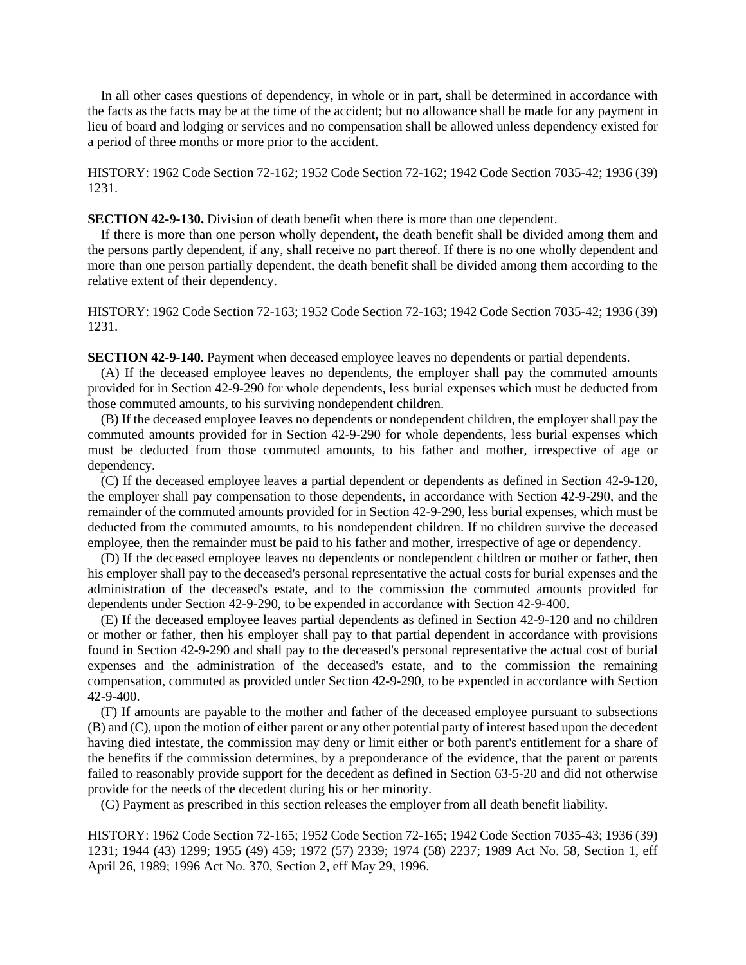In all other cases questions of dependency, in whole or in part, shall be determined in accordance with the facts as the facts may be at the time of the accident; but no allowance shall be made for any payment in lieu of board and lodging or services and no compensation shall be allowed unless dependency existed for a period of three months or more prior to the accident.

HISTORY: 1962 Code Section 72-162; 1952 Code Section 72-162; 1942 Code Section 7035-42; 1936 (39) 1231.

**SECTION 42-9-130.** Division of death benefit when there is more than one dependent.

If there is more than one person wholly dependent, the death benefit shall be divided among them and the persons partly dependent, if any, shall receive no part thereof. If there is no one wholly dependent and more than one person partially dependent, the death benefit shall be divided among them according to the relative extent of their dependency.

HISTORY: 1962 Code Section 72-163; 1952 Code Section 72-163; 1942 Code Section 7035-42; 1936 (39) 1231.

**SECTION 42-9-140.** Payment when deceased employee leaves no dependents or partial dependents.

(A) If the deceased employee leaves no dependents, the employer shall pay the commuted amounts provided for in Section 42-9-290 for whole dependents, less burial expenses which must be deducted from those commuted amounts, to his surviving nondependent children.

(B) If the deceased employee leaves no dependents or nondependent children, the employer shall pay the commuted amounts provided for in Section 42-9-290 for whole dependents, less burial expenses which must be deducted from those commuted amounts, to his father and mother, irrespective of age or dependency.

(C) If the deceased employee leaves a partial dependent or dependents as defined in Section 42-9-120, the employer shall pay compensation to those dependents, in accordance with Section 42-9-290, and the remainder of the commuted amounts provided for in Section 42-9-290, less burial expenses, which must be deducted from the commuted amounts, to his nondependent children. If no children survive the deceased employee, then the remainder must be paid to his father and mother, irrespective of age or dependency.

(D) If the deceased employee leaves no dependents or nondependent children or mother or father, then his employer shall pay to the deceased's personal representative the actual costs for burial expenses and the administration of the deceased's estate, and to the commission the commuted amounts provided for dependents under Section 42-9-290, to be expended in accordance with Section 42-9-400.

(E) If the deceased employee leaves partial dependents as defined in Section 42-9-120 and no children or mother or father, then his employer shall pay to that partial dependent in accordance with provisions found in Section 42-9-290 and shall pay to the deceased's personal representative the actual cost of burial expenses and the administration of the deceased's estate, and to the commission the remaining compensation, commuted as provided under Section 42-9-290, to be expended in accordance with Section 42-9-400.

(F) If amounts are payable to the mother and father of the deceased employee pursuant to subsections (B) and (C), upon the motion of either parent or any other potential party of interest based upon the decedent having died intestate, the commission may deny or limit either or both parent's entitlement for a share of the benefits if the commission determines, by a preponderance of the evidence, that the parent or parents failed to reasonably provide support for the decedent as defined in Section 63-5-20 and did not otherwise provide for the needs of the decedent during his or her minority.

(G) Payment as prescribed in this section releases the employer from all death benefit liability.

HISTORY: 1962 Code Section 72-165; 1952 Code Section 72-165; 1942 Code Section 7035-43; 1936 (39) 1231; 1944 (43) 1299; 1955 (49) 459; 1972 (57) 2339; 1974 (58) 2237; 1989 Act No. 58, Section 1, eff April 26, 1989; 1996 Act No. 370, Section 2, eff May 29, 1996.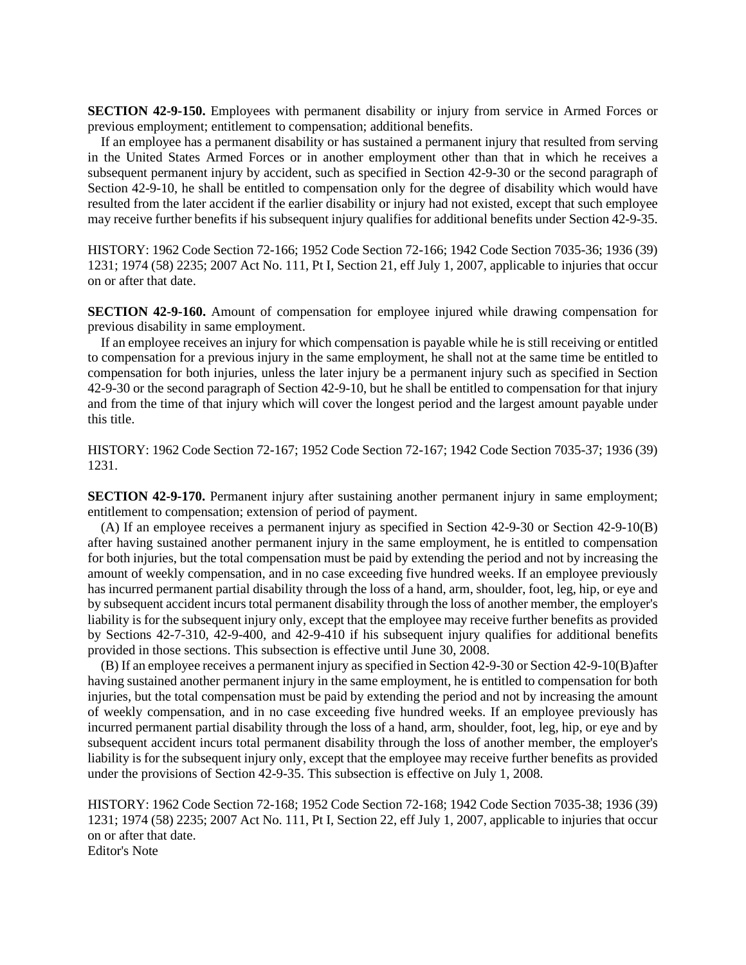**SECTION 42-9-150.** Employees with permanent disability or injury from service in Armed Forces or previous employment; entitlement to compensation; additional benefits.

If an employee has a permanent disability or has sustained a permanent injury that resulted from serving in the United States Armed Forces or in another employment other than that in which he receives a subsequent permanent injury by accident, such as specified in Section 42-9-30 or the second paragraph of Section 42-9-10, he shall be entitled to compensation only for the degree of disability which would have resulted from the later accident if the earlier disability or injury had not existed, except that such employee may receive further benefits if his subsequent injury qualifies for additional benefits under Section 42-9-35.

HISTORY: 1962 Code Section 72-166; 1952 Code Section 72-166; 1942 Code Section 7035-36; 1936 (39) 1231; 1974 (58) 2235; 2007 Act No. 111, Pt I, Section 21, eff July 1, 2007, applicable to injuries that occur on or after that date.

**SECTION 42-9-160.** Amount of compensation for employee injured while drawing compensation for previous disability in same employment.

If an employee receives an injury for which compensation is payable while he is still receiving or entitled to compensation for a previous injury in the same employment, he shall not at the same time be entitled to compensation for both injuries, unless the later injury be a permanent injury such as specified in Section 42-9-30 or the second paragraph of Section 42-9-10, but he shall be entitled to compensation for that injury and from the time of that injury which will cover the longest period and the largest amount payable under this title.

HISTORY: 1962 Code Section 72-167; 1952 Code Section 72-167; 1942 Code Section 7035-37; 1936 (39) 1231.

**SECTION 42-9-170.** Permanent injury after sustaining another permanent injury in same employment; entitlement to compensation; extension of period of payment.

(A) If an employee receives a permanent injury as specified in Section 42-9-30 or Section 42-9-10(B) after having sustained another permanent injury in the same employment, he is entitled to compensation for both injuries, but the total compensation must be paid by extending the period and not by increasing the amount of weekly compensation, and in no case exceeding five hundred weeks. If an employee previously has incurred permanent partial disability through the loss of a hand, arm, shoulder, foot, leg, hip, or eye and by subsequent accident incurs total permanent disability through the loss of another member, the employer's liability is for the subsequent injury only, except that the employee may receive further benefits as provided by Sections 42-7-310, 42-9-400, and 42-9-410 if his subsequent injury qualifies for additional benefits provided in those sections. This subsection is effective until June 30, 2008.

(B) If an employee receives a permanent injury as specified in Section 42-9-30 or Section 42-9-10(B)after having sustained another permanent injury in the same employment, he is entitled to compensation for both injuries, but the total compensation must be paid by extending the period and not by increasing the amount of weekly compensation, and in no case exceeding five hundred weeks. If an employee previously has incurred permanent partial disability through the loss of a hand, arm, shoulder, foot, leg, hip, or eye and by subsequent accident incurs total permanent disability through the loss of another member, the employer's liability is for the subsequent injury only, except that the employee may receive further benefits as provided under the provisions of Section 42-9-35. This subsection is effective on July 1, 2008.

HISTORY: 1962 Code Section 72-168; 1952 Code Section 72-168; 1942 Code Section 7035-38; 1936 (39) 1231; 1974 (58) 2235; 2007 Act No. 111, Pt I, Section 22, eff July 1, 2007, applicable to injuries that occur on or after that date. Editor's Note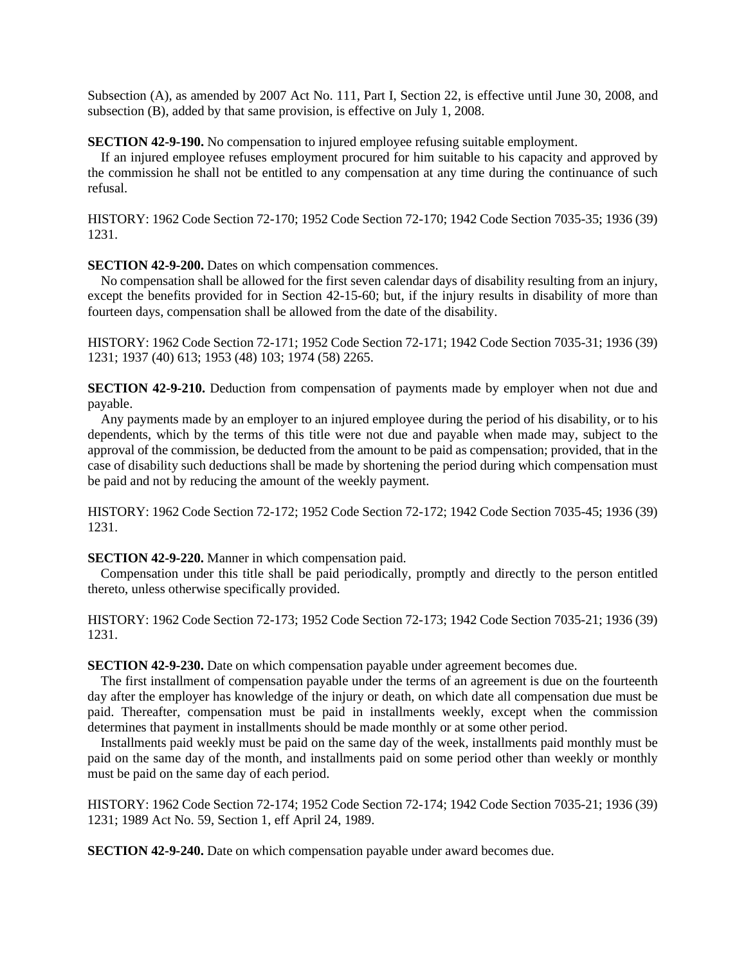Subsection (A), as amended by 2007 Act No. 111, Part I, Section 22, is effective until June 30, 2008, and subsection (B), added by that same provision, is effective on July 1, 2008.

**SECTION 42-9-190.** No compensation to injured employee refusing suitable employment.

If an injured employee refuses employment procured for him suitable to his capacity and approved by the commission he shall not be entitled to any compensation at any time during the continuance of such refusal.

HISTORY: 1962 Code Section 72-170; 1952 Code Section 72-170; 1942 Code Section 7035-35; 1936 (39) 1231.

**SECTION 42-9-200.** Dates on which compensation commences.

No compensation shall be allowed for the first seven calendar days of disability resulting from an injury, except the benefits provided for in Section 42-15-60; but, if the injury results in disability of more than fourteen days, compensation shall be allowed from the date of the disability.

HISTORY: 1962 Code Section 72-171; 1952 Code Section 72-171; 1942 Code Section 7035-31; 1936 (39) 1231; 1937 (40) 613; 1953 (48) 103; 1974 (58) 2265.

**SECTION 42-9-210.** Deduction from compensation of payments made by employer when not due and payable.

Any payments made by an employer to an injured employee during the period of his disability, or to his dependents, which by the terms of this title were not due and payable when made may, subject to the approval of the commission, be deducted from the amount to be paid as compensation; provided, that in the case of disability such deductions shall be made by shortening the period during which compensation must be paid and not by reducing the amount of the weekly payment.

HISTORY: 1962 Code Section 72-172; 1952 Code Section 72-172; 1942 Code Section 7035-45; 1936 (39) 1231.

**SECTION 42-9-220.** Manner in which compensation paid.

Compensation under this title shall be paid periodically, promptly and directly to the person entitled thereto, unless otherwise specifically provided.

HISTORY: 1962 Code Section 72-173; 1952 Code Section 72-173; 1942 Code Section 7035-21; 1936 (39) 1231.

**SECTION 42-9-230.** Date on which compensation payable under agreement becomes due.

The first installment of compensation payable under the terms of an agreement is due on the fourteenth day after the employer has knowledge of the injury or death, on which date all compensation due must be paid. Thereafter, compensation must be paid in installments weekly, except when the commission determines that payment in installments should be made monthly or at some other period.

Installments paid weekly must be paid on the same day of the week, installments paid monthly must be paid on the same day of the month, and installments paid on some period other than weekly or monthly must be paid on the same day of each period.

HISTORY: 1962 Code Section 72-174; 1952 Code Section 72-174; 1942 Code Section 7035-21; 1936 (39) 1231; 1989 Act No. 59, Section 1, eff April 24, 1989.

**SECTION 42-9-240.** Date on which compensation payable under award becomes due.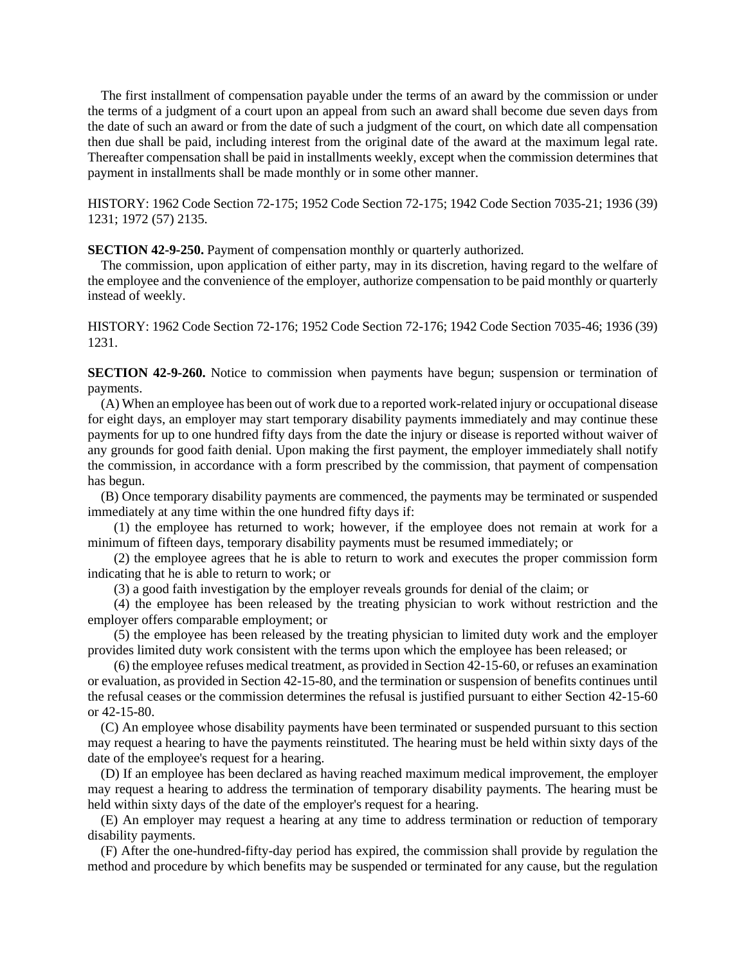The first installment of compensation payable under the terms of an award by the commission or under the terms of a judgment of a court upon an appeal from such an award shall become due seven days from the date of such an award or from the date of such a judgment of the court, on which date all compensation then due shall be paid, including interest from the original date of the award at the maximum legal rate. Thereafter compensation shall be paid in installments weekly, except when the commission determines that payment in installments shall be made monthly or in some other manner.

HISTORY: 1962 Code Section 72-175; 1952 Code Section 72-175; 1942 Code Section 7035-21; 1936 (39) 1231; 1972 (57) 2135.

**SECTION 42-9-250.** Payment of compensation monthly or quarterly authorized.

The commission, upon application of either party, may in its discretion, having regard to the welfare of the employee and the convenience of the employer, authorize compensation to be paid monthly or quarterly instead of weekly.

HISTORY: 1962 Code Section 72-176; 1952 Code Section 72-176; 1942 Code Section 7035-46; 1936 (39) 1231.

**SECTION 42-9-260.** Notice to commission when payments have begun; suspension or termination of payments.

(A) When an employee has been out of work due to a reported work-related injury or occupational disease for eight days, an employer may start temporary disability payments immediately and may continue these payments for up to one hundred fifty days from the date the injury or disease is reported without waiver of any grounds for good faith denial. Upon making the first payment, the employer immediately shall notify the commission, in accordance with a form prescribed by the commission, that payment of compensation has begun.

(B) Once temporary disability payments are commenced, the payments may be terminated or suspended immediately at any time within the one hundred fifty days if:

(1) the employee has returned to work; however, if the employee does not remain at work for a minimum of fifteen days, temporary disability payments must be resumed immediately; or

(2) the employee agrees that he is able to return to work and executes the proper commission form indicating that he is able to return to work; or

(3) a good faith investigation by the employer reveals grounds for denial of the claim; or

(4) the employee has been released by the treating physician to work without restriction and the employer offers comparable employment; or

(5) the employee has been released by the treating physician to limited duty work and the employer provides limited duty work consistent with the terms upon which the employee has been released; or

(6) the employee refuses medical treatment, as provided in Section 42-15-60, or refuses an examination or evaluation, as provided in Section 42-15-80, and the termination or suspension of benefits continues until the refusal ceases or the commission determines the refusal is justified pursuant to either Section 42-15-60 or 42-15-80.

(C) An employee whose disability payments have been terminated or suspended pursuant to this section may request a hearing to have the payments reinstituted. The hearing must be held within sixty days of the date of the employee's request for a hearing.

(D) If an employee has been declared as having reached maximum medical improvement, the employer may request a hearing to address the termination of temporary disability payments. The hearing must be held within sixty days of the date of the employer's request for a hearing.

(E) An employer may request a hearing at any time to address termination or reduction of temporary disability payments.

(F) After the one-hundred-fifty-day period has expired, the commission shall provide by regulation the method and procedure by which benefits may be suspended or terminated for any cause, but the regulation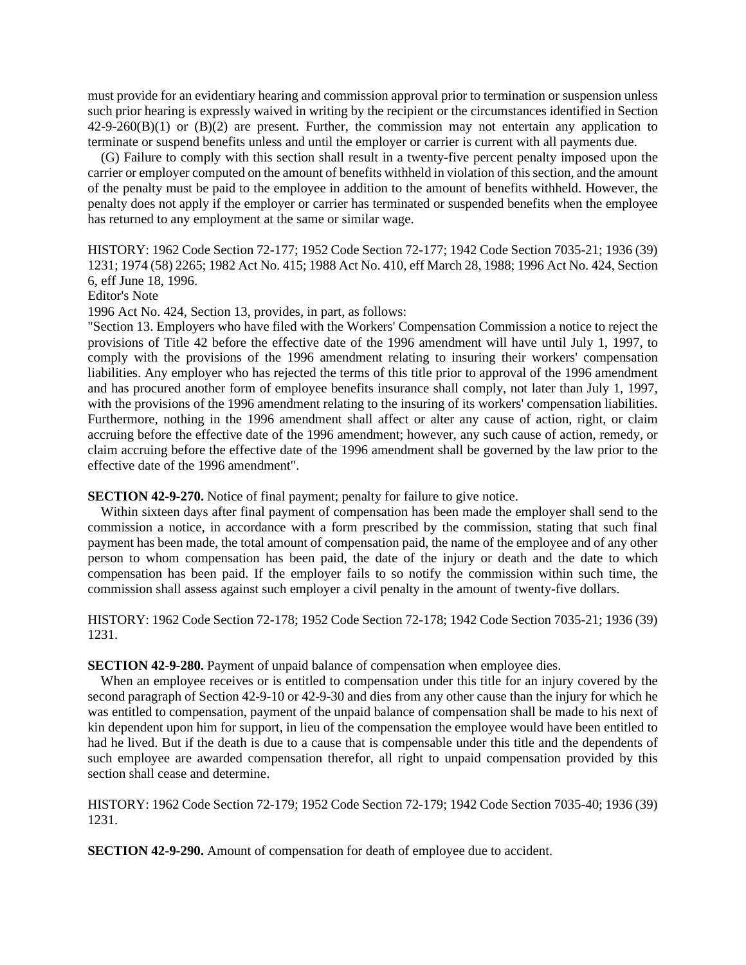must provide for an evidentiary hearing and commission approval prior to termination or suspension unless such prior hearing is expressly waived in writing by the recipient or the circumstances identified in Section  $42-9-260(B)(1)$  or  $(B)(2)$  are present. Further, the commission may not entertain any application to terminate or suspend benefits unless and until the employer or carrier is current with all payments due.

(G) Failure to comply with this section shall result in a twenty-five percent penalty imposed upon the carrier or employer computed on the amount of benefits withheld in violation of this section, and the amount of the penalty must be paid to the employee in addition to the amount of benefits withheld. However, the penalty does not apply if the employer or carrier has terminated or suspended benefits when the employee has returned to any employment at the same or similar wage.

HISTORY: 1962 Code Section 72-177; 1952 Code Section 72-177; 1942 Code Section 7035-21; 1936 (39) 1231; 1974 (58) 2265; 1982 Act No. 415; 1988 Act No. 410, eff March 28, 1988; 1996 Act No. 424, Section 6, eff June 18, 1996.

Editor's Note

1996 Act No. 424, Section 13, provides, in part, as follows:

"Section 13. Employers who have filed with the Workers' Compensation Commission a notice to reject the provisions of Title 42 before the effective date of the 1996 amendment will have until July 1, 1997, to comply with the provisions of the 1996 amendment relating to insuring their workers' compensation liabilities. Any employer who has rejected the terms of this title prior to approval of the 1996 amendment and has procured another form of employee benefits insurance shall comply, not later than July 1, 1997, with the provisions of the 1996 amendment relating to the insuring of its workers' compensation liabilities. Furthermore, nothing in the 1996 amendment shall affect or alter any cause of action, right, or claim accruing before the effective date of the 1996 amendment; however, any such cause of action, remedy, or claim accruing before the effective date of the 1996 amendment shall be governed by the law prior to the effective date of the 1996 amendment".

**SECTION 42-9-270.** Notice of final payment; penalty for failure to give notice.

Within sixteen days after final payment of compensation has been made the employer shall send to the commission a notice, in accordance with a form prescribed by the commission, stating that such final payment has been made, the total amount of compensation paid, the name of the employee and of any other person to whom compensation has been paid, the date of the injury or death and the date to which compensation has been paid. If the employer fails to so notify the commission within such time, the commission shall assess against such employer a civil penalty in the amount of twenty-five dollars.

HISTORY: 1962 Code Section 72-178; 1952 Code Section 72-178; 1942 Code Section 7035-21; 1936 (39) 1231.

**SECTION 42-9-280.** Payment of unpaid balance of compensation when employee dies.

When an employee receives or is entitled to compensation under this title for an injury covered by the second paragraph of Section 42-9-10 or 42-9-30 and dies from any other cause than the injury for which he was entitled to compensation, payment of the unpaid balance of compensation shall be made to his next of kin dependent upon him for support, in lieu of the compensation the employee would have been entitled to had he lived. But if the death is due to a cause that is compensable under this title and the dependents of such employee are awarded compensation therefor, all right to unpaid compensation provided by this section shall cease and determine.

HISTORY: 1962 Code Section 72-179; 1952 Code Section 72-179; 1942 Code Section 7035-40; 1936 (39) 1231.

**SECTION 42-9-290.** Amount of compensation for death of employee due to accident.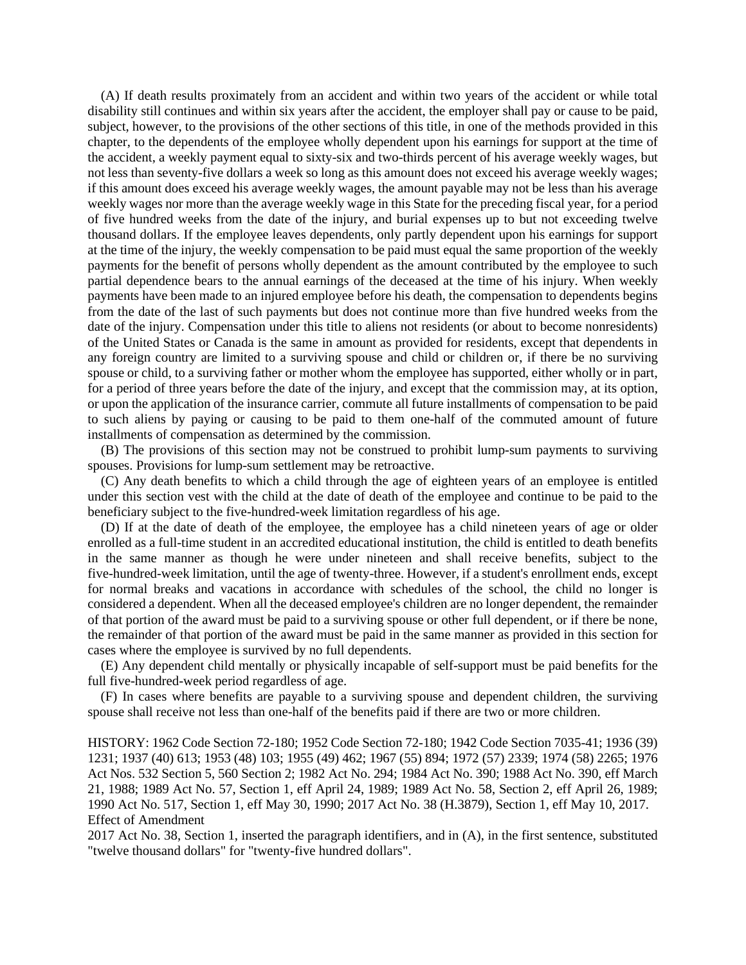(A) If death results proximately from an accident and within two years of the accident or while total disability still continues and within six years after the accident, the employer shall pay or cause to be paid, subject, however, to the provisions of the other sections of this title, in one of the methods provided in this chapter, to the dependents of the employee wholly dependent upon his earnings for support at the time of the accident, a weekly payment equal to sixty-six and two-thirds percent of his average weekly wages, but not less than seventy-five dollars a week so long as this amount does not exceed his average weekly wages; if this amount does exceed his average weekly wages, the amount payable may not be less than his average weekly wages nor more than the average weekly wage in this State for the preceding fiscal year, for a period of five hundred weeks from the date of the injury, and burial expenses up to but not exceeding twelve thousand dollars. If the employee leaves dependents, only partly dependent upon his earnings for support at the time of the injury, the weekly compensation to be paid must equal the same proportion of the weekly payments for the benefit of persons wholly dependent as the amount contributed by the employee to such partial dependence bears to the annual earnings of the deceased at the time of his injury. When weekly payments have been made to an injured employee before his death, the compensation to dependents begins from the date of the last of such payments but does not continue more than five hundred weeks from the date of the injury. Compensation under this title to aliens not residents (or about to become nonresidents) of the United States or Canada is the same in amount as provided for residents, except that dependents in any foreign country are limited to a surviving spouse and child or children or, if there be no surviving spouse or child, to a surviving father or mother whom the employee has supported, either wholly or in part, for a period of three years before the date of the injury, and except that the commission may, at its option, or upon the application of the insurance carrier, commute all future installments of compensation to be paid to such aliens by paying or causing to be paid to them one-half of the commuted amount of future installments of compensation as determined by the commission.

(B) The provisions of this section may not be construed to prohibit lump-sum payments to surviving spouses. Provisions for lump-sum settlement may be retroactive.

(C) Any death benefits to which a child through the age of eighteen years of an employee is entitled under this section vest with the child at the date of death of the employee and continue to be paid to the beneficiary subject to the five-hundred-week limitation regardless of his age.

(D) If at the date of death of the employee, the employee has a child nineteen years of age or older enrolled as a full-time student in an accredited educational institution, the child is entitled to death benefits in the same manner as though he were under nineteen and shall receive benefits, subject to the five-hundred-week limitation, until the age of twenty-three. However, if a student's enrollment ends, except for normal breaks and vacations in accordance with schedules of the school, the child no longer is considered a dependent. When all the deceased employee's children are no longer dependent, the remainder of that portion of the award must be paid to a surviving spouse or other full dependent, or if there be none, the remainder of that portion of the award must be paid in the same manner as provided in this section for cases where the employee is survived by no full dependents.

(E) Any dependent child mentally or physically incapable of self-support must be paid benefits for the full five-hundred-week period regardless of age.

(F) In cases where benefits are payable to a surviving spouse and dependent children, the surviving spouse shall receive not less than one-half of the benefits paid if there are two or more children.

HISTORY: 1962 Code Section 72-180; 1952 Code Section 72-180; 1942 Code Section 7035-41; 1936 (39) 1231; 1937 (40) 613; 1953 (48) 103; 1955 (49) 462; 1967 (55) 894; 1972 (57) 2339; 1974 (58) 2265; 1976 Act Nos. 532 Section 5, 560 Section 2; 1982 Act No. 294; 1984 Act No. 390; 1988 Act No. 390, eff March 21, 1988; 1989 Act No. 57, Section 1, eff April 24, 1989; 1989 Act No. 58, Section 2, eff April 26, 1989; 1990 Act No. 517, Section 1, eff May 30, 1990; 2017 Act No. 38 (H.3879), Section 1, eff May 10, 2017. Effect of Amendment

2017 Act No. 38, Section 1, inserted the paragraph identifiers, and in (A), in the first sentence, substituted "twelve thousand dollars" for "twenty-five hundred dollars".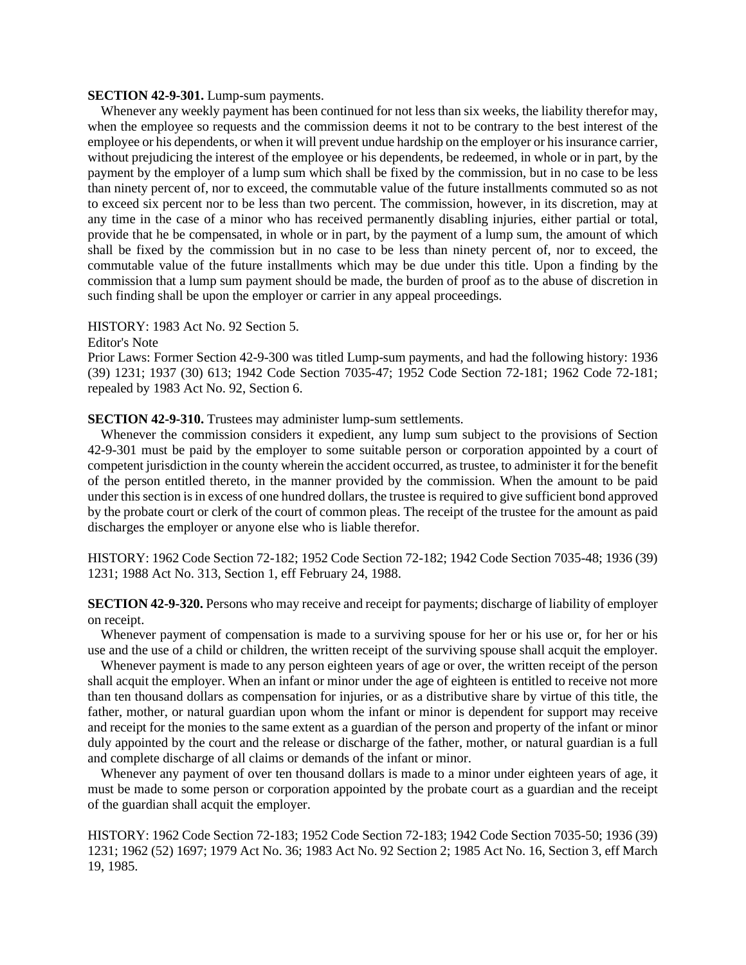#### **SECTION 42-9-301.** Lump-sum payments.

Whenever any weekly payment has been continued for not less than six weeks, the liability therefor may, when the employee so requests and the commission deems it not to be contrary to the best interest of the employee or his dependents, or when it will prevent undue hardship on the employer or his insurance carrier, without prejudicing the interest of the employee or his dependents, be redeemed, in whole or in part, by the payment by the employer of a lump sum which shall be fixed by the commission, but in no case to be less than ninety percent of, nor to exceed, the commutable value of the future installments commuted so as not to exceed six percent nor to be less than two percent. The commission, however, in its discretion, may at any time in the case of a minor who has received permanently disabling injuries, either partial or total, provide that he be compensated, in whole or in part, by the payment of a lump sum, the amount of which shall be fixed by the commission but in no case to be less than ninety percent of, nor to exceed, the commutable value of the future installments which may be due under this title. Upon a finding by the commission that a lump sum payment should be made, the burden of proof as to the abuse of discretion in such finding shall be upon the employer or carrier in any appeal proceedings.

HISTORY: 1983 Act No. 92 Section 5.

Editor's Note

Prior Laws: Former Section 42-9-300 was titled Lump-sum payments, and had the following history: 1936 (39) 1231; 1937 (30) 613; 1942 Code Section 7035-47; 1952 Code Section 72-181; 1962 Code 72-181; repealed by 1983 Act No. 92, Section 6.

#### **SECTION 42-9-310.** Trustees may administer lump-sum settlements.

Whenever the commission considers it expedient, any lump sum subject to the provisions of Section 42-9-301 must be paid by the employer to some suitable person or corporation appointed by a court of competent jurisdiction in the county wherein the accident occurred, as trustee, to administer it for the benefit of the person entitled thereto, in the manner provided by the commission. When the amount to be paid under this section is in excess of one hundred dollars, the trustee is required to give sufficient bond approved by the probate court or clerk of the court of common pleas. The receipt of the trustee for the amount as paid discharges the employer or anyone else who is liable therefor.

HISTORY: 1962 Code Section 72-182; 1952 Code Section 72-182; 1942 Code Section 7035-48; 1936 (39) 1231; 1988 Act No. 313, Section 1, eff February 24, 1988.

**SECTION 42-9-320.** Persons who may receive and receipt for payments; discharge of liability of employer on receipt.

Whenever payment of compensation is made to a surviving spouse for her or his use or, for her or his use and the use of a child or children, the written receipt of the surviving spouse shall acquit the employer.

Whenever payment is made to any person eighteen years of age or over, the written receipt of the person shall acquit the employer. When an infant or minor under the age of eighteen is entitled to receive not more than ten thousand dollars as compensation for injuries, or as a distributive share by virtue of this title, the father, mother, or natural guardian upon whom the infant or minor is dependent for support may receive and receipt for the monies to the same extent as a guardian of the person and property of the infant or minor duly appointed by the court and the release or discharge of the father, mother, or natural guardian is a full and complete discharge of all claims or demands of the infant or minor.

Whenever any payment of over ten thousand dollars is made to a minor under eighteen years of age, it must be made to some person or corporation appointed by the probate court as a guardian and the receipt of the guardian shall acquit the employer.

HISTORY: 1962 Code Section 72-183; 1952 Code Section 72-183; 1942 Code Section 7035-50; 1936 (39) 1231; 1962 (52) 1697; 1979 Act No. 36; 1983 Act No. 92 Section 2; 1985 Act No. 16, Section 3, eff March 19, 1985.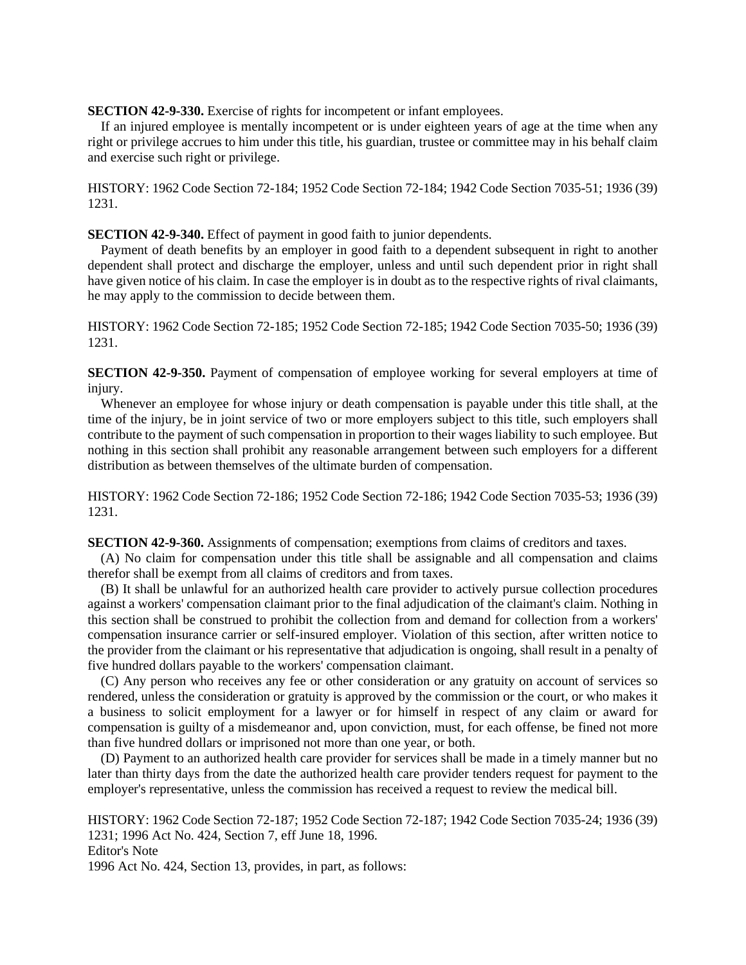**SECTION 42-9-330.** Exercise of rights for incompetent or infant employees.

If an injured employee is mentally incompetent or is under eighteen years of age at the time when any right or privilege accrues to him under this title, his guardian, trustee or committee may in his behalf claim and exercise such right or privilege.

HISTORY: 1962 Code Section 72-184; 1952 Code Section 72-184; 1942 Code Section 7035-51; 1936 (39) 1231.

**SECTION 42-9-340.** Effect of payment in good faith to junior dependents.

Payment of death benefits by an employer in good faith to a dependent subsequent in right to another dependent shall protect and discharge the employer, unless and until such dependent prior in right shall have given notice of his claim. In case the employer is in doubt as to the respective rights of rival claimants, he may apply to the commission to decide between them.

HISTORY: 1962 Code Section 72-185; 1952 Code Section 72-185; 1942 Code Section 7035-50; 1936 (39) 1231.

**SECTION 42-9-350.** Payment of compensation of employee working for several employers at time of injury.

Whenever an employee for whose injury or death compensation is payable under this title shall, at the time of the injury, be in joint service of two or more employers subject to this title, such employers shall contribute to the payment of such compensation in proportion to their wages liability to such employee. But nothing in this section shall prohibit any reasonable arrangement between such employers for a different distribution as between themselves of the ultimate burden of compensation.

HISTORY: 1962 Code Section 72-186; 1952 Code Section 72-186; 1942 Code Section 7035-53; 1936 (39) 1231.

**SECTION 42-9-360.** Assignments of compensation; exemptions from claims of creditors and taxes.

(A) No claim for compensation under this title shall be assignable and all compensation and claims therefor shall be exempt from all claims of creditors and from taxes.

(B) It shall be unlawful for an authorized health care provider to actively pursue collection procedures against a workers' compensation claimant prior to the final adjudication of the claimant's claim. Nothing in this section shall be construed to prohibit the collection from and demand for collection from a workers' compensation insurance carrier or self-insured employer. Violation of this section, after written notice to the provider from the claimant or his representative that adjudication is ongoing, shall result in a penalty of five hundred dollars payable to the workers' compensation claimant.

(C) Any person who receives any fee or other consideration or any gratuity on account of services so rendered, unless the consideration or gratuity is approved by the commission or the court, or who makes it a business to solicit employment for a lawyer or for himself in respect of any claim or award for compensation is guilty of a misdemeanor and, upon conviction, must, for each offense, be fined not more than five hundred dollars or imprisoned not more than one year, or both.

(D) Payment to an authorized health care provider for services shall be made in a timely manner but no later than thirty days from the date the authorized health care provider tenders request for payment to the employer's representative, unless the commission has received a request to review the medical bill.

HISTORY: 1962 Code Section 72-187; 1952 Code Section 72-187; 1942 Code Section 7035-24; 1936 (39) 1231; 1996 Act No. 424, Section 7, eff June 18, 1996. Editor's Note

1996 Act No. 424, Section 13, provides, in part, as follows: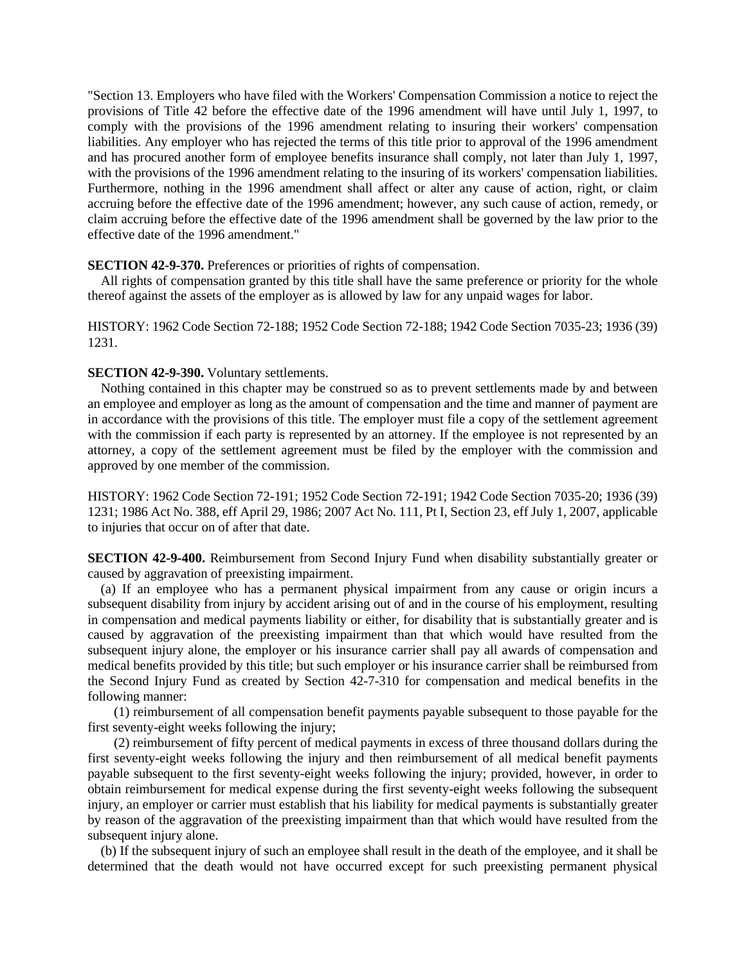"Section 13. Employers who have filed with the Workers' Compensation Commission a notice to reject the provisions of Title 42 before the effective date of the 1996 amendment will have until July 1, 1997, to comply with the provisions of the 1996 amendment relating to insuring their workers' compensation liabilities. Any employer who has rejected the terms of this title prior to approval of the 1996 amendment and has procured another form of employee benefits insurance shall comply, not later than July 1, 1997, with the provisions of the 1996 amendment relating to the insuring of its workers' compensation liabilities. Furthermore, nothing in the 1996 amendment shall affect or alter any cause of action, right, or claim accruing before the effective date of the 1996 amendment; however, any such cause of action, remedy, or claim accruing before the effective date of the 1996 amendment shall be governed by the law prior to the effective date of the 1996 amendment."

### **SECTION 42-9-370.** Preferences or priorities of rights of compensation.

All rights of compensation granted by this title shall have the same preference or priority for the whole thereof against the assets of the employer as is allowed by law for any unpaid wages for labor.

HISTORY: 1962 Code Section 72-188; 1952 Code Section 72-188; 1942 Code Section 7035-23; 1936 (39) 1231.

### **SECTION 42-9-390.** Voluntary settlements.

Nothing contained in this chapter may be construed so as to prevent settlements made by and between an employee and employer as long as the amount of compensation and the time and manner of payment are in accordance with the provisions of this title. The employer must file a copy of the settlement agreement with the commission if each party is represented by an attorney. If the employee is not represented by an attorney, a copy of the settlement agreement must be filed by the employer with the commission and approved by one member of the commission.

HISTORY: 1962 Code Section 72-191; 1952 Code Section 72-191; 1942 Code Section 7035-20; 1936 (39) 1231; 1986 Act No. 388, eff April 29, 1986; 2007 Act No. 111, Pt I, Section 23, eff July 1, 2007, applicable to injuries that occur on of after that date.

**SECTION 42-9-400.** Reimbursement from Second Injury Fund when disability substantially greater or caused by aggravation of preexisting impairment.

(a) If an employee who has a permanent physical impairment from any cause or origin incurs a subsequent disability from injury by accident arising out of and in the course of his employment, resulting in compensation and medical payments liability or either, for disability that is substantially greater and is caused by aggravation of the preexisting impairment than that which would have resulted from the subsequent injury alone, the employer or his insurance carrier shall pay all awards of compensation and medical benefits provided by this title; but such employer or his insurance carrier shall be reimbursed from the Second Injury Fund as created by Section 42-7-310 for compensation and medical benefits in the following manner:

(1) reimbursement of all compensation benefit payments payable subsequent to those payable for the first seventy-eight weeks following the injury;

(2) reimbursement of fifty percent of medical payments in excess of three thousand dollars during the first seventy-eight weeks following the injury and then reimbursement of all medical benefit payments payable subsequent to the first seventy-eight weeks following the injury; provided, however, in order to obtain reimbursement for medical expense during the first seventy-eight weeks following the subsequent injury, an employer or carrier must establish that his liability for medical payments is substantially greater by reason of the aggravation of the preexisting impairment than that which would have resulted from the subsequent injury alone.

(b) If the subsequent injury of such an employee shall result in the death of the employee, and it shall be determined that the death would not have occurred except for such preexisting permanent physical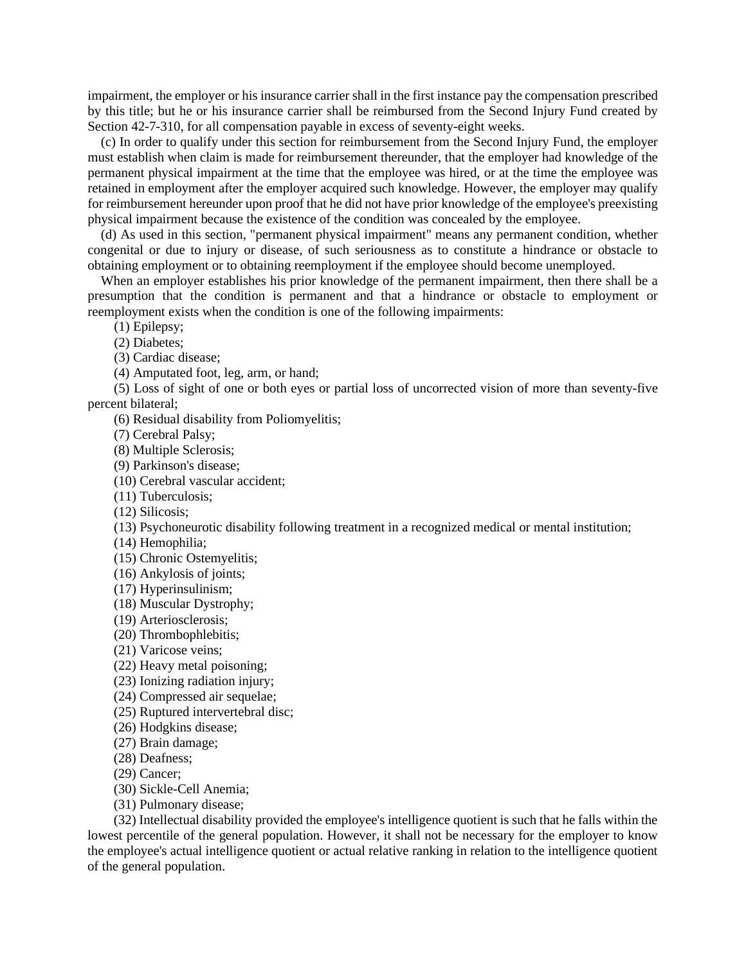impairment, the employer or his insurance carrier shall in the first instance pay the compensation prescribed by this title; but he or his insurance carrier shall be reimbursed from the Second Injury Fund created by Section 42-7-310, for all compensation payable in excess of seventy-eight weeks.

(c) In order to qualify under this section for reimbursement from the Second Injury Fund, the employer must establish when claim is made for reimbursement thereunder, that the employer had knowledge of the permanent physical impairment at the time that the employee was hired, or at the time the employee was retained in employment after the employer acquired such knowledge. However, the employer may qualify for reimbursement hereunder upon proof that he did not have prior knowledge of the employee's preexisting physical impairment because the existence of the condition was concealed by the employee.

(d) As used in this section, "permanent physical impairment" means any permanent condition, whether congenital or due to injury or disease, of such seriousness as to constitute a hindrance or obstacle to obtaining employment or to obtaining reemployment if the employee should become unemployed.

When an employer establishes his prior knowledge of the permanent impairment, then there shall be a presumption that the condition is permanent and that a hindrance or obstacle to employment or reemployment exists when the condition is one of the following impairments:

- (1) Epilepsy;
- (2) Diabetes;
- (3) Cardiac disease;
- (4) Amputated foot, leg, arm, or hand;

(5) Loss of sight of one or both eyes or partial loss of uncorrected vision of more than seventy-five percent bilateral;

(6) Residual disability from Poliomyelitis;

(7) Cerebral Palsy;

(8) Multiple Sclerosis;

(9) Parkinson's disease;

(10) Cerebral vascular accident;

(11) Tuberculosis;

(12) Silicosis;

(13) Psychoneurotic disability following treatment in a recognized medical or mental institution;

- (14) Hemophilia;
- (15) Chronic Ostemyelitis;
- (16) Ankylosis of joints;
- (17) Hyperinsulinism;
- (18) Muscular Dystrophy;
- (19) Arteriosclerosis;
- (20) Thrombophlebitis;
- (21) Varicose veins;
- (22) Heavy metal poisoning;
- (23) Ionizing radiation injury;
- (24) Compressed air sequelae;
- (25) Ruptured intervertebral disc;
- (26) Hodgkins disease;
- (27) Brain damage;
- (28) Deafness;
- (29) Cancer;
- (30) Sickle-Cell Anemia;
- (31) Pulmonary disease;

(32) Intellectual disability provided the employee's intelligence quotient is such that he falls within the lowest percentile of the general population. However, it shall not be necessary for the employer to know the employee's actual intelligence quotient or actual relative ranking in relation to the intelligence quotient of the general population.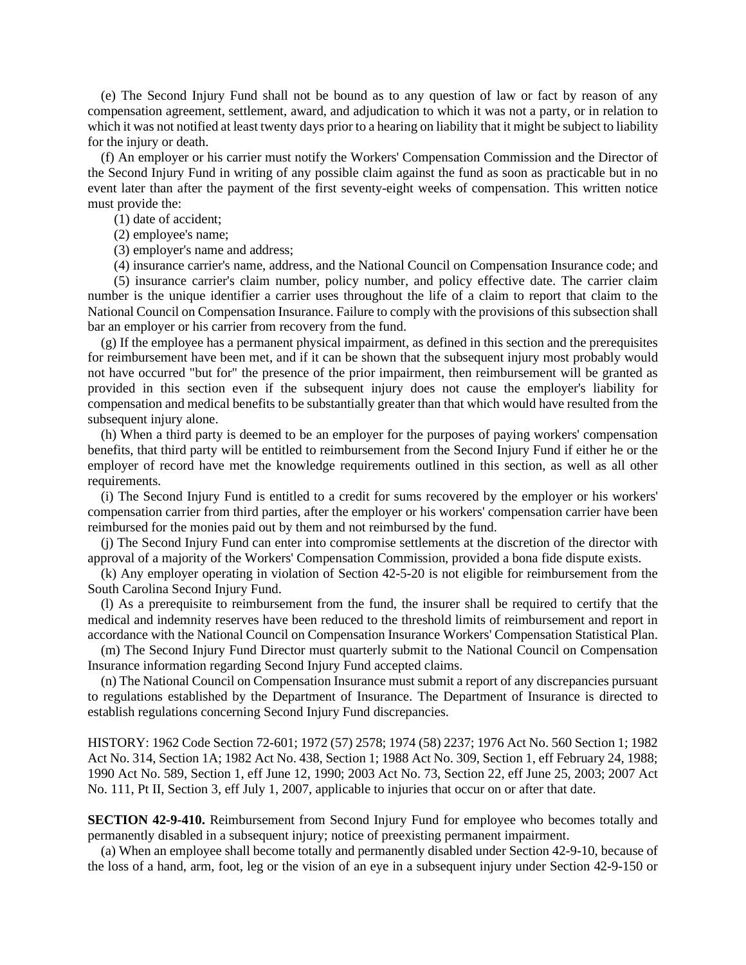(e) The Second Injury Fund shall not be bound as to any question of law or fact by reason of any compensation agreement, settlement, award, and adjudication to which it was not a party, or in relation to which it was not notified at least twenty days prior to a hearing on liability that it might be subject to liability for the injury or death.

(f) An employer or his carrier must notify the Workers' Compensation Commission and the Director of the Second Injury Fund in writing of any possible claim against the fund as soon as practicable but in no event later than after the payment of the first seventy-eight weeks of compensation. This written notice must provide the:

(1) date of accident;

(2) employee's name;

(3) employer's name and address;

(4) insurance carrier's name, address, and the National Council on Compensation Insurance code; and

(5) insurance carrier's claim number, policy number, and policy effective date. The carrier claim number is the unique identifier a carrier uses throughout the life of a claim to report that claim to the National Council on Compensation Insurance. Failure to comply with the provisions of this subsection shall bar an employer or his carrier from recovery from the fund.

(g) If the employee has a permanent physical impairment, as defined in this section and the prerequisites for reimbursement have been met, and if it can be shown that the subsequent injury most probably would not have occurred "but for" the presence of the prior impairment, then reimbursement will be granted as provided in this section even if the subsequent injury does not cause the employer's liability for compensation and medical benefits to be substantially greater than that which would have resulted from the subsequent injury alone.

(h) When a third party is deemed to be an employer for the purposes of paying workers' compensation benefits, that third party will be entitled to reimbursement from the Second Injury Fund if either he or the employer of record have met the knowledge requirements outlined in this section, as well as all other requirements.

(i) The Second Injury Fund is entitled to a credit for sums recovered by the employer or his workers' compensation carrier from third parties, after the employer or his workers' compensation carrier have been reimbursed for the monies paid out by them and not reimbursed by the fund.

(j) The Second Injury Fund can enter into compromise settlements at the discretion of the director with approval of a majority of the Workers' Compensation Commission, provided a bona fide dispute exists.

(k) Any employer operating in violation of Section 42-5-20 is not eligible for reimbursement from the South Carolina Second Injury Fund.

(l) As a prerequisite to reimbursement from the fund, the insurer shall be required to certify that the medical and indemnity reserves have been reduced to the threshold limits of reimbursement and report in accordance with the National Council on Compensation Insurance Workers' Compensation Statistical Plan.

(m) The Second Injury Fund Director must quarterly submit to the National Council on Compensation Insurance information regarding Second Injury Fund accepted claims.

(n) The National Council on Compensation Insurance must submit a report of any discrepancies pursuant to regulations established by the Department of Insurance. The Department of Insurance is directed to establish regulations concerning Second Injury Fund discrepancies.

HISTORY: 1962 Code Section 72-601; 1972 (57) 2578; 1974 (58) 2237; 1976 Act No. 560 Section 1; 1982 Act No. 314, Section 1A; 1982 Act No. 438, Section 1; 1988 Act No. 309, Section 1, eff February 24, 1988; 1990 Act No. 589, Section 1, eff June 12, 1990; 2003 Act No. 73, Section 22, eff June 25, 2003; 2007 Act No. 111, Pt II, Section 3, eff July 1, 2007, applicable to injuries that occur on or after that date.

**SECTION 42-9-410.** Reimbursement from Second Injury Fund for employee who becomes totally and permanently disabled in a subsequent injury; notice of preexisting permanent impairment.

(a) When an employee shall become totally and permanently disabled under Section 42-9-10, because of the loss of a hand, arm, foot, leg or the vision of an eye in a subsequent injury under Section 42-9-150 or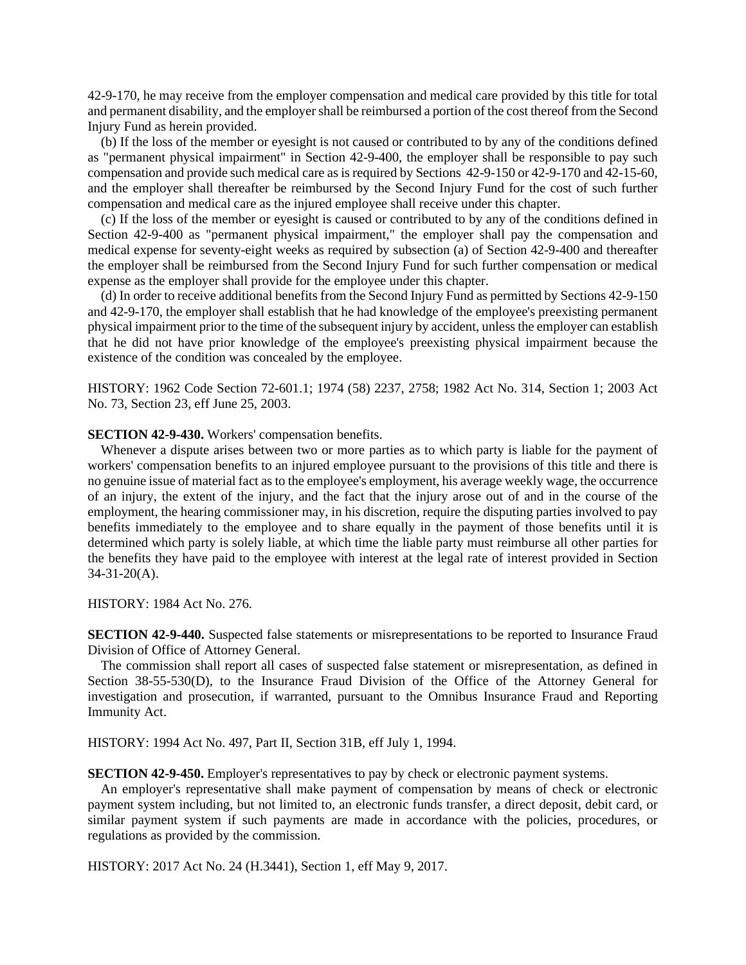42-9-170, he may receive from the employer compensation and medical care provided by this title for total and permanent disability, and the employer shall be reimbursed a portion of the cost thereof from the Second Injury Fund as herein provided.

(b) If the loss of the member or eyesight is not caused or contributed to by any of the conditions defined as "permanent physical impairment" in Section 42-9-400, the employer shall be responsible to pay such compensation and provide such medical care as is required by Sections 42-9-150 or 42-9-170 and 42-15-60, and the employer shall thereafter be reimbursed by the Second Injury Fund for the cost of such further compensation and medical care as the injured employee shall receive under this chapter.

(c) If the loss of the member or eyesight is caused or contributed to by any of the conditions defined in Section 42-9-400 as "permanent physical impairment," the employer shall pay the compensation and medical expense for seventy-eight weeks as required by subsection (a) of Section 42-9-400 and thereafter the employer shall be reimbursed from the Second Injury Fund for such further compensation or medical expense as the employer shall provide for the employee under this chapter.

(d) In order to receive additional benefits from the Second Injury Fund as permitted by Sections 42-9-150 and 42-9-170, the employer shall establish that he had knowledge of the employee's preexisting permanent physical impairment prior to the time of the subsequent injury by accident, unless the employer can establish that he did not have prior knowledge of the employee's preexisting physical impairment because the existence of the condition was concealed by the employee.

HISTORY: 1962 Code Section 72-601.1; 1974 (58) 2237, 2758; 1982 Act No. 314, Section 1; 2003 Act No. 73, Section 23, eff June 25, 2003.

# **SECTION 42-9-430.** Workers' compensation benefits.

Whenever a dispute arises between two or more parties as to which party is liable for the payment of workers' compensation benefits to an injured employee pursuant to the provisions of this title and there is no genuine issue of material fact as to the employee's employment, his average weekly wage, the occurrence of an injury, the extent of the injury, and the fact that the injury arose out of and in the course of the employment, the hearing commissioner may, in his discretion, require the disputing parties involved to pay benefits immediately to the employee and to share equally in the payment of those benefits until it is determined which party is solely liable, at which time the liable party must reimburse all other parties for the benefits they have paid to the employee with interest at the legal rate of interest provided in Section 34-31-20(A).

HISTORY: 1984 Act No. 276.

**SECTION 42-9-440.** Suspected false statements or misrepresentations to be reported to Insurance Fraud Division of Office of Attorney General.

The commission shall report all cases of suspected false statement or misrepresentation, as defined in Section 38-55-530(D), to the Insurance Fraud Division of the Office of the Attorney General for investigation and prosecution, if warranted, pursuant to the Omnibus Insurance Fraud and Reporting Immunity Act.

HISTORY: 1994 Act No. 497, Part II, Section 31B, eff July 1, 1994.

**SECTION 42-9-450.** Employer's representatives to pay by check or electronic payment systems.

An employer's representative shall make payment of compensation by means of check or electronic payment system including, but not limited to, an electronic funds transfer, a direct deposit, debit card, or similar payment system if such payments are made in accordance with the policies, procedures, or regulations as provided by the commission.

HISTORY: 2017 Act No. 24 (H.3441), Section 1, eff May 9, 2017.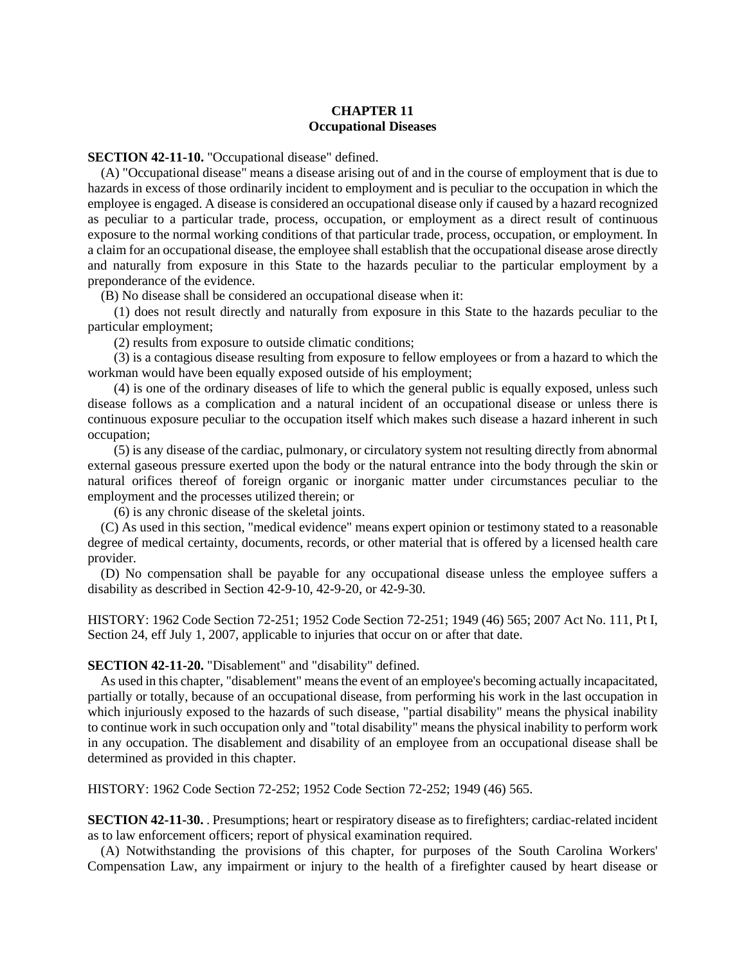# **CHAPTER 11 Occupational Diseases**

**SECTION 42-11-10.** "Occupational disease" defined.

(A) "Occupational disease" means a disease arising out of and in the course of employment that is due to hazards in excess of those ordinarily incident to employment and is peculiar to the occupation in which the employee is engaged. A disease is considered an occupational disease only if caused by a hazard recognized as peculiar to a particular trade, process, occupation, or employment as a direct result of continuous exposure to the normal working conditions of that particular trade, process, occupation, or employment. In a claim for an occupational disease, the employee shall establish that the occupational disease arose directly and naturally from exposure in this State to the hazards peculiar to the particular employment by a preponderance of the evidence.

(B) No disease shall be considered an occupational disease when it:

(1) does not result directly and naturally from exposure in this State to the hazards peculiar to the particular employment;

(2) results from exposure to outside climatic conditions;

(3) is a contagious disease resulting from exposure to fellow employees or from a hazard to which the workman would have been equally exposed outside of his employment;

(4) is one of the ordinary diseases of life to which the general public is equally exposed, unless such disease follows as a complication and a natural incident of an occupational disease or unless there is continuous exposure peculiar to the occupation itself which makes such disease a hazard inherent in such occupation;

(5) is any disease of the cardiac, pulmonary, or circulatory system not resulting directly from abnormal external gaseous pressure exerted upon the body or the natural entrance into the body through the skin or natural orifices thereof of foreign organic or inorganic matter under circumstances peculiar to the employment and the processes utilized therein; or

(6) is any chronic disease of the skeletal joints.

(C) As used in this section, "medical evidence" means expert opinion or testimony stated to a reasonable degree of medical certainty, documents, records, or other material that is offered by a licensed health care provider.

(D) No compensation shall be payable for any occupational disease unless the employee suffers a disability as described in Section 42-9-10, 42-9-20, or 42-9-30.

HISTORY: 1962 Code Section 72-251; 1952 Code Section 72-251; 1949 (46) 565; 2007 Act No. 111, Pt I, Section 24, eff July 1, 2007, applicable to injuries that occur on or after that date.

#### **SECTION 42-11-20.** "Disablement" and "disability" defined.

As used in this chapter, "disablement" means the event of an employee's becoming actually incapacitated, partially or totally, because of an occupational disease, from performing his work in the last occupation in which injuriously exposed to the hazards of such disease, "partial disability" means the physical inability to continue work in such occupation only and "total disability" means the physical inability to perform work in any occupation. The disablement and disability of an employee from an occupational disease shall be determined as provided in this chapter.

HISTORY: 1962 Code Section 72-252; 1952 Code Section 72-252; 1949 (46) 565.

**SECTION 42-11-30.** . Presumptions; heart or respiratory disease as to firefighters; cardiac-related incident as to law enforcement officers; report of physical examination required.

(A) Notwithstanding the provisions of this chapter, for purposes of the South Carolina Workers' Compensation Law, any impairment or injury to the health of a firefighter caused by heart disease or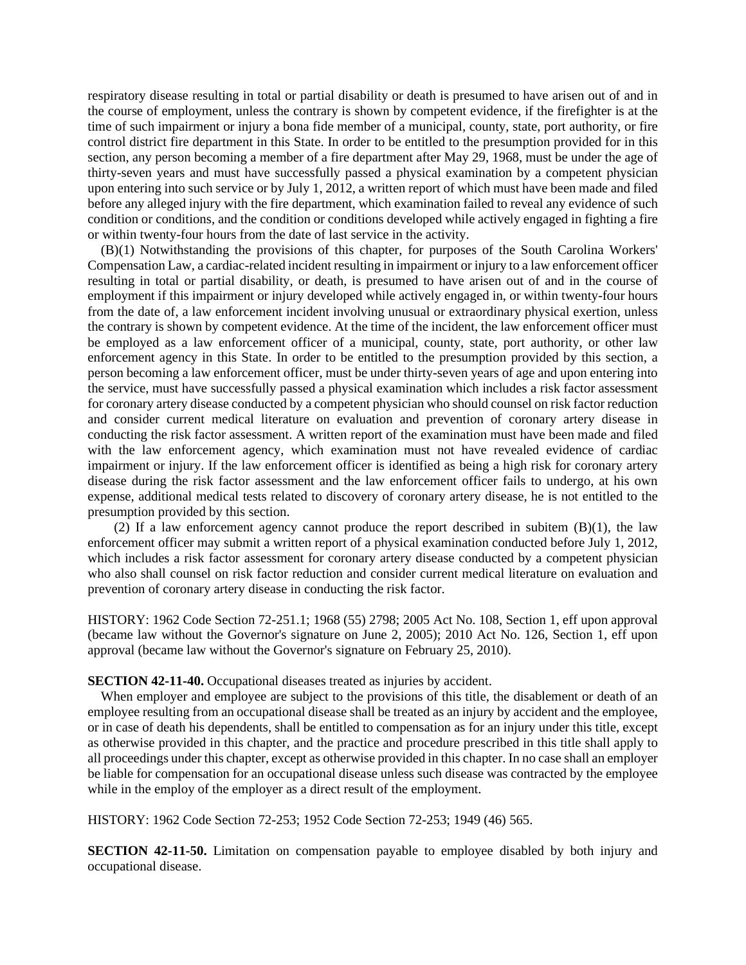respiratory disease resulting in total or partial disability or death is presumed to have arisen out of and in the course of employment, unless the contrary is shown by competent evidence, if the firefighter is at the time of such impairment or injury a bona fide member of a municipal, county, state, port authority, or fire control district fire department in this State. In order to be entitled to the presumption provided for in this section, any person becoming a member of a fire department after May 29, 1968, must be under the age of thirty-seven years and must have successfully passed a physical examination by a competent physician upon entering into such service or by July 1, 2012, a written report of which must have been made and filed before any alleged injury with the fire department, which examination failed to reveal any evidence of such condition or conditions, and the condition or conditions developed while actively engaged in fighting a fire or within twenty-four hours from the date of last service in the activity.

(B)(1) Notwithstanding the provisions of this chapter, for purposes of the South Carolina Workers' Compensation Law, a cardiac-related incident resulting in impairment or injury to a law enforcement officer resulting in total or partial disability, or death, is presumed to have arisen out of and in the course of employment if this impairment or injury developed while actively engaged in, or within twenty-four hours from the date of, a law enforcement incident involving unusual or extraordinary physical exertion, unless the contrary is shown by competent evidence. At the time of the incident, the law enforcement officer must be employed as a law enforcement officer of a municipal, county, state, port authority, or other law enforcement agency in this State. In order to be entitled to the presumption provided by this section, a person becoming a law enforcement officer, must be under thirty-seven years of age and upon entering into the service, must have successfully passed a physical examination which includes a risk factor assessment for coronary artery disease conducted by a competent physician who should counsel on risk factor reduction and consider current medical literature on evaluation and prevention of coronary artery disease in conducting the risk factor assessment. A written report of the examination must have been made and filed with the law enforcement agency, which examination must not have revealed evidence of cardiac impairment or injury. If the law enforcement officer is identified as being a high risk for coronary artery disease during the risk factor assessment and the law enforcement officer fails to undergo, at his own expense, additional medical tests related to discovery of coronary artery disease, he is not entitled to the presumption provided by this section.

(2) If a law enforcement agency cannot produce the report described in subitem  $(B)(1)$ , the law enforcement officer may submit a written report of a physical examination conducted before July 1, 2012, which includes a risk factor assessment for coronary artery disease conducted by a competent physician who also shall counsel on risk factor reduction and consider current medical literature on evaluation and prevention of coronary artery disease in conducting the risk factor.

HISTORY: 1962 Code Section 72-251.1; 1968 (55) 2798; 2005 Act No. 108, Section 1, eff upon approval (became law without the Governor's signature on June 2, 2005); 2010 Act No. 126, Section 1, eff upon approval (became law without the Governor's signature on February 25, 2010).

### **SECTION 42-11-40.** Occupational diseases treated as injuries by accident.

When employer and employee are subject to the provisions of this title, the disablement or death of an employee resulting from an occupational disease shall be treated as an injury by accident and the employee, or in case of death his dependents, shall be entitled to compensation as for an injury under this title, except as otherwise provided in this chapter, and the practice and procedure prescribed in this title shall apply to all proceedings under this chapter, except as otherwise provided in this chapter. In no case shall an employer be liable for compensation for an occupational disease unless such disease was contracted by the employee while in the employ of the employer as a direct result of the employment.

HISTORY: 1962 Code Section 72-253; 1952 Code Section 72-253; 1949 (46) 565.

**SECTION 42-11-50.** Limitation on compensation payable to employee disabled by both injury and occupational disease.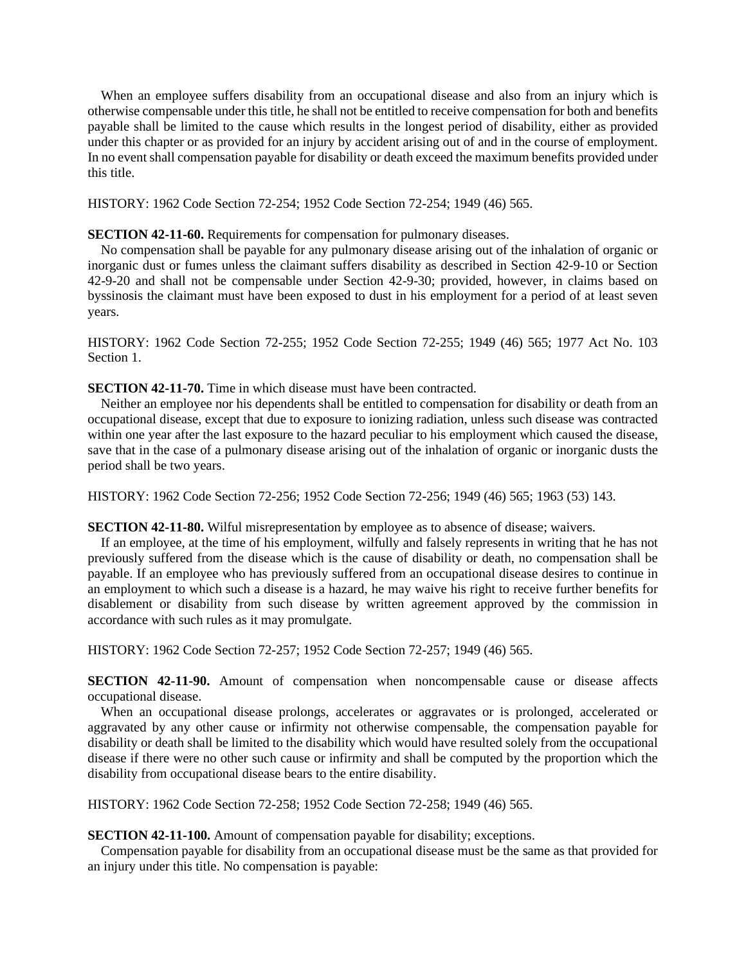When an employee suffers disability from an occupational disease and also from an injury which is otherwise compensable under this title, he shall not be entitled to receive compensation for both and benefits payable shall be limited to the cause which results in the longest period of disability, either as provided under this chapter or as provided for an injury by accident arising out of and in the course of employment. In no event shall compensation payable for disability or death exceed the maximum benefits provided under this title.

HISTORY: 1962 Code Section 72-254; 1952 Code Section 72-254; 1949 (46) 565.

**SECTION 42-11-60.** Requirements for compensation for pulmonary diseases.

No compensation shall be payable for any pulmonary disease arising out of the inhalation of organic or inorganic dust or fumes unless the claimant suffers disability as described in Section 42-9-10 or Section 42-9-20 and shall not be compensable under Section 42-9-30; provided, however, in claims based on byssinosis the claimant must have been exposed to dust in his employment for a period of at least seven years.

HISTORY: 1962 Code Section 72-255; 1952 Code Section 72-255; 1949 (46) 565; 1977 Act No. 103 Section 1.

**SECTION 42-11-70.** Time in which disease must have been contracted.

Neither an employee nor his dependents shall be entitled to compensation for disability or death from an occupational disease, except that due to exposure to ionizing radiation, unless such disease was contracted within one year after the last exposure to the hazard peculiar to his employment which caused the disease, save that in the case of a pulmonary disease arising out of the inhalation of organic or inorganic dusts the period shall be two years.

HISTORY: 1962 Code Section 72-256; 1952 Code Section 72-256; 1949 (46) 565; 1963 (53) 143.

**SECTION 42-11-80.** Wilful misrepresentation by employee as to absence of disease; waivers.

If an employee, at the time of his employment, wilfully and falsely represents in writing that he has not previously suffered from the disease which is the cause of disability or death, no compensation shall be payable. If an employee who has previously suffered from an occupational disease desires to continue in an employment to which such a disease is a hazard, he may waive his right to receive further benefits for disablement or disability from such disease by written agreement approved by the commission in accordance with such rules as it may promulgate.

HISTORY: 1962 Code Section 72-257; 1952 Code Section 72-257; 1949 (46) 565.

**SECTION 42-11-90.** Amount of compensation when noncompensable cause or disease affects occupational disease.

When an occupational disease prolongs, accelerates or aggravates or is prolonged, accelerated or aggravated by any other cause or infirmity not otherwise compensable, the compensation payable for disability or death shall be limited to the disability which would have resulted solely from the occupational disease if there were no other such cause or infirmity and shall be computed by the proportion which the disability from occupational disease bears to the entire disability.

HISTORY: 1962 Code Section 72-258; 1952 Code Section 72-258; 1949 (46) 565.

**SECTION 42-11-100.** Amount of compensation payable for disability; exceptions.

Compensation payable for disability from an occupational disease must be the same as that provided for an injury under this title. No compensation is payable: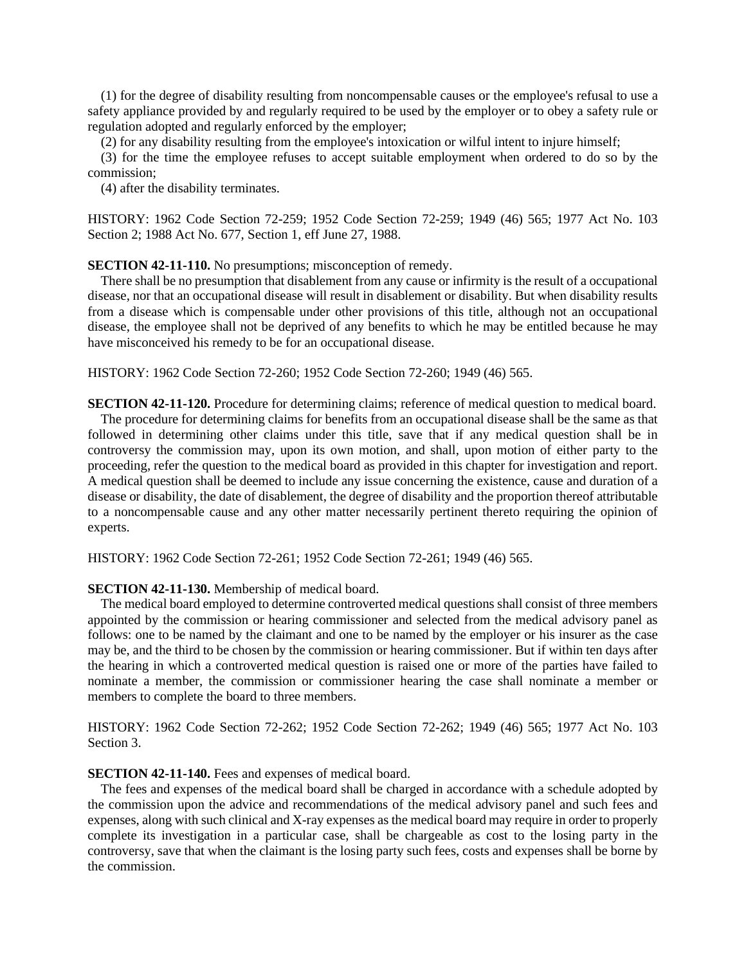(1) for the degree of disability resulting from noncompensable causes or the employee's refusal to use a safety appliance provided by and regularly required to be used by the employer or to obey a safety rule or regulation adopted and regularly enforced by the employer;

(2) for any disability resulting from the employee's intoxication or wilful intent to injure himself;

(3) for the time the employee refuses to accept suitable employment when ordered to do so by the commission;

(4) after the disability terminates.

HISTORY: 1962 Code Section 72-259; 1952 Code Section 72-259; 1949 (46) 565; 1977 Act No. 103 Section 2; 1988 Act No. 677, Section 1, eff June 27, 1988.

**SECTION 42-11-110.** No presumptions; misconception of remedy.

There shall be no presumption that disablement from any cause or infirmity is the result of a occupational disease, nor that an occupational disease will result in disablement or disability. But when disability results from a disease which is compensable under other provisions of this title, although not an occupational disease, the employee shall not be deprived of any benefits to which he may be entitled because he may have misconceived his remedy to be for an occupational disease.

HISTORY: 1962 Code Section 72-260; 1952 Code Section 72-260; 1949 (46) 565.

**SECTION 42-11-120.** Procedure for determining claims; reference of medical question to medical board. The procedure for determining claims for benefits from an occupational disease shall be the same as that followed in determining other claims under this title, save that if any medical question shall be in controversy the commission may, upon its own motion, and shall, upon motion of either party to the proceeding, refer the question to the medical board as provided in this chapter for investigation and report. A medical question shall be deemed to include any issue concerning the existence, cause and duration of a disease or disability, the date of disablement, the degree of disability and the proportion thereof attributable to a noncompensable cause and any other matter necessarily pertinent thereto requiring the opinion of

HISTORY: 1962 Code Section 72-261; 1952 Code Section 72-261; 1949 (46) 565.

#### **SECTION 42-11-130.** Membership of medical board.

experts.

The medical board employed to determine controverted medical questions shall consist of three members appointed by the commission or hearing commissioner and selected from the medical advisory panel as follows: one to be named by the claimant and one to be named by the employer or his insurer as the case may be, and the third to be chosen by the commission or hearing commissioner. But if within ten days after the hearing in which a controverted medical question is raised one or more of the parties have failed to nominate a member, the commission or commissioner hearing the case shall nominate a member or members to complete the board to three members.

HISTORY: 1962 Code Section 72-262; 1952 Code Section 72-262; 1949 (46) 565; 1977 Act No. 103 Section 3.

# **SECTION 42-11-140.** Fees and expenses of medical board.

The fees and expenses of the medical board shall be charged in accordance with a schedule adopted by the commission upon the advice and recommendations of the medical advisory panel and such fees and expenses, along with such clinical and X-ray expenses as the medical board may require in order to properly complete its investigation in a particular case, shall be chargeable as cost to the losing party in the controversy, save that when the claimant is the losing party such fees, costs and expenses shall be borne by the commission.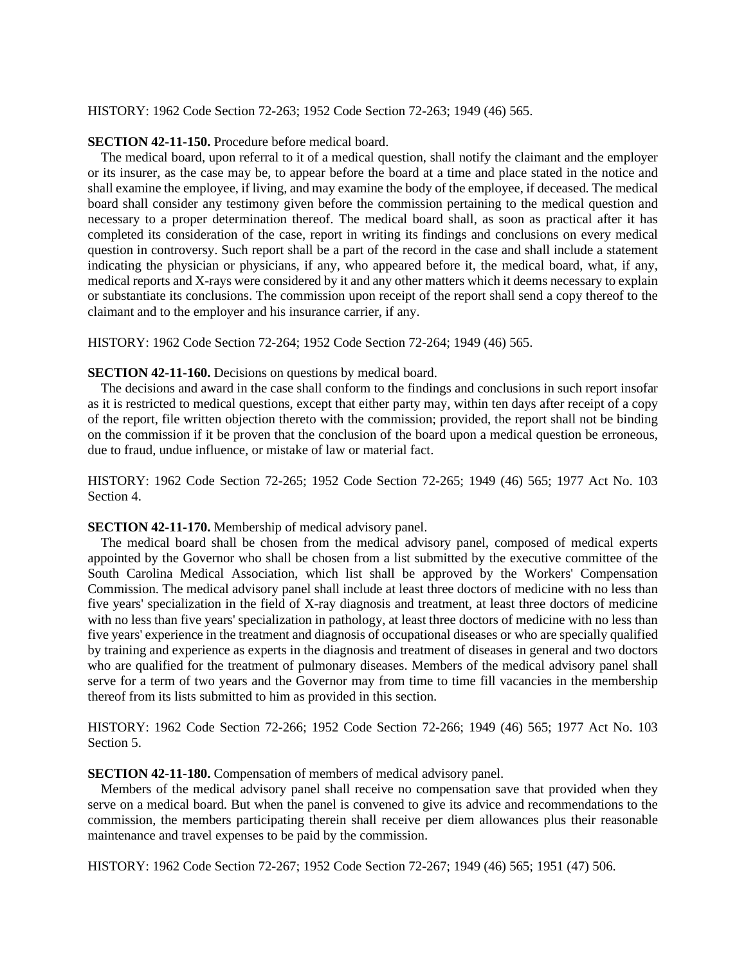# HISTORY: 1962 Code Section 72-263; 1952 Code Section 72-263; 1949 (46) 565.

## **SECTION 42-11-150.** Procedure before medical board.

The medical board, upon referral to it of a medical question, shall notify the claimant and the employer or its insurer, as the case may be, to appear before the board at a time and place stated in the notice and shall examine the employee, if living, and may examine the body of the employee, if deceased. The medical board shall consider any testimony given before the commission pertaining to the medical question and necessary to a proper determination thereof. The medical board shall, as soon as practical after it has completed its consideration of the case, report in writing its findings and conclusions on every medical question in controversy. Such report shall be a part of the record in the case and shall include a statement indicating the physician or physicians, if any, who appeared before it, the medical board, what, if any, medical reports and X-rays were considered by it and any other matters which it deems necessary to explain or substantiate its conclusions. The commission upon receipt of the report shall send a copy thereof to the claimant and to the employer and his insurance carrier, if any.

HISTORY: 1962 Code Section 72-264; 1952 Code Section 72-264; 1949 (46) 565.

#### **SECTION 42-11-160.** Decisions on questions by medical board.

The decisions and award in the case shall conform to the findings and conclusions in such report insofar as it is restricted to medical questions, except that either party may, within ten days after receipt of a copy of the report, file written objection thereto with the commission; provided, the report shall not be binding on the commission if it be proven that the conclusion of the board upon a medical question be erroneous, due to fraud, undue influence, or mistake of law or material fact.

HISTORY: 1962 Code Section 72-265; 1952 Code Section 72-265; 1949 (46) 565; 1977 Act No. 103 Section 4.

#### **SECTION 42-11-170.** Membership of medical advisory panel.

The medical board shall be chosen from the medical advisory panel, composed of medical experts appointed by the Governor who shall be chosen from a list submitted by the executive committee of the South Carolina Medical Association, which list shall be approved by the Workers' Compensation Commission. The medical advisory panel shall include at least three doctors of medicine with no less than five years' specialization in the field of X-ray diagnosis and treatment, at least three doctors of medicine with no less than five years' specialization in pathology, at least three doctors of medicine with no less than five years' experience in the treatment and diagnosis of occupational diseases or who are specially qualified by training and experience as experts in the diagnosis and treatment of diseases in general and two doctors who are qualified for the treatment of pulmonary diseases. Members of the medical advisory panel shall serve for a term of two years and the Governor may from time to time fill vacancies in the membership thereof from its lists submitted to him as provided in this section.

HISTORY: 1962 Code Section 72-266; 1952 Code Section 72-266; 1949 (46) 565; 1977 Act No. 103 Section 5.

## **SECTION 42-11-180.** Compensation of members of medical advisory panel.

Members of the medical advisory panel shall receive no compensation save that provided when they serve on a medical board. But when the panel is convened to give its advice and recommendations to the commission, the members participating therein shall receive per diem allowances plus their reasonable maintenance and travel expenses to be paid by the commission.

HISTORY: 1962 Code Section 72-267; 1952 Code Section 72-267; 1949 (46) 565; 1951 (47) 506.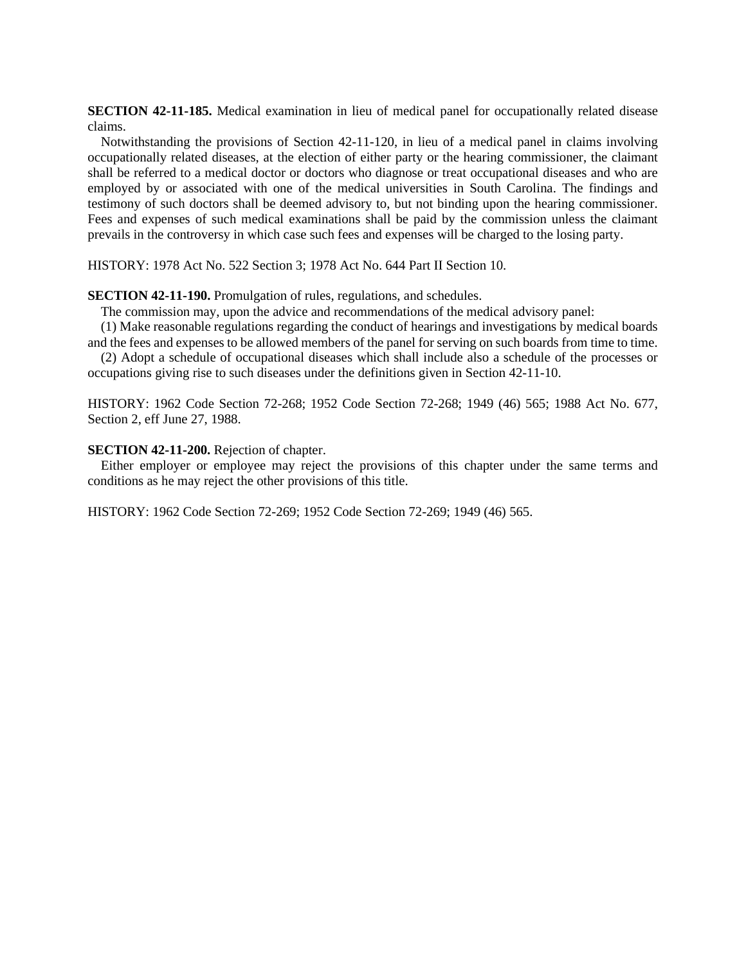**SECTION 42-11-185.** Medical examination in lieu of medical panel for occupationally related disease claims.

Notwithstanding the provisions of Section 42-11-120, in lieu of a medical panel in claims involving occupationally related diseases, at the election of either party or the hearing commissioner, the claimant shall be referred to a medical doctor or doctors who diagnose or treat occupational diseases and who are employed by or associated with one of the medical universities in South Carolina. The findings and testimony of such doctors shall be deemed advisory to, but not binding upon the hearing commissioner. Fees and expenses of such medical examinations shall be paid by the commission unless the claimant prevails in the controversy in which case such fees and expenses will be charged to the losing party.

HISTORY: 1978 Act No. 522 Section 3; 1978 Act No. 644 Part II Section 10.

#### **SECTION 42-11-190.** Promulgation of rules, regulations, and schedules.

The commission may, upon the advice and recommendations of the medical advisory panel:

(1) Make reasonable regulations regarding the conduct of hearings and investigations by medical boards and the fees and expenses to be allowed members of the panel for serving on such boards from time to time.

(2) Adopt a schedule of occupational diseases which shall include also a schedule of the processes or occupations giving rise to such diseases under the definitions given in Section 42-11-10.

HISTORY: 1962 Code Section 72-268; 1952 Code Section 72-268; 1949 (46) 565; 1988 Act No. 677, Section 2, eff June 27, 1988.

#### **SECTION 42-11-200.** Rejection of chapter.

Either employer or employee may reject the provisions of this chapter under the same terms and conditions as he may reject the other provisions of this title.

HISTORY: 1962 Code Section 72-269; 1952 Code Section 72-269; 1949 (46) 565.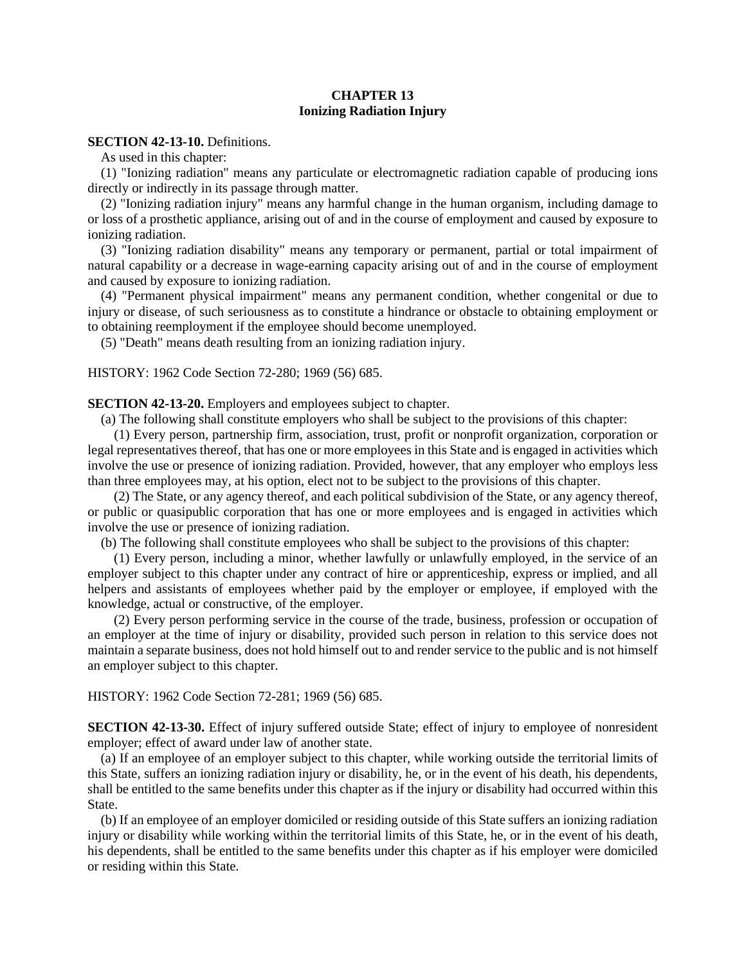# **CHAPTER 13 Ionizing Radiation Injury**

# **SECTION 42-13-10.** Definitions.

As used in this chapter:

(1) "Ionizing radiation" means any particulate or electromagnetic radiation capable of producing ions directly or indirectly in its passage through matter.

(2) "Ionizing radiation injury" means any harmful change in the human organism, including damage to or loss of a prosthetic appliance, arising out of and in the course of employment and caused by exposure to ionizing radiation.

(3) "Ionizing radiation disability" means any temporary or permanent, partial or total impairment of natural capability or a decrease in wage-earning capacity arising out of and in the course of employment and caused by exposure to ionizing radiation.

(4) "Permanent physical impairment" means any permanent condition, whether congenital or due to injury or disease, of such seriousness as to constitute a hindrance or obstacle to obtaining employment or to obtaining reemployment if the employee should become unemployed.

(5) "Death" means death resulting from an ionizing radiation injury.

HISTORY: 1962 Code Section 72-280; 1969 (56) 685.

**SECTION 42-13-20.** Employers and employees subject to chapter.

(a) The following shall constitute employers who shall be subject to the provisions of this chapter:

(1) Every person, partnership firm, association, trust, profit or nonprofit organization, corporation or legal representatives thereof, that has one or more employees in this State and is engaged in activities which involve the use or presence of ionizing radiation. Provided, however, that any employer who employs less than three employees may, at his option, elect not to be subject to the provisions of this chapter.

(2) The State, or any agency thereof, and each political subdivision of the State, or any agency thereof, or public or quasipublic corporation that has one or more employees and is engaged in activities which involve the use or presence of ionizing radiation.

(b) The following shall constitute employees who shall be subject to the provisions of this chapter:

(1) Every person, including a minor, whether lawfully or unlawfully employed, in the service of an employer subject to this chapter under any contract of hire or apprenticeship, express or implied, and all helpers and assistants of employees whether paid by the employer or employee, if employed with the knowledge, actual or constructive, of the employer.

(2) Every person performing service in the course of the trade, business, profession or occupation of an employer at the time of injury or disability, provided such person in relation to this service does not maintain a separate business, does not hold himself out to and render service to the public and is not himself an employer subject to this chapter.

HISTORY: 1962 Code Section 72-281; 1969 (56) 685.

**SECTION 42-13-30.** Effect of injury suffered outside State; effect of injury to employee of nonresident employer; effect of award under law of another state.

(a) If an employee of an employer subject to this chapter, while working outside the territorial limits of this State, suffers an ionizing radiation injury or disability, he, or in the event of his death, his dependents, shall be entitled to the same benefits under this chapter as if the injury or disability had occurred within this State.

(b) If an employee of an employer domiciled or residing outside of this State suffers an ionizing radiation injury or disability while working within the territorial limits of this State, he, or in the event of his death, his dependents, shall be entitled to the same benefits under this chapter as if his employer were domiciled or residing within this State.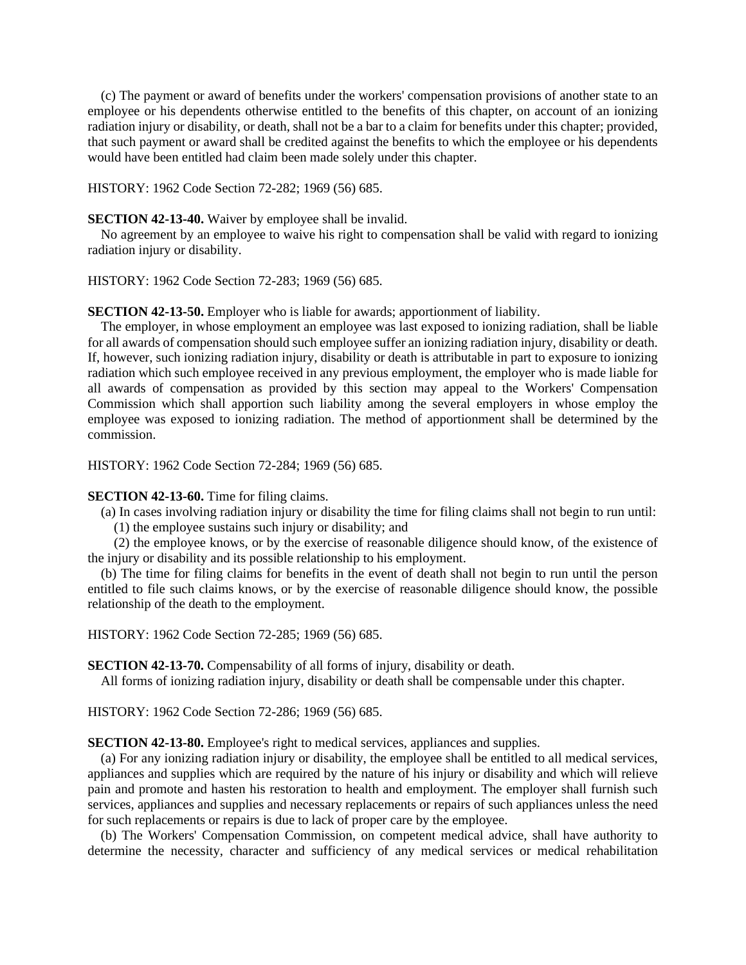(c) The payment or award of benefits under the workers' compensation provisions of another state to an employee or his dependents otherwise entitled to the benefits of this chapter, on account of an ionizing radiation injury or disability, or death, shall not be a bar to a claim for benefits under this chapter; provided, that such payment or award shall be credited against the benefits to which the employee or his dependents would have been entitled had claim been made solely under this chapter.

HISTORY: 1962 Code Section 72-282; 1969 (56) 685.

#### **SECTION 42-13-40.** Waiver by employee shall be invalid.

No agreement by an employee to waive his right to compensation shall be valid with regard to ionizing radiation injury or disability.

HISTORY: 1962 Code Section 72-283; 1969 (56) 685.

**SECTION 42-13-50.** Employer who is liable for awards; apportionment of liability.

The employer, in whose employment an employee was last exposed to ionizing radiation, shall be liable for all awards of compensation should such employee suffer an ionizing radiation injury, disability or death. If, however, such ionizing radiation injury, disability or death is attributable in part to exposure to ionizing radiation which such employee received in any previous employment, the employer who is made liable for all awards of compensation as provided by this section may appeal to the Workers' Compensation Commission which shall apportion such liability among the several employers in whose employ the employee was exposed to ionizing radiation. The method of apportionment shall be determined by the commission.

HISTORY: 1962 Code Section 72-284; 1969 (56) 685.

# **SECTION 42-13-60.** Time for filing claims.

(a) In cases involving radiation injury or disability the time for filing claims shall not begin to run until:

(1) the employee sustains such injury or disability; and

(2) the employee knows, or by the exercise of reasonable diligence should know, of the existence of the injury or disability and its possible relationship to his employment.

(b) The time for filing claims for benefits in the event of death shall not begin to run until the person entitled to file such claims knows, or by the exercise of reasonable diligence should know, the possible relationship of the death to the employment.

HISTORY: 1962 Code Section 72-285; 1969 (56) 685.

**SECTION 42-13-70.** Compensability of all forms of injury, disability or death.

All forms of ionizing radiation injury, disability or death shall be compensable under this chapter.

HISTORY: 1962 Code Section 72-286; 1969 (56) 685.

**SECTION 42-13-80.** Employee's right to medical services, appliances and supplies.

(a) For any ionizing radiation injury or disability, the employee shall be entitled to all medical services, appliances and supplies which are required by the nature of his injury or disability and which will relieve pain and promote and hasten his restoration to health and employment. The employer shall furnish such services, appliances and supplies and necessary replacements or repairs of such appliances unless the need for such replacements or repairs is due to lack of proper care by the employee.

(b) The Workers' Compensation Commission, on competent medical advice, shall have authority to determine the necessity, character and sufficiency of any medical services or medical rehabilitation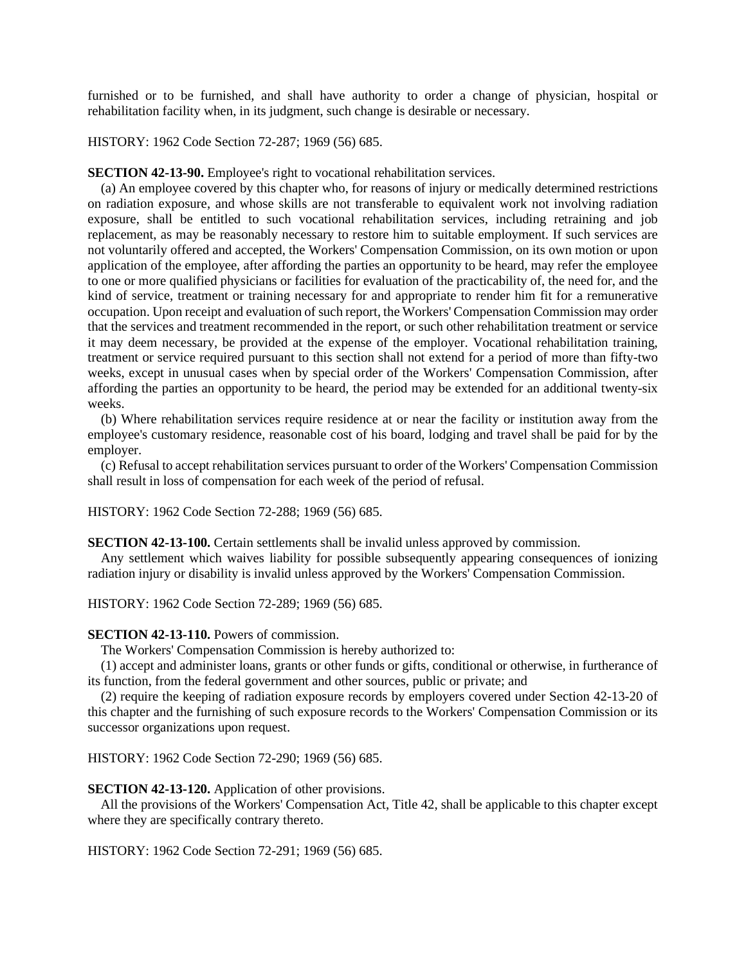furnished or to be furnished, and shall have authority to order a change of physician, hospital or rehabilitation facility when, in its judgment, such change is desirable or necessary.

HISTORY: 1962 Code Section 72-287; 1969 (56) 685.

**SECTION 42-13-90.** Employee's right to vocational rehabilitation services.

(a) An employee covered by this chapter who, for reasons of injury or medically determined restrictions on radiation exposure, and whose skills are not transferable to equivalent work not involving radiation exposure, shall be entitled to such vocational rehabilitation services, including retraining and job replacement, as may be reasonably necessary to restore him to suitable employment. If such services are not voluntarily offered and accepted, the Workers' Compensation Commission, on its own motion or upon application of the employee, after affording the parties an opportunity to be heard, may refer the employee to one or more qualified physicians or facilities for evaluation of the practicability of, the need for, and the kind of service, treatment or training necessary for and appropriate to render him fit for a remunerative occupation. Upon receipt and evaluation of such report, the Workers' Compensation Commission may order that the services and treatment recommended in the report, or such other rehabilitation treatment or service it may deem necessary, be provided at the expense of the employer. Vocational rehabilitation training, treatment or service required pursuant to this section shall not extend for a period of more than fifty-two weeks, except in unusual cases when by special order of the Workers' Compensation Commission, after affording the parties an opportunity to be heard, the period may be extended for an additional twenty-six weeks.

(b) Where rehabilitation services require residence at or near the facility or institution away from the employee's customary residence, reasonable cost of his board, lodging and travel shall be paid for by the employer.

(c) Refusal to accept rehabilitation services pursuant to order of the Workers' Compensation Commission shall result in loss of compensation for each week of the period of refusal.

HISTORY: 1962 Code Section 72-288; 1969 (56) 685.

**SECTION 42-13-100.** Certain settlements shall be invalid unless approved by commission.

Any settlement which waives liability for possible subsequently appearing consequences of ionizing radiation injury or disability is invalid unless approved by the Workers' Compensation Commission.

HISTORY: 1962 Code Section 72-289; 1969 (56) 685.

#### **SECTION 42-13-110.** Powers of commission.

The Workers' Compensation Commission is hereby authorized to:

(1) accept and administer loans, grants or other funds or gifts, conditional or otherwise, in furtherance of its function, from the federal government and other sources, public or private; and

(2) require the keeping of radiation exposure records by employers covered under Section 42-13-20 of this chapter and the furnishing of such exposure records to the Workers' Compensation Commission or its successor organizations upon request.

HISTORY: 1962 Code Section 72-290; 1969 (56) 685.

### **SECTION 42-13-120.** Application of other provisions.

All the provisions of the Workers' Compensation Act, Title 42, shall be applicable to this chapter except where they are specifically contrary thereto.

HISTORY: 1962 Code Section 72-291; 1969 (56) 685.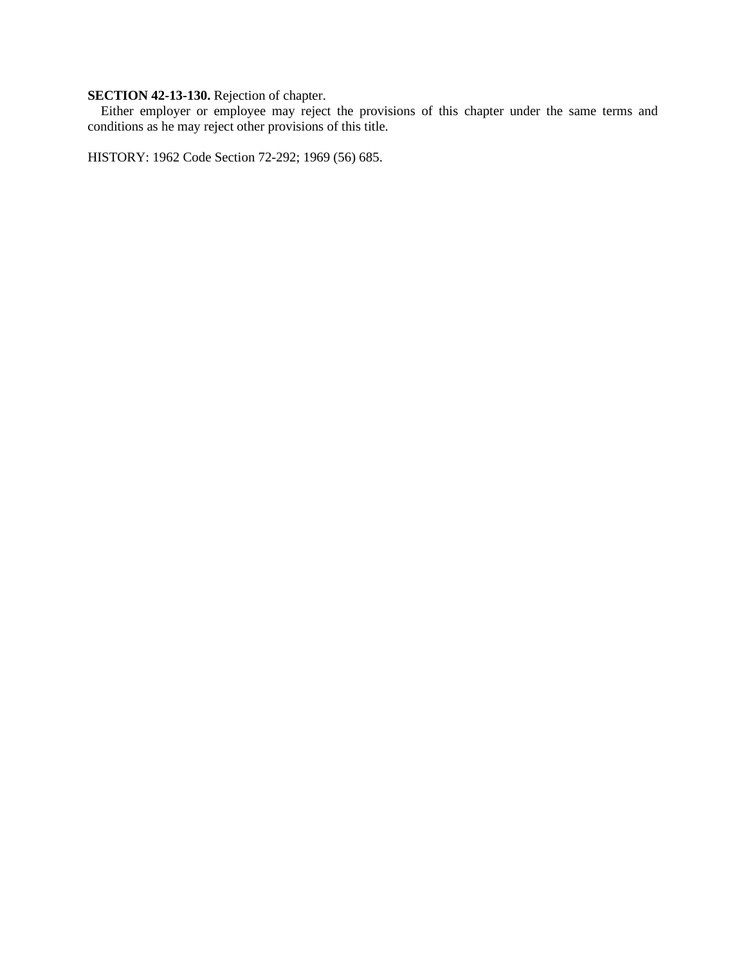# **SECTION 42-13-130.** Rejection of chapter.

Either employer or employee may reject the provisions of this chapter under the same terms and conditions as he may reject other provisions of this title.

HISTORY: 1962 Code Section 72-292; 1969 (56) 685.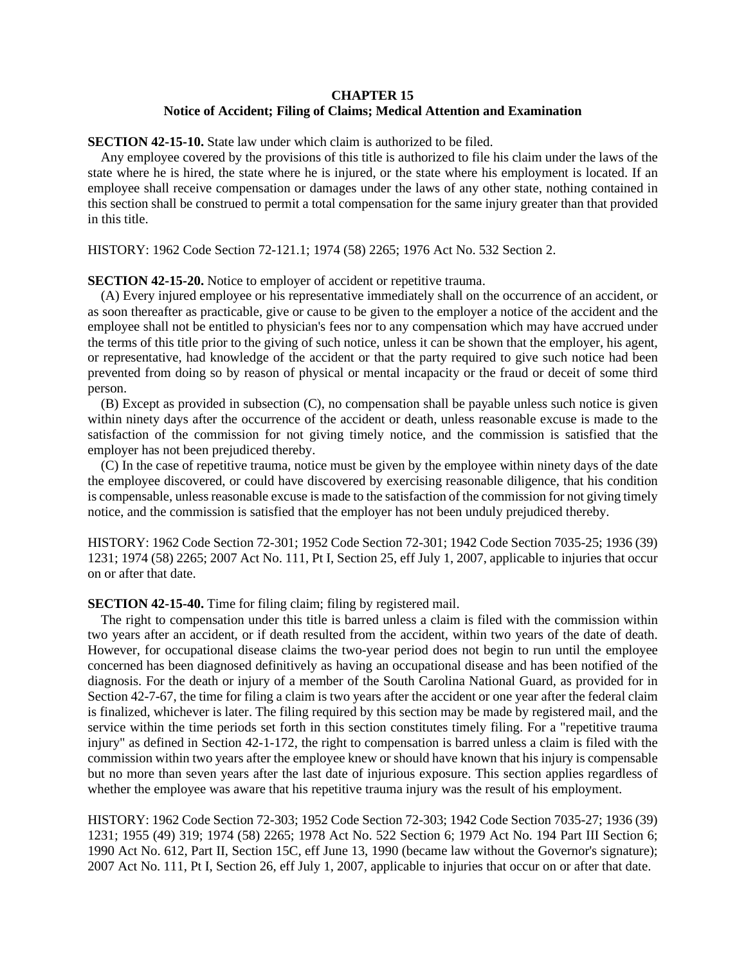# **CHAPTER 15 Notice of Accident; Filing of Claims; Medical Attention and Examination**

**SECTION 42-15-10.** State law under which claim is authorized to be filed.

Any employee covered by the provisions of this title is authorized to file his claim under the laws of the state where he is hired, the state where he is injured, or the state where his employment is located. If an employee shall receive compensation or damages under the laws of any other state, nothing contained in this section shall be construed to permit a total compensation for the same injury greater than that provided in this title.

HISTORY: 1962 Code Section 72-121.1; 1974 (58) 2265; 1976 Act No. 532 Section 2.

## **SECTION 42-15-20.** Notice to employer of accident or repetitive trauma.

(A) Every injured employee or his representative immediately shall on the occurrence of an accident, or as soon thereafter as practicable, give or cause to be given to the employer a notice of the accident and the employee shall not be entitled to physician's fees nor to any compensation which may have accrued under the terms of this title prior to the giving of such notice, unless it can be shown that the employer, his agent, or representative, had knowledge of the accident or that the party required to give such notice had been prevented from doing so by reason of physical or mental incapacity or the fraud or deceit of some third person.

(B) Except as provided in subsection (C), no compensation shall be payable unless such notice is given within ninety days after the occurrence of the accident or death, unless reasonable excuse is made to the satisfaction of the commission for not giving timely notice, and the commission is satisfied that the employer has not been prejudiced thereby.

(C) In the case of repetitive trauma, notice must be given by the employee within ninety days of the date the employee discovered, or could have discovered by exercising reasonable diligence, that his condition is compensable, unless reasonable excuse is made to the satisfaction of the commission for not giving timely notice, and the commission is satisfied that the employer has not been unduly prejudiced thereby.

HISTORY: 1962 Code Section 72-301; 1952 Code Section 72-301; 1942 Code Section 7035-25; 1936 (39) 1231; 1974 (58) 2265; 2007 Act No. 111, Pt I, Section 25, eff July 1, 2007, applicable to injuries that occur on or after that date.

# **SECTION 42-15-40.** Time for filing claim; filing by registered mail.

The right to compensation under this title is barred unless a claim is filed with the commission within two years after an accident, or if death resulted from the accident, within two years of the date of death. However, for occupational disease claims the two-year period does not begin to run until the employee concerned has been diagnosed definitively as having an occupational disease and has been notified of the diagnosis. For the death or injury of a member of the South Carolina National Guard, as provided for in Section 42-7-67, the time for filing a claim is two years after the accident or one year after the federal claim is finalized, whichever is later. The filing required by this section may be made by registered mail, and the service within the time periods set forth in this section constitutes timely filing. For a "repetitive trauma injury" as defined in Section 42-1-172, the right to compensation is barred unless a claim is filed with the commission within two years after the employee knew or should have known that his injury is compensable but no more than seven years after the last date of injurious exposure. This section applies regardless of whether the employee was aware that his repetitive trauma injury was the result of his employment.

HISTORY: 1962 Code Section 72-303; 1952 Code Section 72-303; 1942 Code Section 7035-27; 1936 (39) 1231; 1955 (49) 319; 1974 (58) 2265; 1978 Act No. 522 Section 6; 1979 Act No. 194 Part III Section 6; 1990 Act No. 612, Part II, Section 15C, eff June 13, 1990 (became law without the Governor's signature); 2007 Act No. 111, Pt I, Section 26, eff July 1, 2007, applicable to injuries that occur on or after that date.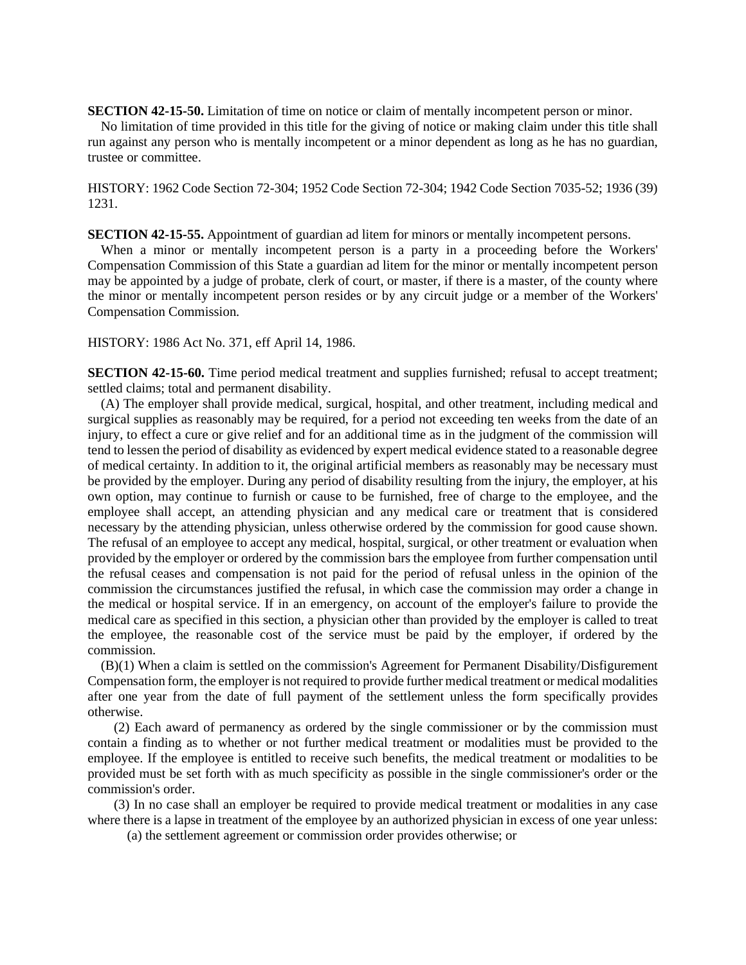**SECTION 42-15-50.** Limitation of time on notice or claim of mentally incompetent person or minor.

No limitation of time provided in this title for the giving of notice or making claim under this title shall run against any person who is mentally incompetent or a minor dependent as long as he has no guardian, trustee or committee.

HISTORY: 1962 Code Section 72-304; 1952 Code Section 72-304; 1942 Code Section 7035-52; 1936 (39) 1231.

**SECTION 42-15-55.** Appointment of guardian ad litem for minors or mentally incompetent persons.

When a minor or mentally incompetent person is a party in a proceeding before the Workers' Compensation Commission of this State a guardian ad litem for the minor or mentally incompetent person may be appointed by a judge of probate, clerk of court, or master, if there is a master, of the county where the minor or mentally incompetent person resides or by any circuit judge or a member of the Workers' Compensation Commission.

HISTORY: 1986 Act No. 371, eff April 14, 1986.

**SECTION 42-15-60.** Time period medical treatment and supplies furnished; refusal to accept treatment; settled claims; total and permanent disability.

(A) The employer shall provide medical, surgical, hospital, and other treatment, including medical and surgical supplies as reasonably may be required, for a period not exceeding ten weeks from the date of an injury, to effect a cure or give relief and for an additional time as in the judgment of the commission will tend to lessen the period of disability as evidenced by expert medical evidence stated to a reasonable degree of medical certainty. In addition to it, the original artificial members as reasonably may be necessary must be provided by the employer. During any period of disability resulting from the injury, the employer, at his own option, may continue to furnish or cause to be furnished, free of charge to the employee, and the employee shall accept, an attending physician and any medical care or treatment that is considered necessary by the attending physician, unless otherwise ordered by the commission for good cause shown. The refusal of an employee to accept any medical, hospital, surgical, or other treatment or evaluation when provided by the employer or ordered by the commission bars the employee from further compensation until the refusal ceases and compensation is not paid for the period of refusal unless in the opinion of the commission the circumstances justified the refusal, in which case the commission may order a change in the medical or hospital service. If in an emergency, on account of the employer's failure to provide the medical care as specified in this section, a physician other than provided by the employer is called to treat the employee, the reasonable cost of the service must be paid by the employer, if ordered by the commission.

(B)(1) When a claim is settled on the commission's Agreement for Permanent Disability/Disfigurement Compensation form, the employer is not required to provide further medical treatment or medical modalities after one year from the date of full payment of the settlement unless the form specifically provides otherwise.

(2) Each award of permanency as ordered by the single commissioner or by the commission must contain a finding as to whether or not further medical treatment or modalities must be provided to the employee. If the employee is entitled to receive such benefits, the medical treatment or modalities to be provided must be set forth with as much specificity as possible in the single commissioner's order or the commission's order.

(3) In no case shall an employer be required to provide medical treatment or modalities in any case where there is a lapse in treatment of the employee by an authorized physician in excess of one year unless:

(a) the settlement agreement or commission order provides otherwise; or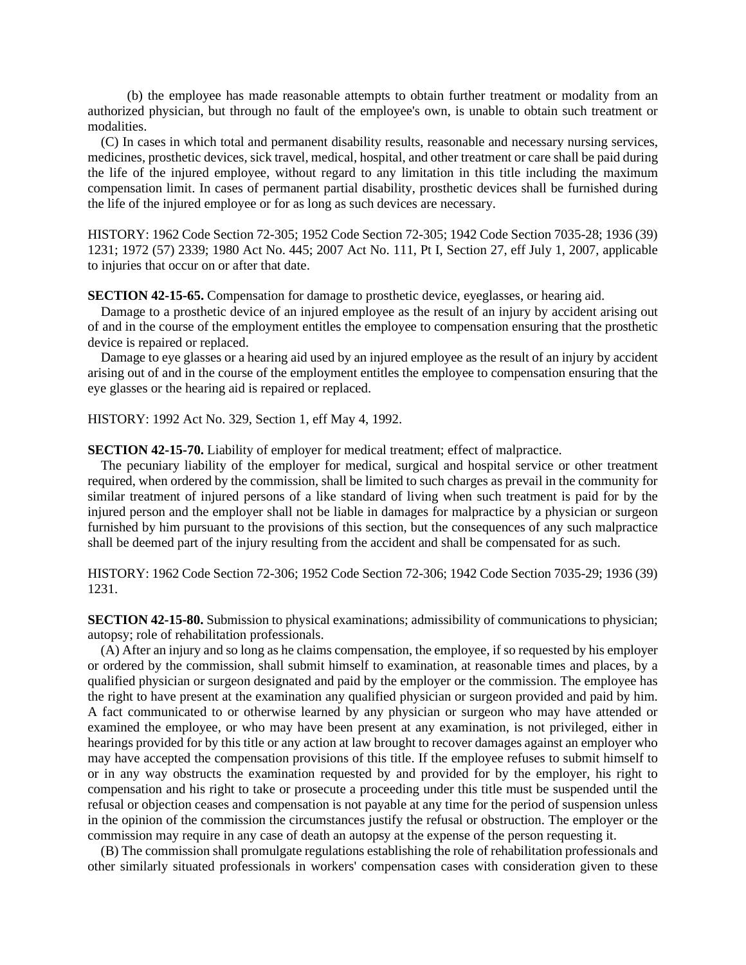(b) the employee has made reasonable attempts to obtain further treatment or modality from an authorized physician, but through no fault of the employee's own, is unable to obtain such treatment or modalities.

(C) In cases in which total and permanent disability results, reasonable and necessary nursing services, medicines, prosthetic devices, sick travel, medical, hospital, and other treatment or care shall be paid during the life of the injured employee, without regard to any limitation in this title including the maximum compensation limit. In cases of permanent partial disability, prosthetic devices shall be furnished during the life of the injured employee or for as long as such devices are necessary.

HISTORY: 1962 Code Section 72-305; 1952 Code Section 72-305; 1942 Code Section 7035-28; 1936 (39) 1231; 1972 (57) 2339; 1980 Act No. 445; 2007 Act No. 111, Pt I, Section 27, eff July 1, 2007, applicable to injuries that occur on or after that date.

**SECTION 42-15-65.** Compensation for damage to prosthetic device, eyeglasses, or hearing aid.

Damage to a prosthetic device of an injured employee as the result of an injury by accident arising out of and in the course of the employment entitles the employee to compensation ensuring that the prosthetic device is repaired or replaced.

Damage to eye glasses or a hearing aid used by an injured employee as the result of an injury by accident arising out of and in the course of the employment entitles the employee to compensation ensuring that the eye glasses or the hearing aid is repaired or replaced.

HISTORY: 1992 Act No. 329, Section 1, eff May 4, 1992.

**SECTION 42-15-70.** Liability of employer for medical treatment; effect of malpractice.

The pecuniary liability of the employer for medical, surgical and hospital service or other treatment required, when ordered by the commission, shall be limited to such charges as prevail in the community for similar treatment of injured persons of a like standard of living when such treatment is paid for by the injured person and the employer shall not be liable in damages for malpractice by a physician or surgeon furnished by him pursuant to the provisions of this section, but the consequences of any such malpractice shall be deemed part of the injury resulting from the accident and shall be compensated for as such.

HISTORY: 1962 Code Section 72-306; 1952 Code Section 72-306; 1942 Code Section 7035-29; 1936 (39) 1231.

**SECTION 42-15-80.** Submission to physical examinations; admissibility of communications to physician; autopsy; role of rehabilitation professionals.

(A) After an injury and so long as he claims compensation, the employee, if so requested by his employer or ordered by the commission, shall submit himself to examination, at reasonable times and places, by a qualified physician or surgeon designated and paid by the employer or the commission. The employee has the right to have present at the examination any qualified physician or surgeon provided and paid by him. A fact communicated to or otherwise learned by any physician or surgeon who may have attended or examined the employee, or who may have been present at any examination, is not privileged, either in hearings provided for by this title or any action at law brought to recover damages against an employer who may have accepted the compensation provisions of this title. If the employee refuses to submit himself to or in any way obstructs the examination requested by and provided for by the employer, his right to compensation and his right to take or prosecute a proceeding under this title must be suspended until the refusal or objection ceases and compensation is not payable at any time for the period of suspension unless in the opinion of the commission the circumstances justify the refusal or obstruction. The employer or the commission may require in any case of death an autopsy at the expense of the person requesting it.

(B) The commission shall promulgate regulations establishing the role of rehabilitation professionals and other similarly situated professionals in workers' compensation cases with consideration given to these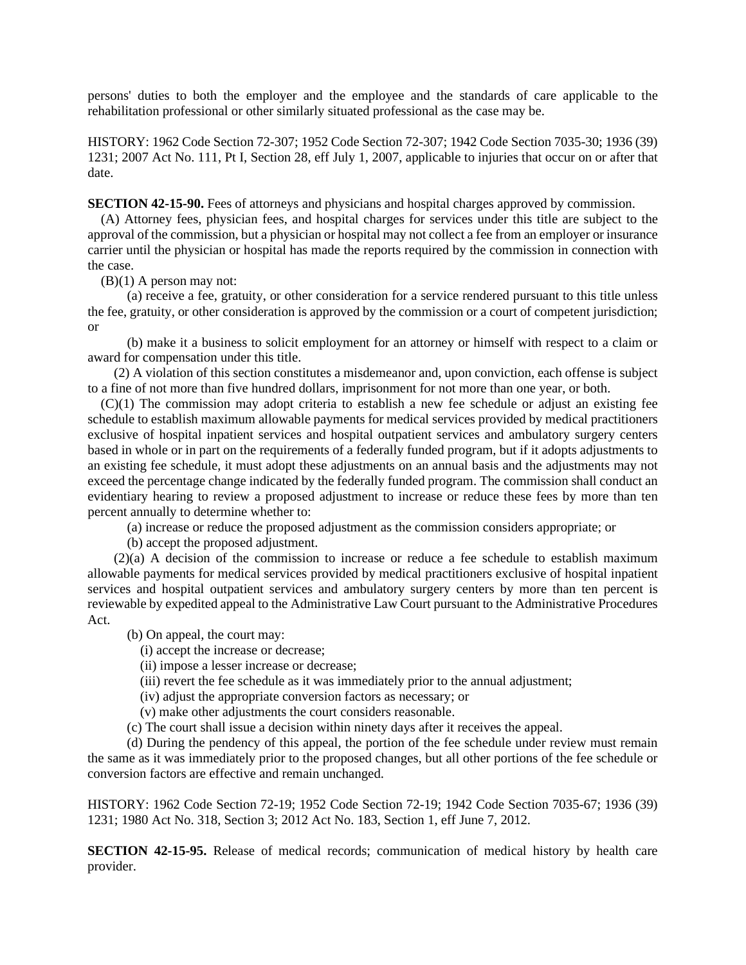persons' duties to both the employer and the employee and the standards of care applicable to the rehabilitation professional or other similarly situated professional as the case may be.

HISTORY: 1962 Code Section 72-307; 1952 Code Section 72-307; 1942 Code Section 7035-30; 1936 (39) 1231; 2007 Act No. 111, Pt I, Section 28, eff July 1, 2007, applicable to injuries that occur on or after that date.

**SECTION 42-15-90.** Fees of attorneys and physicians and hospital charges approved by commission.

(A) Attorney fees, physician fees, and hospital charges for services under this title are subject to the approval of the commission, but a physician or hospital may not collect a fee from an employer or insurance carrier until the physician or hospital has made the reports required by the commission in connection with the case.

(B)(1) A person may not:

(a) receive a fee, gratuity, or other consideration for a service rendered pursuant to this title unless the fee, gratuity, or other consideration is approved by the commission or a court of competent jurisdiction; or

(b) make it a business to solicit employment for an attorney or himself with respect to a claim or award for compensation under this title.

(2) A violation of this section constitutes a misdemeanor and, upon conviction, each offense is subject to a fine of not more than five hundred dollars, imprisonment for not more than one year, or both.

(C)(1) The commission may adopt criteria to establish a new fee schedule or adjust an existing fee schedule to establish maximum allowable payments for medical services provided by medical practitioners exclusive of hospital inpatient services and hospital outpatient services and ambulatory surgery centers based in whole or in part on the requirements of a federally funded program, but if it adopts adjustments to an existing fee schedule, it must adopt these adjustments on an annual basis and the adjustments may not exceed the percentage change indicated by the federally funded program. The commission shall conduct an evidentiary hearing to review a proposed adjustment to increase or reduce these fees by more than ten percent annually to determine whether to:

(a) increase or reduce the proposed adjustment as the commission considers appropriate; or

(b) accept the proposed adjustment.

(2)(a) A decision of the commission to increase or reduce a fee schedule to establish maximum allowable payments for medical services provided by medical practitioners exclusive of hospital inpatient services and hospital outpatient services and ambulatory surgery centers by more than ten percent is reviewable by expedited appeal to the Administrative Law Court pursuant to the Administrative Procedures Act.

(b) On appeal, the court may:

- (i) accept the increase or decrease;
- (ii) impose a lesser increase or decrease;
- (iii) revert the fee schedule as it was immediately prior to the annual adjustment;
- (iv) adjust the appropriate conversion factors as necessary; or
- (v) make other adjustments the court considers reasonable.

(c) The court shall issue a decision within ninety days after it receives the appeal.

(d) During the pendency of this appeal, the portion of the fee schedule under review must remain the same as it was immediately prior to the proposed changes, but all other portions of the fee schedule or conversion factors are effective and remain unchanged.

HISTORY: 1962 Code Section 72-19; 1952 Code Section 72-19; 1942 Code Section 7035-67; 1936 (39) 1231; 1980 Act No. 318, Section 3; 2012 Act No. 183, Section 1, eff June 7, 2012.

**SECTION 42-15-95.** Release of medical records; communication of medical history by health care provider.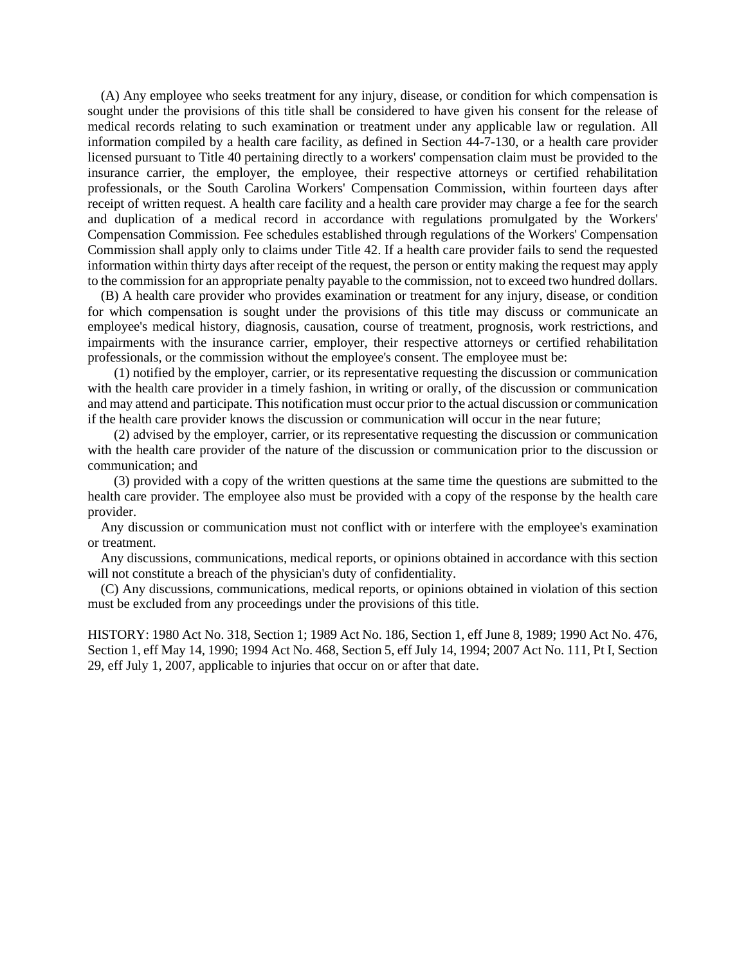(A) Any employee who seeks treatment for any injury, disease, or condition for which compensation is sought under the provisions of this title shall be considered to have given his consent for the release of medical records relating to such examination or treatment under any applicable law or regulation. All information compiled by a health care facility, as defined in Section 44-7-130, or a health care provider licensed pursuant to Title 40 pertaining directly to a workers' compensation claim must be provided to the insurance carrier, the employer, the employee, their respective attorneys or certified rehabilitation professionals, or the South Carolina Workers' Compensation Commission, within fourteen days after receipt of written request. A health care facility and a health care provider may charge a fee for the search and duplication of a medical record in accordance with regulations promulgated by the Workers' Compensation Commission. Fee schedules established through regulations of the Workers' Compensation Commission shall apply only to claims under Title 42. If a health care provider fails to send the requested information within thirty days after receipt of the request, the person or entity making the request may apply to the commission for an appropriate penalty payable to the commission, not to exceed two hundred dollars.

(B) A health care provider who provides examination or treatment for any injury, disease, or condition for which compensation is sought under the provisions of this title may discuss or communicate an employee's medical history, diagnosis, causation, course of treatment, prognosis, work restrictions, and impairments with the insurance carrier, employer, their respective attorneys or certified rehabilitation professionals, or the commission without the employee's consent. The employee must be:

(1) notified by the employer, carrier, or its representative requesting the discussion or communication with the health care provider in a timely fashion, in writing or orally, of the discussion or communication and may attend and participate. This notification must occur prior to the actual discussion or communication if the health care provider knows the discussion or communication will occur in the near future;

(2) advised by the employer, carrier, or its representative requesting the discussion or communication with the health care provider of the nature of the discussion or communication prior to the discussion or communication; and

(3) provided with a copy of the written questions at the same time the questions are submitted to the health care provider. The employee also must be provided with a copy of the response by the health care provider.

Any discussion or communication must not conflict with or interfere with the employee's examination or treatment.

Any discussions, communications, medical reports, or opinions obtained in accordance with this section will not constitute a breach of the physician's duty of confidentiality.

(C) Any discussions, communications, medical reports, or opinions obtained in violation of this section must be excluded from any proceedings under the provisions of this title.

HISTORY: 1980 Act No. 318, Section 1; 1989 Act No. 186, Section 1, eff June 8, 1989; 1990 Act No. 476, Section 1, eff May 14, 1990; 1994 Act No. 468, Section 5, eff July 14, 1994; 2007 Act No. 111, Pt I, Section 29, eff July 1, 2007, applicable to injuries that occur on or after that date.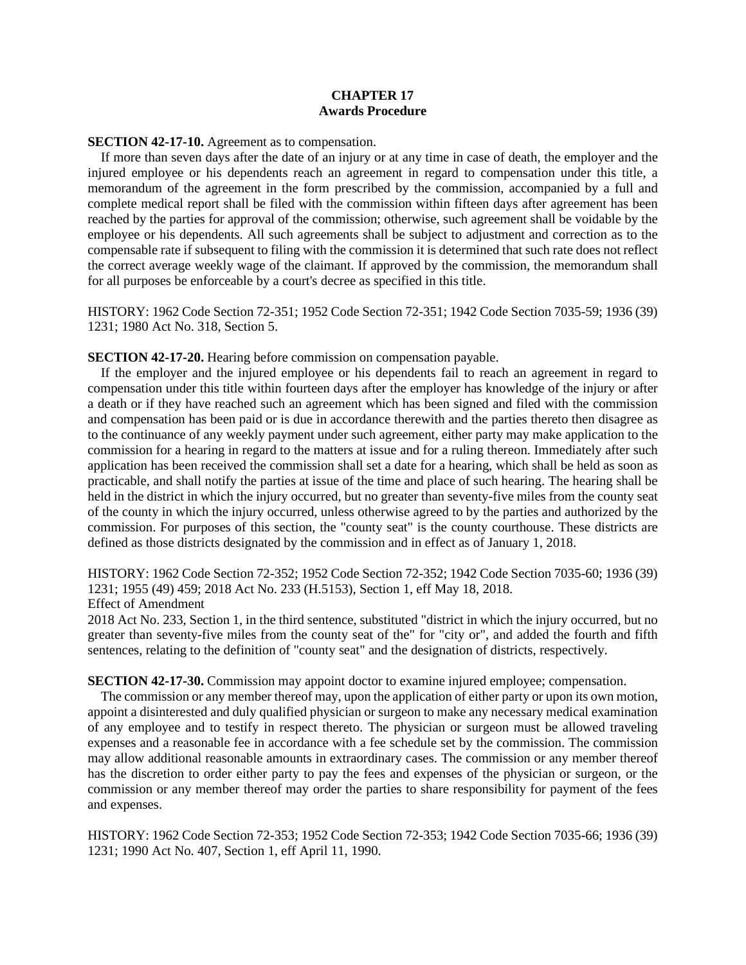# **CHAPTER 17 Awards Procedure**

**SECTION 42-17-10.** Agreement as to compensation.

If more than seven days after the date of an injury or at any time in case of death, the employer and the injured employee or his dependents reach an agreement in regard to compensation under this title, a memorandum of the agreement in the form prescribed by the commission, accompanied by a full and complete medical report shall be filed with the commission within fifteen days after agreement has been reached by the parties for approval of the commission; otherwise, such agreement shall be voidable by the employee or his dependents. All such agreements shall be subject to adjustment and correction as to the compensable rate if subsequent to filing with the commission it is determined that such rate does not reflect the correct average weekly wage of the claimant. If approved by the commission, the memorandum shall for all purposes be enforceable by a court's decree as specified in this title.

HISTORY: 1962 Code Section 72-351; 1952 Code Section 72-351; 1942 Code Section 7035-59; 1936 (39) 1231; 1980 Act No. 318, Section 5.

**SECTION 42-17-20.** Hearing before commission on compensation payable.

If the employer and the injured employee or his dependents fail to reach an agreement in regard to compensation under this title within fourteen days after the employer has knowledge of the injury or after a death or if they have reached such an agreement which has been signed and filed with the commission and compensation has been paid or is due in accordance therewith and the parties thereto then disagree as to the continuance of any weekly payment under such agreement, either party may make application to the commission for a hearing in regard to the matters at issue and for a ruling thereon. Immediately after such application has been received the commission shall set a date for a hearing, which shall be held as soon as practicable, and shall notify the parties at issue of the time and place of such hearing. The hearing shall be held in the district in which the injury occurred, but no greater than seventy-five miles from the county seat of the county in which the injury occurred, unless otherwise agreed to by the parties and authorized by the commission. For purposes of this section, the "county seat" is the county courthouse. These districts are defined as those districts designated by the commission and in effect as of January 1, 2018.

HISTORY: 1962 Code Section 72-352; 1952 Code Section 72-352; 1942 Code Section 7035-60; 1936 (39) 1231; 1955 (49) 459; 2018 Act No. 233 (H.5153), Section 1, eff May 18, 2018. Effect of Amendment

2018 Act No. 233, Section 1, in the third sentence, substituted "district in which the injury occurred, but no greater than seventy-five miles from the county seat of the" for "city or", and added the fourth and fifth sentences, relating to the definition of "county seat" and the designation of districts, respectively.

## **SECTION 42-17-30.** Commission may appoint doctor to examine injured employee; compensation.

The commission or any member thereof may, upon the application of either party or upon its own motion, appoint a disinterested and duly qualified physician or surgeon to make any necessary medical examination of any employee and to testify in respect thereto. The physician or surgeon must be allowed traveling expenses and a reasonable fee in accordance with a fee schedule set by the commission. The commission may allow additional reasonable amounts in extraordinary cases. The commission or any member thereof has the discretion to order either party to pay the fees and expenses of the physician or surgeon, or the commission or any member thereof may order the parties to share responsibility for payment of the fees and expenses.

HISTORY: 1962 Code Section 72-353; 1952 Code Section 72-353; 1942 Code Section 7035-66; 1936 (39) 1231; 1990 Act No. 407, Section 1, eff April 11, 1990.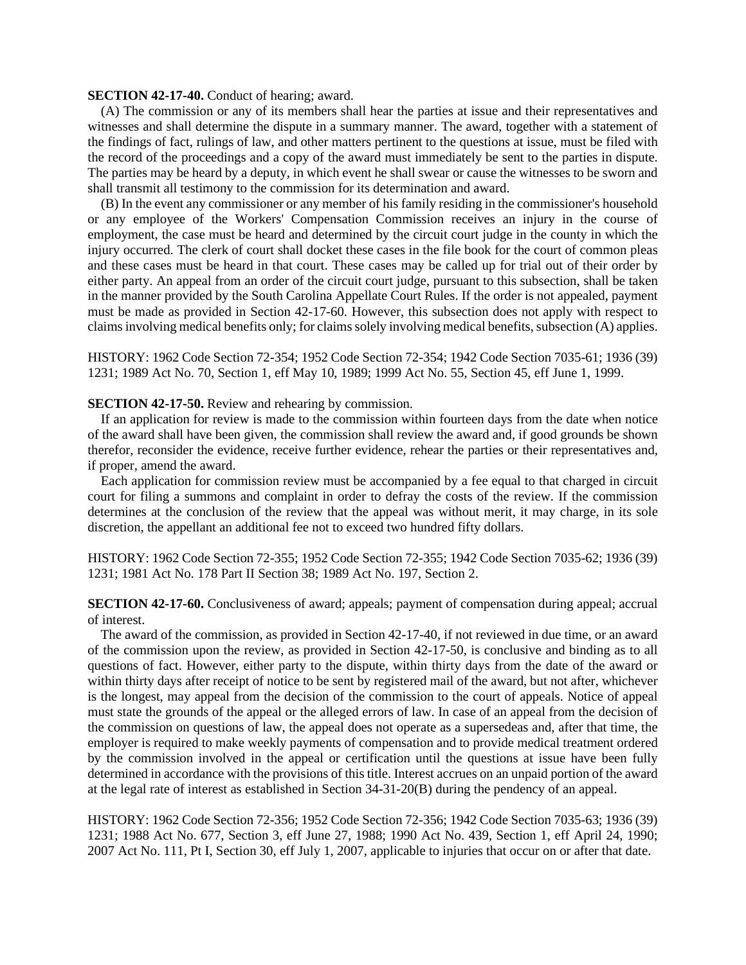#### **SECTION 42-17-40.** Conduct of hearing; award.

(A) The commission or any of its members shall hear the parties at issue and their representatives and witnesses and shall determine the dispute in a summary manner. The award, together with a statement of the findings of fact, rulings of law, and other matters pertinent to the questions at issue, must be filed with the record of the proceedings and a copy of the award must immediately be sent to the parties in dispute. The parties may be heard by a deputy, in which event he shall swear or cause the witnesses to be sworn and shall transmit all testimony to the commission for its determination and award.

(B) In the event any commissioner or any member of his family residing in the commissioner's household or any employee of the Workers' Compensation Commission receives an injury in the course of employment, the case must be heard and determined by the circuit court judge in the county in which the injury occurred. The clerk of court shall docket these cases in the file book for the court of common pleas and these cases must be heard in that court. These cases may be called up for trial out of their order by either party. An appeal from an order of the circuit court judge, pursuant to this subsection, shall be taken in the manner provided by the South Carolina Appellate Court Rules. If the order is not appealed, payment must be made as provided in Section 42-17-60. However, this subsection does not apply with respect to claims involving medical benefits only; for claims solely involving medical benefits, subsection (A) applies.

HISTORY: 1962 Code Section 72-354; 1952 Code Section 72-354; 1942 Code Section 7035-61; 1936 (39) 1231; 1989 Act No. 70, Section 1, eff May 10, 1989; 1999 Act No. 55, Section 45, eff June 1, 1999.

### **SECTION 42-17-50.** Review and rehearing by commission.

If an application for review is made to the commission within fourteen days from the date when notice of the award shall have been given, the commission shall review the award and, if good grounds be shown therefor, reconsider the evidence, receive further evidence, rehear the parties or their representatives and, if proper, amend the award.

Each application for commission review must be accompanied by a fee equal to that charged in circuit court for filing a summons and complaint in order to defray the costs of the review. If the commission determines at the conclusion of the review that the appeal was without merit, it may charge, in its sole discretion, the appellant an additional fee not to exceed two hundred fifty dollars.

HISTORY: 1962 Code Section 72-355; 1952 Code Section 72-355; 1942 Code Section 7035-62; 1936 (39) 1231; 1981 Act No. 178 Part II Section 38; 1989 Act No. 197, Section 2.

**SECTION 42-17-60.** Conclusiveness of award; appeals; payment of compensation during appeal; accrual of interest.

The award of the commission, as provided in Section 42-17-40, if not reviewed in due time, or an award of the commission upon the review, as provided in Section 42-17-50, is conclusive and binding as to all questions of fact. However, either party to the dispute, within thirty days from the date of the award or within thirty days after receipt of notice to be sent by registered mail of the award, but not after, whichever is the longest, may appeal from the decision of the commission to the court of appeals. Notice of appeal must state the grounds of the appeal or the alleged errors of law. In case of an appeal from the decision of the commission on questions of law, the appeal does not operate as a supersedeas and, after that time, the employer is required to make weekly payments of compensation and to provide medical treatment ordered by the commission involved in the appeal or certification until the questions at issue have been fully determined in accordance with the provisions of this title. Interest accrues on an unpaid portion of the award at the legal rate of interest as established in Section 34-31-20(B) during the pendency of an appeal.

HISTORY: 1962 Code Section 72-356; 1952 Code Section 72-356; 1942 Code Section 7035-63; 1936 (39) 1231; 1988 Act No. 677, Section 3, eff June 27, 1988; 1990 Act No. 439, Section 1, eff April 24, 1990; 2007 Act No. 111, Pt I, Section 30, eff July 1, 2007, applicable to injuries that occur on or after that date.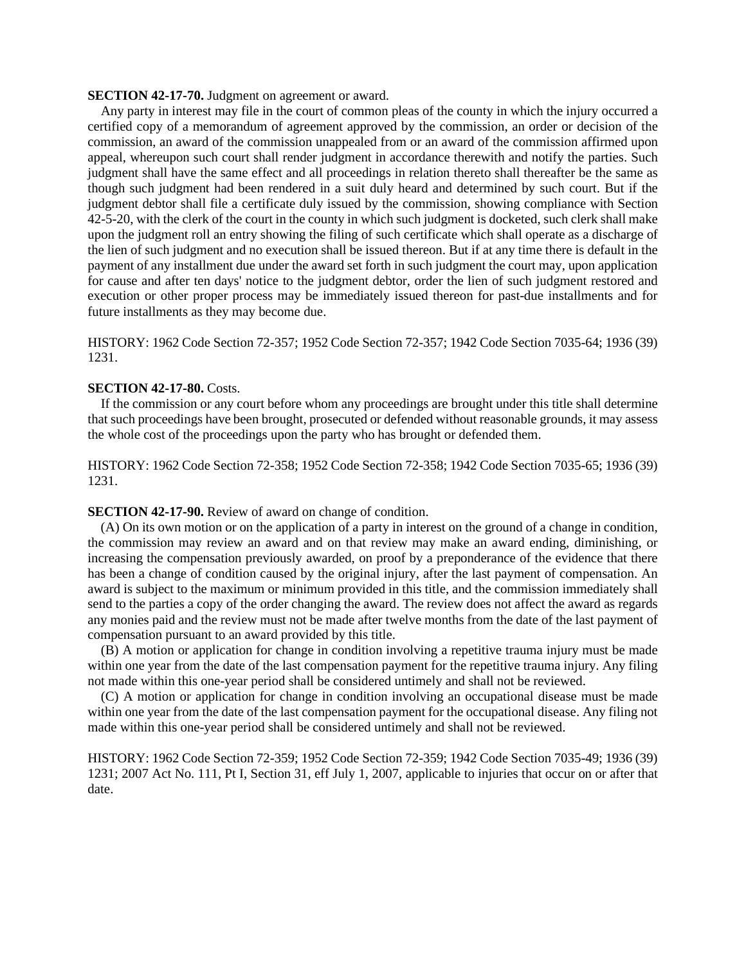#### **SECTION 42-17-70.** Judgment on agreement or award.

Any party in interest may file in the court of common pleas of the county in which the injury occurred a certified copy of a memorandum of agreement approved by the commission, an order or decision of the commission, an award of the commission unappealed from or an award of the commission affirmed upon appeal, whereupon such court shall render judgment in accordance therewith and notify the parties. Such judgment shall have the same effect and all proceedings in relation thereto shall thereafter be the same as though such judgment had been rendered in a suit duly heard and determined by such court. But if the judgment debtor shall file a certificate duly issued by the commission, showing compliance with Section 42-5-20, with the clerk of the court in the county in which such judgment is docketed, such clerk shall make upon the judgment roll an entry showing the filing of such certificate which shall operate as a discharge of the lien of such judgment and no execution shall be issued thereon. But if at any time there is default in the payment of any installment due under the award set forth in such judgment the court may, upon application for cause and after ten days' notice to the judgment debtor, order the lien of such judgment restored and execution or other proper process may be immediately issued thereon for past-due installments and for future installments as they may become due.

HISTORY: 1962 Code Section 72-357; 1952 Code Section 72-357; 1942 Code Section 7035-64; 1936 (39) 1231.

## **SECTION 42-17-80.** Costs.

If the commission or any court before whom any proceedings are brought under this title shall determine that such proceedings have been brought, prosecuted or defended without reasonable grounds, it may assess the whole cost of the proceedings upon the party who has brought or defended them.

HISTORY: 1962 Code Section 72-358; 1952 Code Section 72-358; 1942 Code Section 7035-65; 1936 (39) 1231.

### **SECTION 42-17-90.** Review of award on change of condition.

(A) On its own motion or on the application of a party in interest on the ground of a change in condition, the commission may review an award and on that review may make an award ending, diminishing, or increasing the compensation previously awarded, on proof by a preponderance of the evidence that there has been a change of condition caused by the original injury, after the last payment of compensation. An award is subject to the maximum or minimum provided in this title, and the commission immediately shall send to the parties a copy of the order changing the award. The review does not affect the award as regards any monies paid and the review must not be made after twelve months from the date of the last payment of compensation pursuant to an award provided by this title.

(B) A motion or application for change in condition involving a repetitive trauma injury must be made within one year from the date of the last compensation payment for the repetitive trauma injury. Any filing not made within this one-year period shall be considered untimely and shall not be reviewed.

(C) A motion or application for change in condition involving an occupational disease must be made within one year from the date of the last compensation payment for the occupational disease. Any filing not made within this one-year period shall be considered untimely and shall not be reviewed.

HISTORY: 1962 Code Section 72-359; 1952 Code Section 72-359; 1942 Code Section 7035-49; 1936 (39) 1231; 2007 Act No. 111, Pt I, Section 31, eff July 1, 2007, applicable to injuries that occur on or after that date.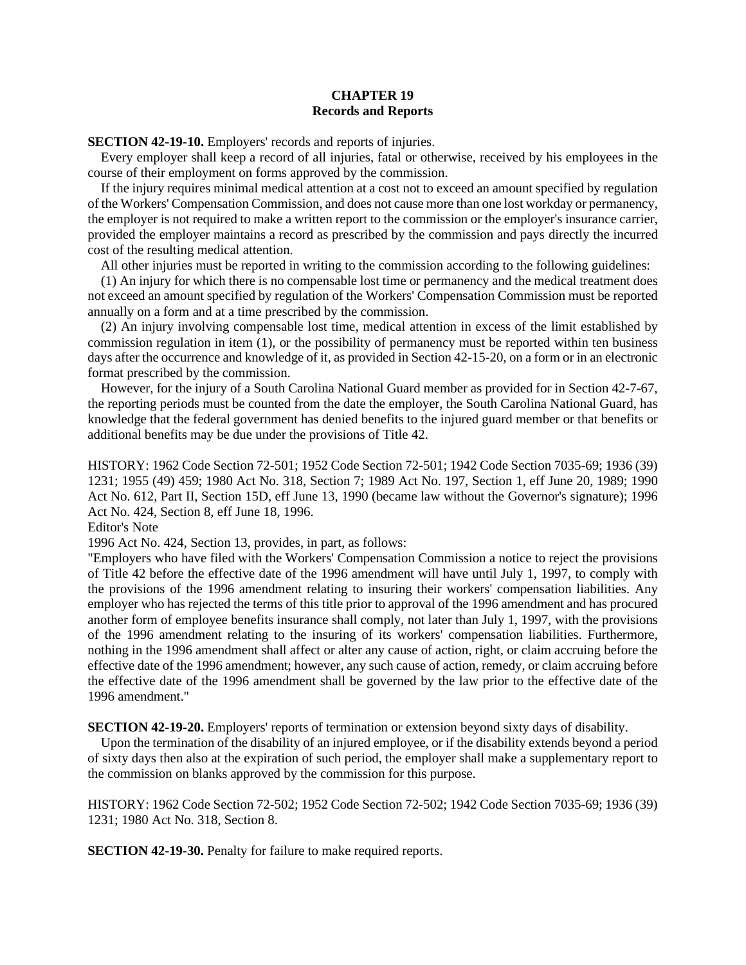# **CHAPTER 19 Records and Reports**

**SECTION 42-19-10.** Employers' records and reports of injuries.

Every employer shall keep a record of all injuries, fatal or otherwise, received by his employees in the course of their employment on forms approved by the commission.

If the injury requires minimal medical attention at a cost not to exceed an amount specified by regulation of the Workers' Compensation Commission, and does not cause more than one lost workday or permanency, the employer is not required to make a written report to the commission or the employer's insurance carrier, provided the employer maintains a record as prescribed by the commission and pays directly the incurred cost of the resulting medical attention.

All other injuries must be reported in writing to the commission according to the following guidelines:

(1) An injury for which there is no compensable lost time or permanency and the medical treatment does not exceed an amount specified by regulation of the Workers' Compensation Commission must be reported annually on a form and at a time prescribed by the commission.

(2) An injury involving compensable lost time, medical attention in excess of the limit established by commission regulation in item (1), or the possibility of permanency must be reported within ten business days after the occurrence and knowledge of it, as provided in Section 42-15-20, on a form or in an electronic format prescribed by the commission.

However, for the injury of a South Carolina National Guard member as provided for in Section 42-7-67, the reporting periods must be counted from the date the employer, the South Carolina National Guard, has knowledge that the federal government has denied benefits to the injured guard member or that benefits or additional benefits may be due under the provisions of Title 42.

HISTORY: 1962 Code Section 72-501; 1952 Code Section 72-501; 1942 Code Section 7035-69; 1936 (39) 1231; 1955 (49) 459; 1980 Act No. 318, Section 7; 1989 Act No. 197, Section 1, eff June 20, 1989; 1990 Act No. 612, Part II, Section 15D, eff June 13, 1990 (became law without the Governor's signature); 1996 Act No. 424, Section 8, eff June 18, 1996.

Editor's Note

1996 Act No. 424, Section 13, provides, in part, as follows:

"Employers who have filed with the Workers' Compensation Commission a notice to reject the provisions of Title 42 before the effective date of the 1996 amendment will have until July 1, 1997, to comply with the provisions of the 1996 amendment relating to insuring their workers' compensation liabilities. Any employer who has rejected the terms of this title prior to approval of the 1996 amendment and has procured another form of employee benefits insurance shall comply, not later than July 1, 1997, with the provisions of the 1996 amendment relating to the insuring of its workers' compensation liabilities. Furthermore, nothing in the 1996 amendment shall affect or alter any cause of action, right, or claim accruing before the effective date of the 1996 amendment; however, any such cause of action, remedy, or claim accruing before the effective date of the 1996 amendment shall be governed by the law prior to the effective date of the 1996 amendment."

**SECTION 42-19-20.** Employers' reports of termination or extension beyond sixty days of disability.

Upon the termination of the disability of an injured employee, or if the disability extends beyond a period of sixty days then also at the expiration of such period, the employer shall make a supplementary report to the commission on blanks approved by the commission for this purpose.

HISTORY: 1962 Code Section 72-502; 1952 Code Section 72-502; 1942 Code Section 7035-69; 1936 (39) 1231; 1980 Act No. 318, Section 8.

**SECTION 42-19-30.** Penalty for failure to make required reports.